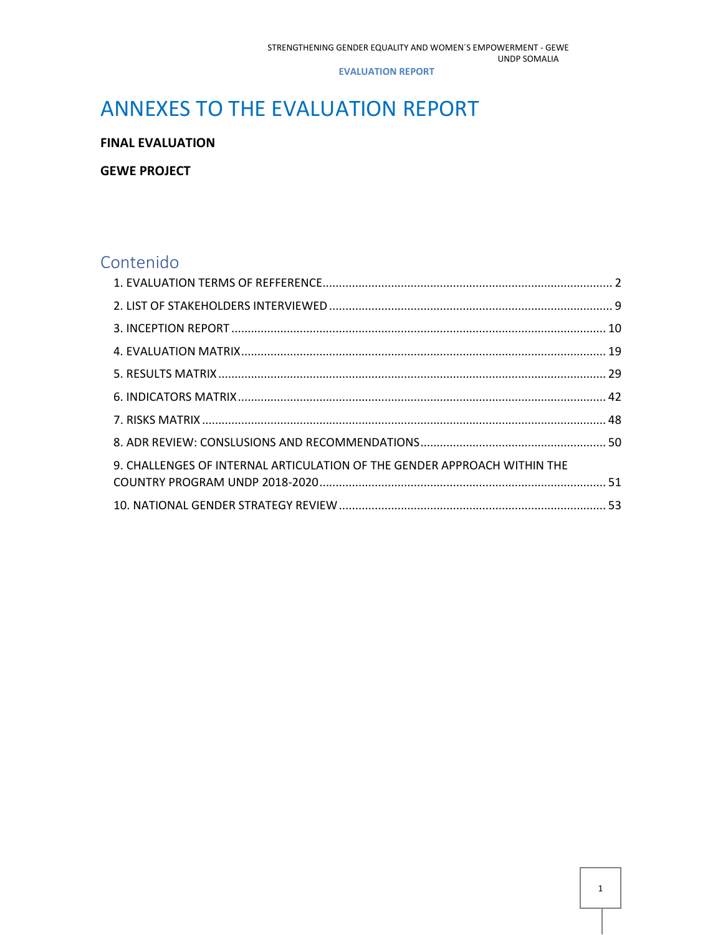# ANNEXES TO THE EVALUATION REPORT

**FINAL EVALUATION**

**GEWE PROJECT**

## Contenido

| 9. CHALLENGES OF INTERNAL ARTICULATION OF THE GENDER APPROACH WITHIN THE |  |
|--------------------------------------------------------------------------|--|
|                                                                          |  |
|                                                                          |  |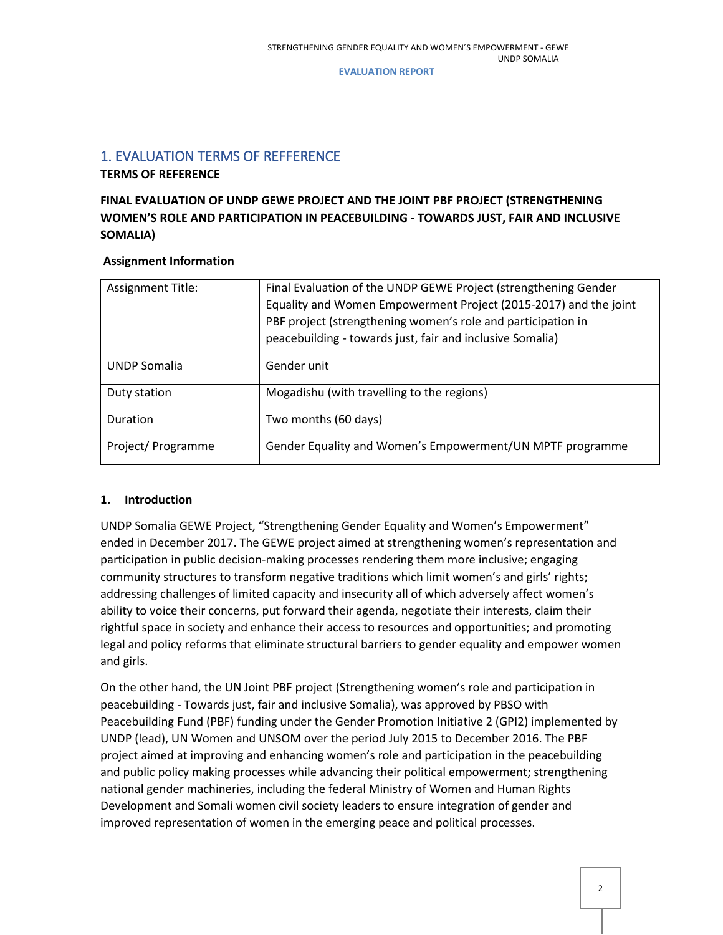## <span id="page-1-0"></span>1. EVALUATION TERMS OF REFFERENCE

**TERMS OF REFERENCE** 

## **FINAL EVALUATION OF UNDP GEWE PROJECT AND THE JOINT PBF PROJECT (STRENGTHENING WOMEN'S ROLE AND PARTICIPATION IN PEACEBUILDING - TOWARDS JUST, FAIR AND INCLUSIVE SOMALIA)**

## **Assignment Information**

| <b>Assignment Title:</b> | Final Evaluation of the UNDP GEWE Project (strengthening Gender<br>Equality and Women Empowerment Project (2015-2017) and the joint<br>PBF project (strengthening women's role and participation in<br>peacebuilding - towards just, fair and inclusive Somalia) |
|--------------------------|------------------------------------------------------------------------------------------------------------------------------------------------------------------------------------------------------------------------------------------------------------------|
| <b>UNDP Somalia</b>      | Gender unit                                                                                                                                                                                                                                                      |
| Duty station             | Mogadishu (with travelling to the regions)                                                                                                                                                                                                                       |
| <b>Duration</b>          | Two months (60 days)                                                                                                                                                                                                                                             |
| Project/Programme        | Gender Equality and Women's Empowerment/UN MPTF programme                                                                                                                                                                                                        |

## **1. Introduction**

UNDP Somalia GEWE Project, "Strengthening Gender Equality and Women's Empowerment" ended in December 2017. The GEWE project aimed at strengthening women's representation and participation in public decision-making processes rendering them more inclusive; engaging community structures to transform negative traditions which limit women's and girls' rights; addressing challenges of limited capacity and insecurity all of which adversely affect women's ability to voice their concerns, put forward their agenda, negotiate their interests, claim their rightful space in society and enhance their access to resources and opportunities; and promoting legal and policy reforms that eliminate structural barriers to gender equality and empower women and girls.

On the other hand, the UN Joint PBF project (Strengthening women's role and participation in peacebuilding - Towards just, fair and inclusive Somalia), was approved by PBSO with Peacebuilding Fund (PBF) funding under the Gender Promotion Initiative 2 (GPI2) implemented by UNDP (lead), UN Women and UNSOM over the period July 2015 to December 2016. The PBF project aimed at improving and enhancing women's role and participation in the peacebuilding and public policy making processes while advancing their political empowerment; strengthening national gender machineries, including the federal Ministry of Women and Human Rights Development and Somali women civil society leaders to ensure integration of gender and improved representation of women in the emerging peace and political processes.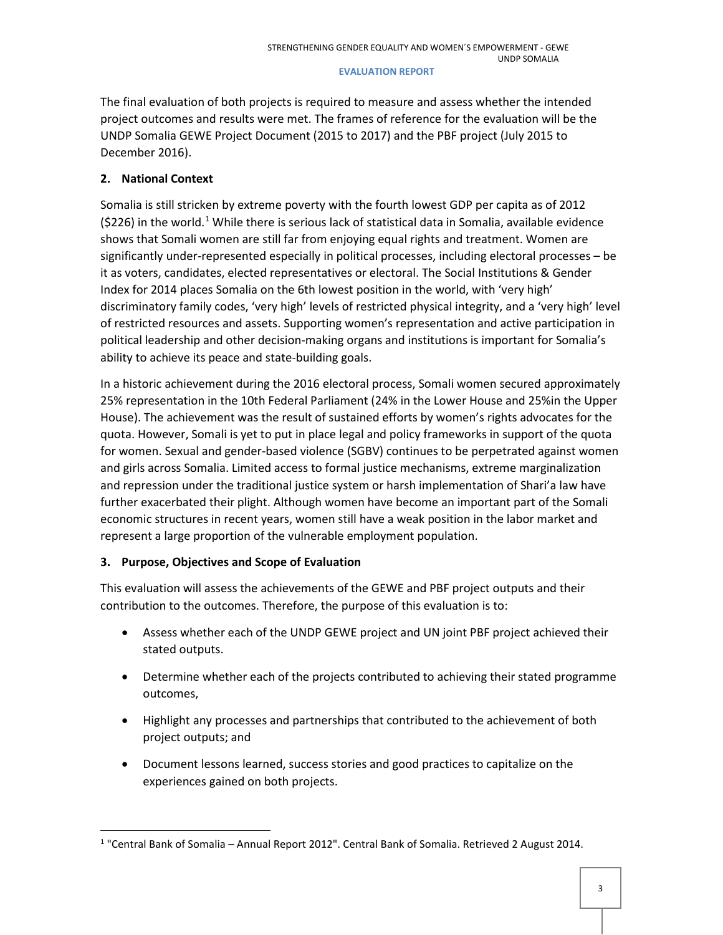The final evaluation of both projects is required to measure and assess whether the intended project outcomes and results were met. The frames of reference for the evaluation will be the UNDP Somalia GEWE Project Document (2015 to 2017) and the PBF project (July 2015 to December 2016).

## **2. National Context**

Somalia is still stricken by extreme poverty with the fourth lowest GDP per capita as of 2012  $(S226)$  in the world.<sup>[1](#page-2-0)</sup> While there is serious lack of statistical data in Somalia, available evidence shows that Somali women are still far from enjoying equal rights and treatment. Women are significantly under-represented especially in political processes, including electoral processes – be it as voters, candidates, elected representatives or electoral. The Social Institutions & Gender Index for 2014 places Somalia on the 6th lowest position in the world, with 'very high' discriminatory family codes, 'very high' levels of restricted physical integrity, and a 'very high' level of restricted resources and assets. Supporting women's representation and active participation in political leadership and other decision-making organs and institutions is important for Somalia's ability to achieve its peace and state-building goals.

In a historic achievement during the 2016 electoral process, Somali women secured approximately 25% representation in the 10th Federal Parliament (24% in the Lower House and 25%in the Upper House). The achievement was the result of sustained efforts by women's rights advocates for the quota. However, Somali is yet to put in place legal and policy frameworks in support of the quota for women. Sexual and gender-based violence (SGBV) continues to be perpetrated against women and girls across Somalia. Limited access to formal justice mechanisms, extreme marginalization and repression under the traditional justice system or harsh implementation of Shari'a law have further exacerbated their plight. Although women have become an important part of the Somali economic structures in recent years, women still have a weak position in the labor market and represent a large proportion of the vulnerable employment population.

## **3. Purpose, Objectives and Scope of Evaluation**

This evaluation will assess the achievements of the GEWE and PBF project outputs and their contribution to the outcomes. Therefore, the purpose of this evaluation is to:

- Assess whether each of the UNDP GEWE project and UN joint PBF project achieved their stated outputs.
- Determine whether each of the projects contributed to achieving their stated programme outcomes,
- Highlight any processes and partnerships that contributed to the achievement of both project outputs; and
- Document lessons learned, success stories and good practices to capitalize on the experiences gained on both projects.

<span id="page-2-0"></span> <sup>1</sup> "Central Bank of Somalia – Annual Report 2012". Central Bank of Somalia. Retrieved 2 August 2014.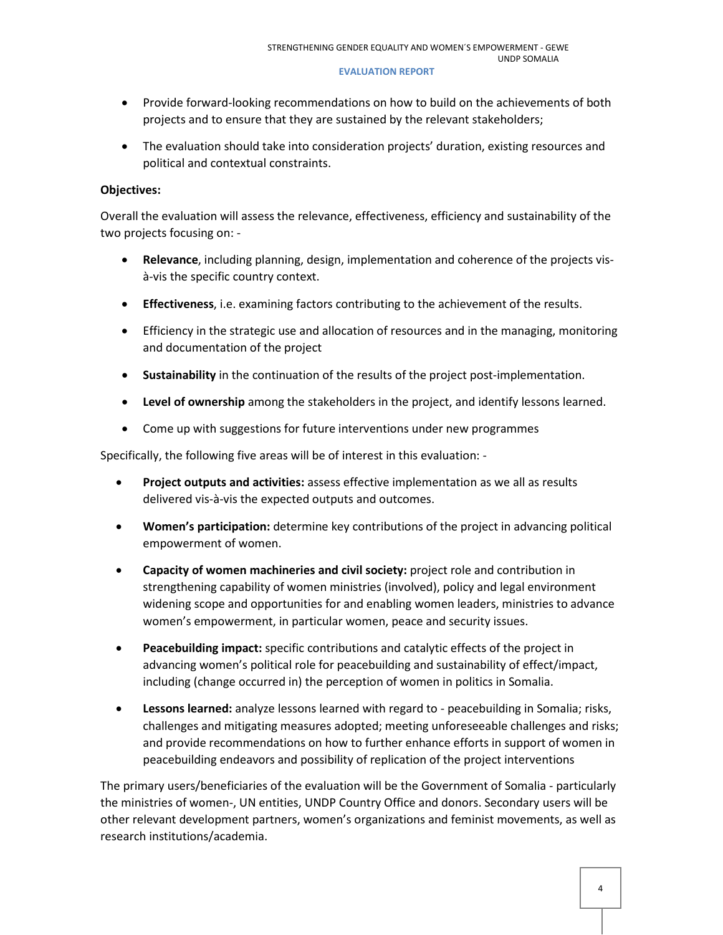- Provide forward-looking recommendations on how to build on the achievements of both projects and to ensure that they are sustained by the relevant stakeholders;
- The evaluation should take into consideration projects' duration, existing resources and political and contextual constraints.

## **Objectives:**

Overall the evaluation will assess the relevance, effectiveness, efficiency and sustainability of the two projects focusing on: -

- **Relevance**, including planning, design, implementation and coherence of the projects visà-vis the specific country context.
- **Effectiveness**, i.e. examining factors contributing to the achievement of the results.
- Efficiency in the strategic use and allocation of resources and in the managing, monitoring and documentation of the project
- **Sustainability** in the continuation of the results of the project post-implementation.
- **Level of ownership** among the stakeholders in the project, and identify lessons learned.
- Come up with suggestions for future interventions under new programmes

Specifically, the following five areas will be of interest in this evaluation: -

- **Project outputs and activities:** assess effective implementation as we all as results delivered vis-à-vis the expected outputs and outcomes.
- **Women's participation:** determine key contributions of the project in advancing political empowerment of women.
- **Capacity of women machineries and civil society:** project role and contribution in strengthening capability of women ministries (involved), policy and legal environment widening scope and opportunities for and enabling women leaders, ministries to advance women's empowerment, in particular women, peace and security issues.
- **Peacebuilding impact:** specific contributions and catalytic effects of the project in advancing women's political role for peacebuilding and sustainability of effect/impact, including (change occurred in) the perception of women in politics in Somalia.
- **Lessons learned:** analyze lessons learned with regard to peacebuilding in Somalia; risks, challenges and mitigating measures adopted; meeting unforeseeable challenges and risks; and provide recommendations on how to further enhance efforts in support of women in peacebuilding endeavors and possibility of replication of the project interventions

The primary users/beneficiaries of the evaluation will be the Government of Somalia - particularly the ministries of women-, UN entities, UNDP Country Office and donors. Secondary users will be other relevant development partners, women's organizations and feminist movements, as well as research institutions/academia.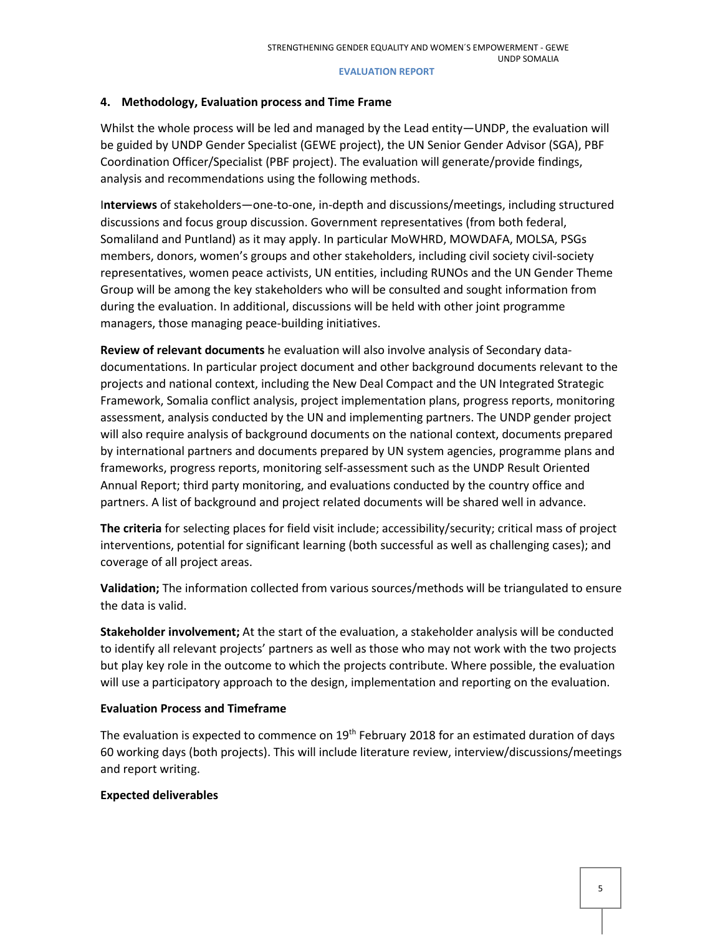## **4. Methodology, Evaluation process and Time Frame**

Whilst the whole process will be led and managed by the Lead entity—UNDP, the evaluation will be guided by UNDP Gender Specialist (GEWE project), the UN Senior Gender Advisor (SGA), PBF Coordination Officer/Specialist (PBF project). The evaluation will generate/provide findings, analysis and recommendations using the following methods.

I**nterviews** of stakeholders—one-to-one, in-depth and discussions/meetings, including structured discussions and focus group discussion. Government representatives (from both federal, Somaliland and Puntland) as it may apply. In particular MoWHRD, MOWDAFA, MOLSA, PSGs members, donors, women's groups and other stakeholders, including civil society civil-society representatives, women peace activists, UN entities, including RUNOs and the UN Gender Theme Group will be among the key stakeholders who will be consulted and sought information from during the evaluation. In additional, discussions will be held with other joint programme managers, those managing peace-building initiatives.

**Review of relevant documents** he evaluation will also involve analysis of Secondary datadocumentations. In particular project document and other background documents relevant to the projects and national context, including the New Deal Compact and the UN Integrated Strategic Framework, Somalia conflict analysis, project implementation plans, progress reports, monitoring assessment, analysis conducted by the UN and implementing partners. The UNDP gender project will also require analysis of background documents on the national context, documents prepared by international partners and documents prepared by UN system agencies, programme plans and frameworks, progress reports, monitoring self-assessment such as the UNDP Result Oriented Annual Report; third party monitoring, and evaluations conducted by the country office and partners. A list of background and project related documents will be shared well in advance.

**The criteria** for selecting places for field visit include; accessibility/security; critical mass of project interventions, potential for significant learning (both successful as well as challenging cases); and coverage of all project areas.

**Validation;** The information collected from various sources/methods will be triangulated to ensure the data is valid.

**Stakeholder involvement;** At the start of the evaluation, a stakeholder analysis will be conducted to identify all relevant projects' partners as well as those who may not work with the two projects but play key role in the outcome to which the projects contribute. Where possible, the evaluation will use a participatory approach to the design, implementation and reporting on the evaluation.

## **Evaluation Process and Timeframe**

The evaluation is expected to commence on 19<sup>th</sup> February 2018 for an estimated duration of days 60 working days (both projects). This will include literature review, interview/discussions/meetings and report writing.

## **Expected deliverables**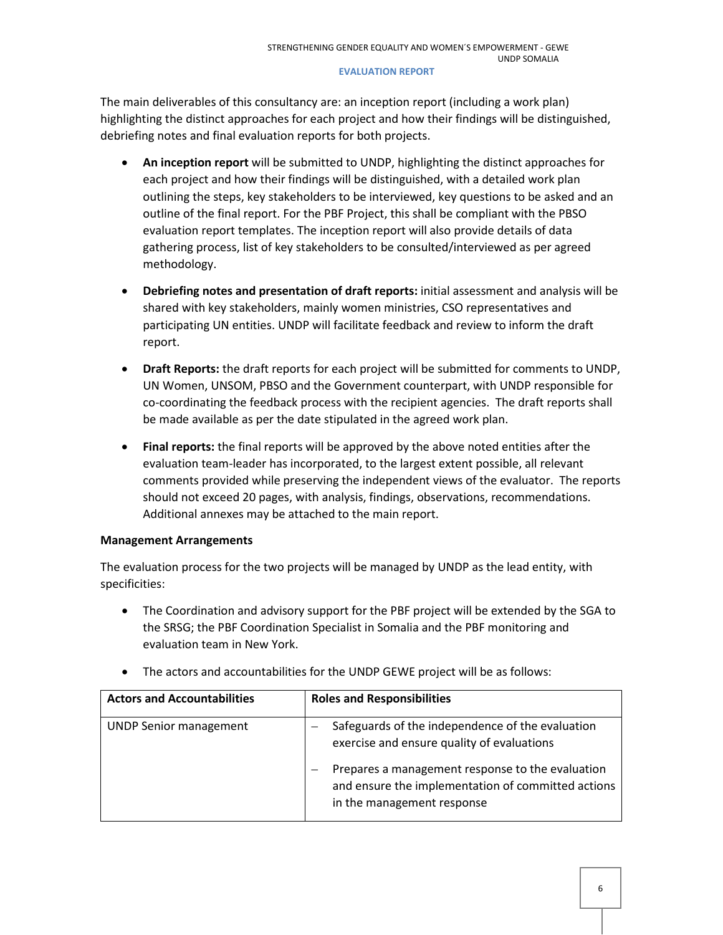The main deliverables of this consultancy are: an inception report (including a work plan) highlighting the distinct approaches for each project and how their findings will be distinguished, debriefing notes and final evaluation reports for both projects.

- **An inception report** will be submitted to UNDP, highlighting the distinct approaches for each project and how their findings will be distinguished, with a detailed work plan outlining the steps, key stakeholders to be interviewed, key questions to be asked and an outline of the final report. For the PBF Project, this shall be compliant with the PBSO evaluation report templates. The inception report will also provide details of data gathering process, list of key stakeholders to be consulted/interviewed as per agreed methodology.
- **Debriefing notes and presentation of draft reports:** initial assessment and analysis will be shared with key stakeholders, mainly women ministries, CSO representatives and participating UN entities. UNDP will facilitate feedback and review to inform the draft report.
- **Draft Reports:** the draft reports for each project will be submitted for comments to UNDP, UN Women, UNSOM, PBSO and the Government counterpart, with UNDP responsible for co-coordinating the feedback process with the recipient agencies. The draft reports shall be made available as per the date stipulated in the agreed work plan.
- **Final reports:** the final reports will be approved by the above noted entities after the evaluation team-leader has incorporated, to the largest extent possible, all relevant comments provided while preserving the independent views of the evaluator. The reports should not exceed 20 pages, with analysis, findings, observations, recommendations. Additional annexes may be attached to the main report.

## **Management Arrangements**

The evaluation process for the two projects will be managed by UNDP as the lead entity, with specificities:

- The Coordination and advisory support for the PBF project will be extended by the SGA to the SRSG; the PBF Coordination Specialist in Somalia and the PBF monitoring and evaluation team in New York.
- **Actors and Accountabilities Roles and Responsibilities** UNDP Senior management  $\vert - \vert$  Safeguards of the independence of the evaluation exercise and ensure quality of evaluations – Prepares a management response to the evaluation and ensure the implementation of committed actions in the management response
- The actors and accountabilities for the UNDP GEWE project will be as follows: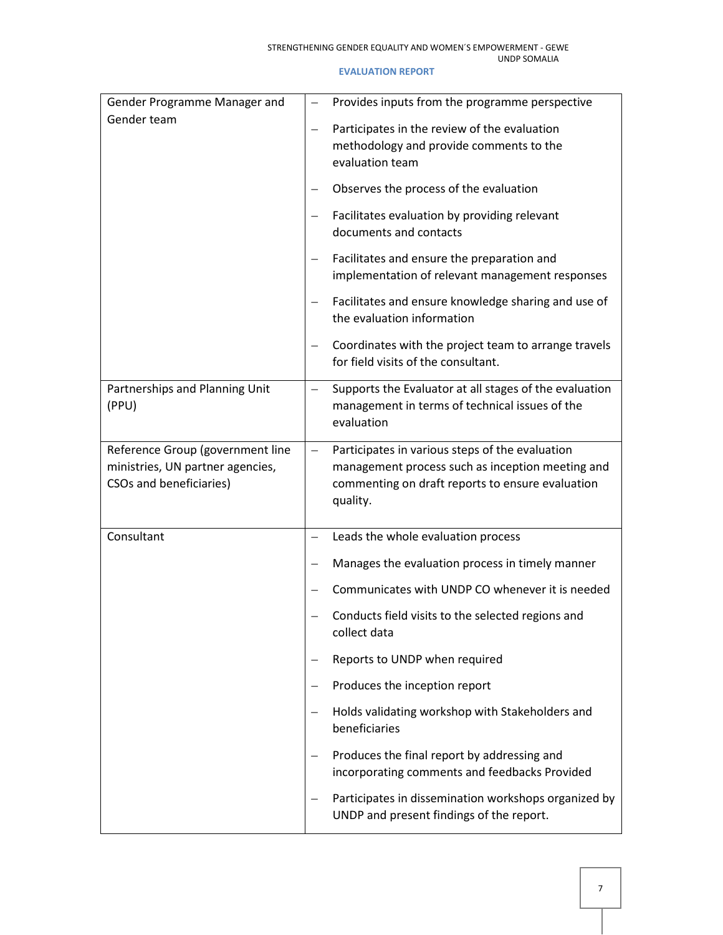### UNDP SOMALIA

| Gender Programme Manager and                                                                    |                   | Provides inputs from the programme perspective                                                                                                                      |
|-------------------------------------------------------------------------------------------------|-------------------|---------------------------------------------------------------------------------------------------------------------------------------------------------------------|
| Gender team                                                                                     | $\qquad \qquad -$ | Participates in the review of the evaluation<br>methodology and provide comments to the<br>evaluation team                                                          |
|                                                                                                 |                   | Observes the process of the evaluation                                                                                                                              |
|                                                                                                 |                   | Facilitates evaluation by providing relevant<br>documents and contacts                                                                                              |
|                                                                                                 |                   | Facilitates and ensure the preparation and<br>implementation of relevant management responses                                                                       |
|                                                                                                 |                   | Facilitates and ensure knowledge sharing and use of<br>the evaluation information                                                                                   |
|                                                                                                 |                   | Coordinates with the project team to arrange travels<br>for field visits of the consultant.                                                                         |
| Partnerships and Planning Unit<br>(PPU)                                                         | $\qquad \qquad -$ | Supports the Evaluator at all stages of the evaluation<br>management in terms of technical issues of the<br>evaluation                                              |
| Reference Group (government line<br>ministries, UN partner agencies,<br>CSOs and beneficiaries) | $\equiv$          | Participates in various steps of the evaluation<br>management process such as inception meeting and<br>commenting on draft reports to ensure evaluation<br>quality. |
| Consultant                                                                                      | $\equiv$          | Leads the whole evaluation process                                                                                                                                  |
|                                                                                                 |                   | Manages the evaluation process in timely manner                                                                                                                     |
|                                                                                                 |                   | Communicates with UNDP CO whenever it is needed                                                                                                                     |
|                                                                                                 |                   | Conducts field visits to the selected regions and<br>collect data                                                                                                   |
|                                                                                                 |                   | Reports to UNDP when required                                                                                                                                       |
|                                                                                                 | $\equiv$          | Produces the inception report                                                                                                                                       |
|                                                                                                 |                   | Holds validating workshop with Stakeholders and<br>beneficiaries                                                                                                    |
|                                                                                                 |                   | Produces the final report by addressing and<br>incorporating comments and feedbacks Provided                                                                        |
|                                                                                                 |                   | Participates in dissemination workshops organized by<br>UNDP and present findings of the report.                                                                    |

### **EVALUATION REPORT**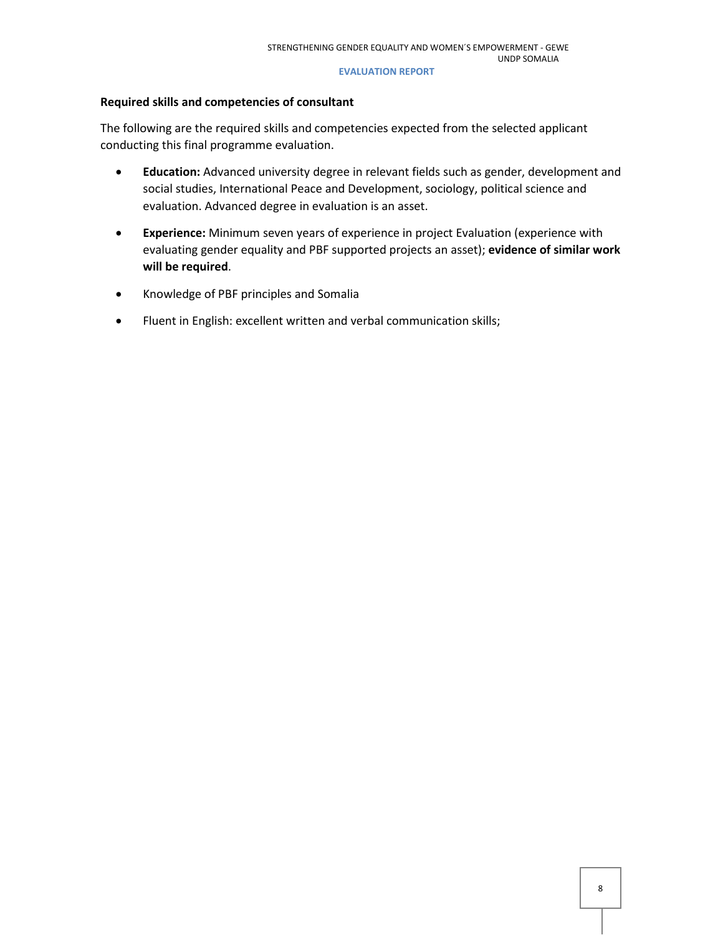## **Required skills and competencies of consultant**

The following are the required skills and competencies expected from the selected applicant conducting this final programme evaluation.

- **Education:** Advanced university degree in relevant fields such as gender, development and social studies, International Peace and Development, sociology, political science and evaluation. Advanced degree in evaluation is an asset.
- **Experience:** Minimum seven years of experience in project Evaluation (experience with evaluating gender equality and PBF supported projects an asset); **evidence of similar work will be required**.
- Knowledge of PBF principles and Somalia
- Fluent in English: excellent written and verbal communication skills;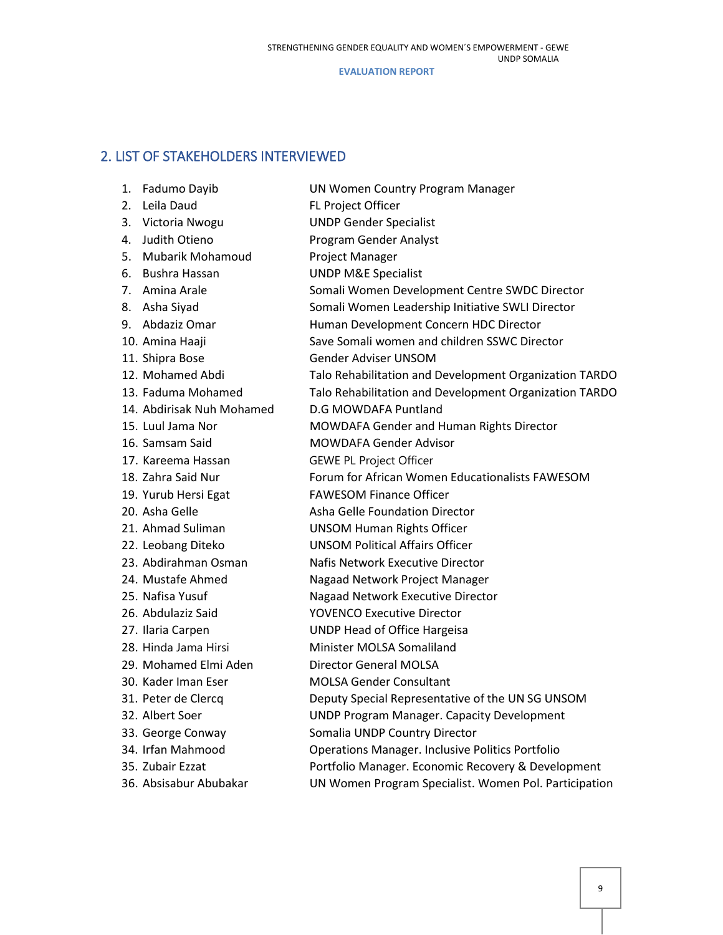## <span id="page-8-0"></span>2. LIST OF STAKEHOLDERS INTERVIEWED

| Fadumo Dayib<br>1.            | UN Women Country Program Manager                        |
|-------------------------------|---------------------------------------------------------|
| Leila Daud<br>2.              | FL Project Officer                                      |
| 3.<br>Victoria Nwogu          | <b>UNDP Gender Specialist</b>                           |
| Judith Otieno<br>4.           | Program Gender Analyst                                  |
| <b>Mubarik Mohamoud</b><br>5. | Project Manager                                         |
| Bushra Hassan<br>6.           | <b>UNDP M&amp;E Specialist</b>                          |
| Amina Arale<br>7.             | Somali Women Development Centre SWDC Director           |
| 8. Asha Siyad                 | Somali Women Leadership Initiative SWLI Director        |
| 9. Abdaziz Omar               | Human Development Concern HDC Director                  |
| 10. Amina Haaji               | Save Somali women and children SSWC Director            |
| 11. Shipra Bose               | <b>Gender Adviser UNSOM</b>                             |
| 12. Mohamed Abdi              | Talo Rehabilitation and Development Organization TARDO  |
| 13. Faduma Mohamed            | Talo Rehabilitation and Development Organization TARDO  |
| 14. Abdirisak Nuh Mohamed     | <b>D.G MOWDAFA Puntland</b>                             |
| 15. Luul Jama Nor             | MOWDAFA Gender and Human Rights Director                |
| 16. Samsam Said               | MOWDAFA Gender Advisor                                  |
| 17. Kareema Hassan            | <b>GEWE PL Project Officer</b>                          |
| 18. Zahra Said Nur            | Forum for African Women Educationalists FAWESOM         |
| 19. Yurub Hersi Egat          | <b>FAWESOM Finance Officer</b>                          |
| 20. Asha Gelle                | <b>Asha Gelle Foundation Director</b>                   |
| 21. Ahmad Suliman             | <b>UNSOM Human Rights Officer</b>                       |
| 22. Leobang Diteko            | <b>UNSOM Political Affairs Officer</b>                  |
| 23. Abdirahman Osman          | Nafis Network Executive Director                        |
| 24. Mustafe Ahmed             | Nagaad Network Project Manager                          |
| 25. Nafisa Yusuf              | Nagaad Network Executive Director                       |
| 26. Abdulaziz Said            | <b>YOVENCO Executive Director</b>                       |
| 27. Ilaria Carpen             | <b>UNDP Head of Office Hargeisa</b>                     |
| 28. Hinda Jama Hirsi          | Minister MOLSA Somaliland                               |
| 29. Mohamed Elmi Aden         | Director General MOLSA                                  |
| 30. Kader Iman Eser           | <b>MOLSA Gender Consultant</b>                          |
| 31. Peter de Clercq           | Deputy Special Representative of the UN SG UNSOM        |
| 32. Albert Soer               | <b>UNDP Program Manager. Capacity Development</b>       |
| 33. George Conway             | Somalia UNDP Country Director                           |
| 34. Irfan Mahmood             | <b>Operations Manager. Inclusive Politics Portfolio</b> |
| 35. Zubair Ezzat              | Portfolio Manager. Economic Recovery & Development      |
| 36. Absisabur Abubakar        | UN Women Program Specialist. Women Pol. Participation   |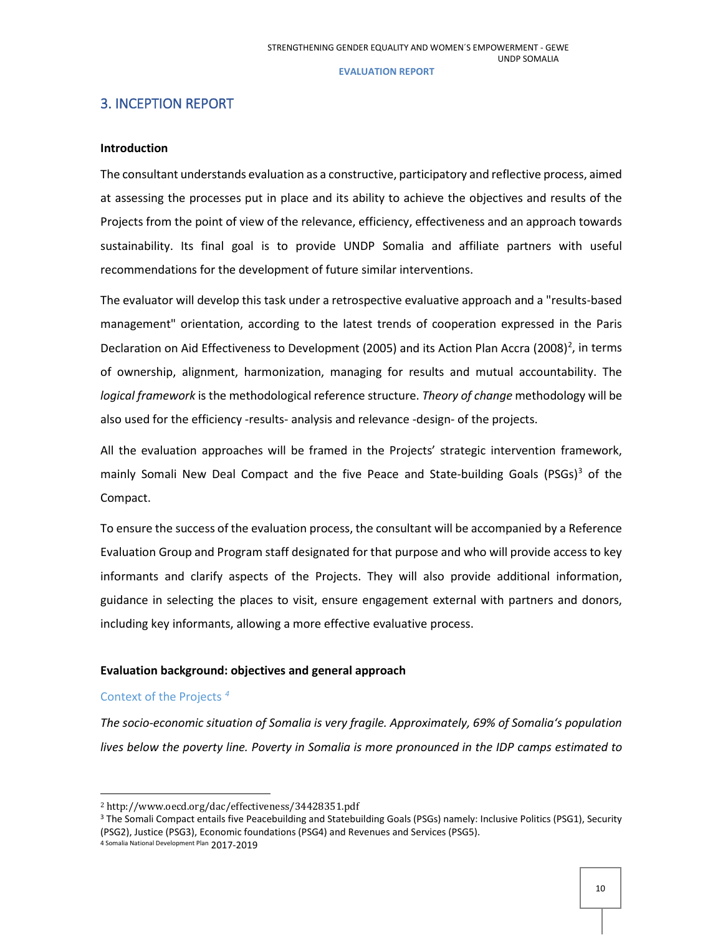## <span id="page-9-0"></span>3. INCEPTION REPORT

### **Introduction**

The consultant understands evaluation as a constructive, participatory and reflective process, aimed at assessing the processes put in place and its ability to achieve the objectives and results of the Projects from the point of view of the relevance, efficiency, effectiveness and an approach towards sustainability. Its final goal is to provide UNDP Somalia and affiliate partners with useful recommendations for the development of future similar interventions.

The evaluator will develop this task under a retrospective evaluative approach and a "results-based management" orientation, according to the latest trends of cooperation expressed in the Paris Declaration on Aid Effectiveness to Development ([2](#page-9-1)005) and its Action Plan Accra (2008)<sup>2</sup>, in terms of ownership, alignment, harmonization, managing for results and mutual accountability. The *logical framework* is the methodological reference structure. *Theory of change* methodology will be also used for the efficiency -results- analysis and relevance -design- of the projects.

All the evaluation approaches will be framed in the Projects' strategic intervention framework, mainly Somali New Deal Compact and the five Peace and State-building Goals (PSGs) $3$  of the Compact.

To ensure the success of the evaluation process, the consultant will be accompanied by a Reference Evaluation Group and Program staff designated for that purpose and who will provide access to key informants and clarify aspects of the Projects. They will also provide additional information, guidance in selecting the places to visit, ensure engagement external with partners and donors, including key informants, allowing a more effective evaluative process.

## **Evaluation background: objectives and general approach**

### Context of the Projects *[4](#page-9-3)*

<u>.</u>

*The socio-economic situation of Somalia is very fragile. Approximately, 69% of Somalia's population lives below the poverty line. Poverty in Somalia is more pronounced in the IDP camps estimated to* 

<span id="page-9-1"></span><sup>2</sup> http://www.oecd.org/dac/effectiveness/34428351.pdf

<span id="page-9-2"></span><sup>&</sup>lt;sup>3</sup> The Somali Compact entails five Peacebuilding and Statebuilding Goals (PSGs) namely: Inclusive Politics (PSG1), Security (PSG2), Justice (PSG3), Economic foundations (PSG4) and Revenues and Services (PSG5).

<span id="page-9-3"></span><sup>4</sup> Somalia National Development Plan 2017-2019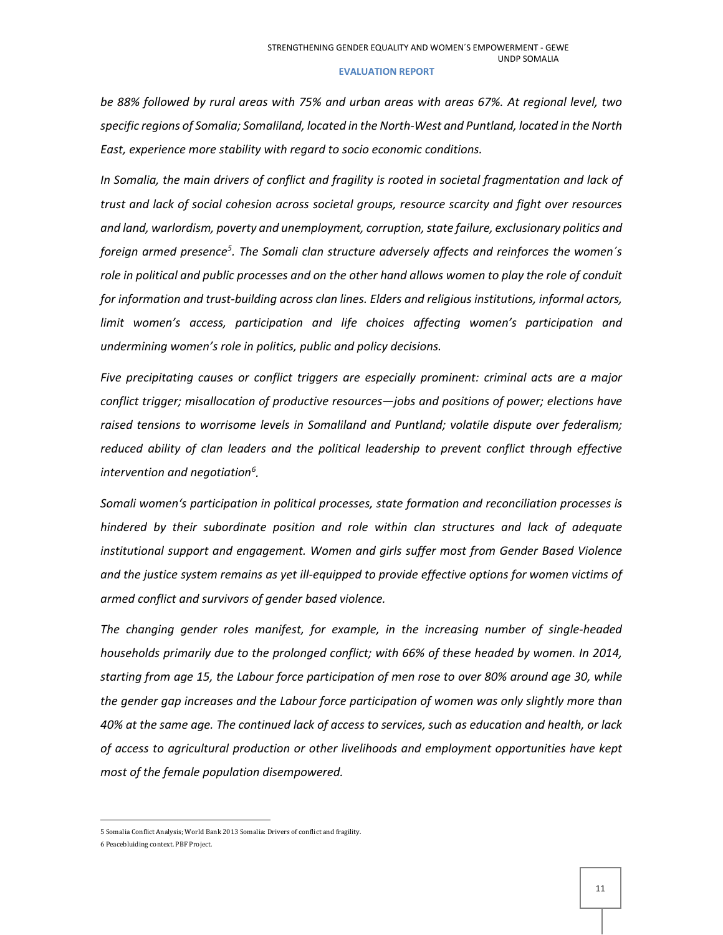*be 88% followed by rural areas with 75% and urban areas with areas 67%. At regional level, two specific regions of Somalia; Somaliland, located in the North-West and Puntland, located in the North East, experience more stability with regard to socio economic conditions.* 

*In Somalia, the main drivers of conflict and fragility is rooted in societal fragmentation and lack of trust and lack of social cohesion across societal groups, resource scarcity and fight over resources and land, warlordism, poverty and unemployment, corruption, state failure, exclusionary politics and foreign armed presence[5](#page-10-0) . The Somali clan structure adversely affects and reinforces the women´s role in political and public processes and on the other hand allows women to play the role of conduit for information and trust-building across clan lines. Elders and religious institutions, informal actors, limit women's access, participation and life choices affecting women's participation and undermining women's role in politics, public and policy decisions.*

*Five precipitating causes or conflict triggers are especially prominent: criminal acts are a major conflict trigger; misallocation of productive resources—jobs and positions of power; elections have raised tensions to worrisome levels in Somaliland and Puntland; volatile dispute over federalism; reduced ability of clan leaders and the political leadership to prevent conflict through effective intervention and negotiation[6](#page-10-1) .* 

*Somali women's participation in political processes, state formation and reconciliation processes is hindered by their subordinate position and role within clan structures and lack of adequate institutional support and engagement. Women and girls suffer most from Gender Based Violence and the justice system remains as yet ill-equipped to provide effective options for women victims of armed conflict and survivors of gender based violence.* 

*The changing gender roles manifest, for example, in the increasing number of single-headed households primarily due to the prolonged conflict; with 66% of these headed by women. In 2014, starting from age 15, the Labour force participation of men rose to over 80% around age 30, while the gender gap increases and the Labour force participation of women was only slightly more than 40% at the same age. The continued lack of access to services, such as education and health, or lack of access to agricultural production or other livelihoods and employment opportunities have kept most of the female population disempowered.*

**.** 

<span id="page-10-0"></span><sup>5</sup> Somalia Conflict Analysis; World Bank 2013 Somalia: Drivers of conflict and fragility.

<span id="page-10-1"></span><sup>6</sup> Peacebluiding context. PBF Project.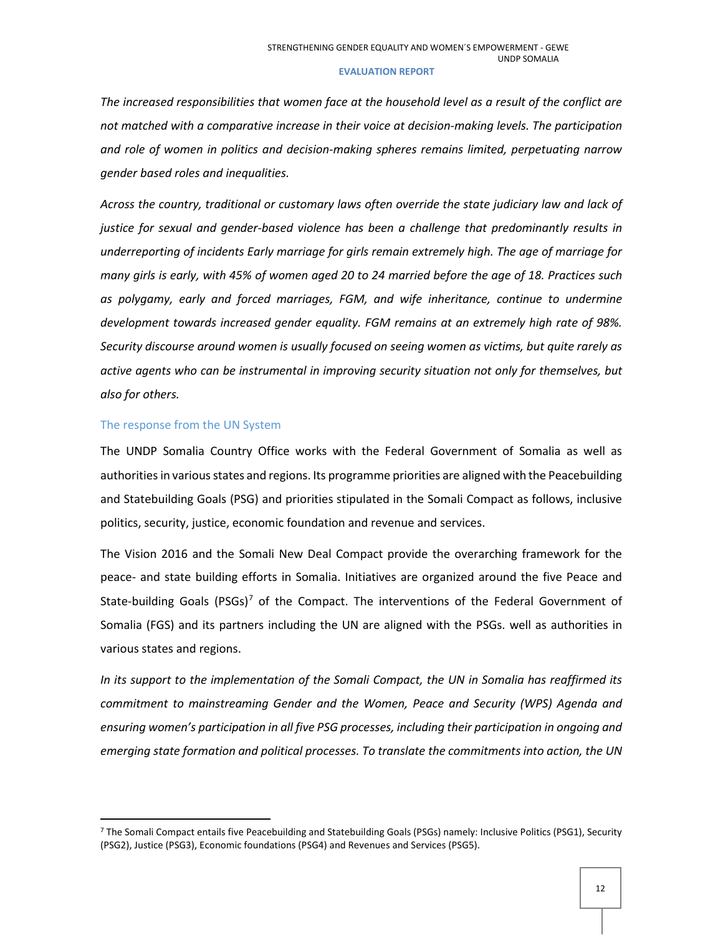*The increased responsibilities that women face at the household level as a result of the conflict are not matched with a comparative increase in their voice at decision-making levels. The participation and role of women in politics and decision-making spheres remains limited, perpetuating narrow gender based roles and inequalities.* 

*Across the country, traditional or customary laws often override the state judiciary law and lack of justice for sexual and gender-based violence has been a challenge that predominantly results in underreporting of incidents Early marriage for girls remain extremely high. The age of marriage for many girls is early, with 45% of women aged 20 to 24 married before the age of 18. Practices such as polygamy, early and forced marriages, FGM, and wife inheritance, continue to undermine development towards increased gender equality. FGM remains at an extremely high rate of 98%. Security discourse around women is usually focused on seeing women as victims, but quite rarely as active agents who can be instrumental in improving security situation not only for themselves, but also for others.* 

### The response from the UN System

The UNDP Somalia Country Office works with the Federal Government of Somalia as well as authorities in various states and regions. Its programme priorities are aligned with the Peacebuilding and Statebuilding Goals (PSG) and priorities stipulated in the Somali Compact as follows, inclusive politics, security, justice, economic foundation and revenue and services.

The Vision 2016 and the Somali New Deal Compact provide the overarching framework for the peace- and state building efforts in Somalia. Initiatives are organized around the five Peace and State-building Goals (PSGs)<sup>[7](#page-11-0)</sup> of the Compact. The interventions of the Federal Government of Somalia (FGS) and its partners including the UN are aligned with the PSGs. well as authorities in various states and regions.

*In its support to the implementation of the Somali Compact, the UN in Somalia has reaffirmed its commitment to mainstreaming Gender and the Women, Peace and Security (WPS) Agenda and ensuring women's participation in all five PSG processes, including their participation in ongoing and emerging state formation and political processes. To translate the commitments into action, the UN* 

<span id="page-11-0"></span> <sup>7</sup> The Somali Compact entails five Peacebuilding and Statebuilding Goals (PSGs) namely: Inclusive Politics (PSG1), Security (PSG2), Justice (PSG3), Economic foundations (PSG4) and Revenues and Services (PSG5).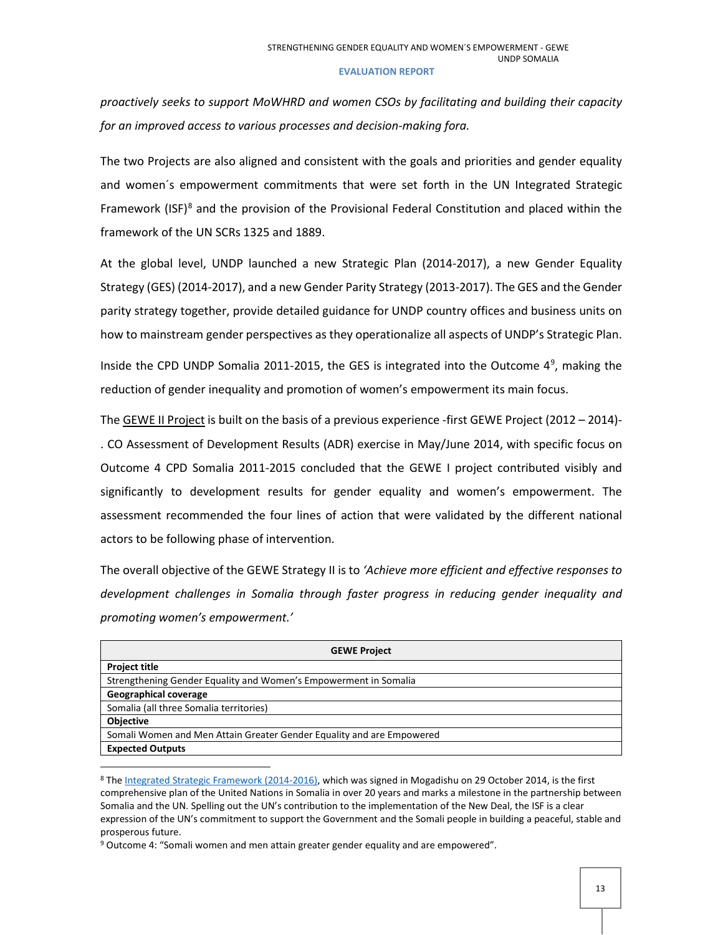*proactively seeks to support MoWHRD and women CSOs by facilitating and building their capacity for an improved access to various processes and decision-making fora.* 

The two Projects are also aligned and consistent with the goals and priorities and gender equality and women´s empowerment commitments that were set forth in the UN Integrated Strategic Framework (ISF)<sup>[8](#page-12-0)</sup> and the provision of the Provisional Federal Constitution and placed within the framework of the UN SCRs 1325 and 1889.

At the global level, UNDP launched a new Strategic Plan (2014-2017), a new Gender Equality Strategy (GES) (2014-2017), and a new Gender Parity Strategy (2013-2017). The GES and the Gender parity strategy together, provide detailed guidance for UNDP country offices and business units on how to mainstream gender perspectives as they operationalize all aspects of UNDP's Strategic Plan.

Inside the CPD UNDP Somalia 2011-2015, the GES is integrated into the Outcome  $4^9$  $4^9$ , making the reduction of gender inequality and promotion of women's empowerment its main focus.

The GEWE II Project is built on the basis of a previous experience -first GEWE Project (2012 – 2014)- . CO Assessment of Development Results (ADR) exercise in May/June 2014, with specific focus on Outcome 4 CPD Somalia 2011-2015 concluded that the GEWE I project contributed visibly and significantly to development results for gender equality and women's empowerment. The assessment recommended the four lines of action that were validated by the different national actors to be following phase of intervention.

The overall objective of the GEWE Strategy II is to *'Achieve more efficient and effective responses to development challenges in Somalia through faster progress in reducing gender inequality and promoting women's empowerment.'* 

| <b>GEWE Project</b>                                                   |  |  |  |  |
|-----------------------------------------------------------------------|--|--|--|--|
| <b>Project title</b>                                                  |  |  |  |  |
| Strengthening Gender Equality and Women's Empowerment in Somalia      |  |  |  |  |
| <b>Geographical coverage</b>                                          |  |  |  |  |
| Somalia (all three Somalia territories)                               |  |  |  |  |
| <b>Objective</b>                                                      |  |  |  |  |
| Somali Women and Men Attain Greater Gender Equality and are Empowered |  |  |  |  |
| <b>Expected Outputs</b>                                               |  |  |  |  |

<span id="page-12-0"></span><sup>8</sup> The [Integrated Strategic Framework](https://unsom.unmissions.org/sites/default/files/old_dnn/docs/Somalia%20ISF%202014-2016%20FINAL%20signed.pdf) (2014-2016), which was signed in Mogadishu on 29 October 2014, is the first comprehensive plan of the United Nations in Somalia in over 20 years and marks a milestone in the partnership between Somalia and the UN. Spelling out the UN's contribution to the implementation of the New Deal, the ISF is a clear expression of the UN's commitment to support the Government and the Somali people in building a peaceful, stable and prosperous future.

<span id="page-12-1"></span><sup>9</sup> Outcome 4: "Somali women and men attain greater gender equality and are empowered".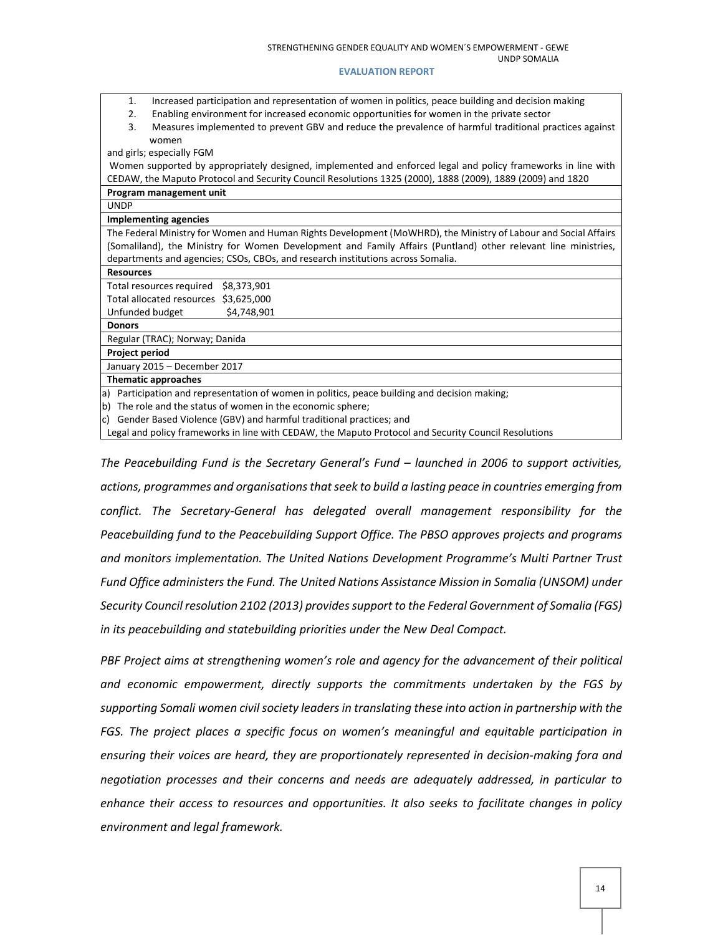- 1. Increased participation and representation of women in politics, peace building and decision making
- 2. Enabling environment for increased economic opportunities for women in the private sector
- 3. Measures implemented to prevent GBV and reduce the prevalence of harmful traditional practices against women

and girls; especially FGM

Women supported by appropriately designed, implemented and enforced legal and policy frameworks in line with CEDAW, the Maputo Protocol and Security Council Resolutions 1325 (2000), 1888 (2009), 1889 (2009) and 1820

**Program management unit**

UNDP

### **Implementing agencies**

The Federal Ministry for Women and Human Rights Development (MoWHRD), the Ministry of Labour and Social Affairs (Somaliland), the Ministry for Women Development and Family Affairs (Puntland) other relevant line ministries, departments and agencies; CSOs, CBOs, and research institutions across Somalia.

### **Resources**

Total resources required \$8,373,901 Total allocated resources \$3,625,000 Unfunded budget \$4,748,901

**Donors**

Regular (TRAC); Norway; Danida

**Project period**

January 2015 – December 2017

**Thematic approaches**

a) Participation and representation of women in politics, peace building and decision making;

b) The role and the status of women in the economic sphere;

c) Gender Based Violence (GBV) and harmful traditional practices; and

Legal and policy frameworks in line with CEDAW, the Maputo Protocol and Security Council Resolutions

*The Peacebuilding Fund is the Secretary General's Fund – launched in 2006 to support activities, actions, programmes and organisations that seek to build a lasting peace in countries emerging from conflict. The Secretary-General has delegated overall management responsibility for the Peacebuilding fund to the Peacebuilding Support Office. The PBSO approves projects and programs and monitors implementation. The United Nations Development Programme's Multi Partner Trust Fund Office administers the Fund. The United Nations Assistance Mission in Somalia (UNSOM) under Security Council resolution 2102 (2013) provides support to the Federal Government of Somalia (FGS) in its peacebuilding and statebuilding priorities under the New Deal Compact.*

*PBF Project aims at strengthening women's role and agency for the advancement of their political and economic empowerment, directly supports the commitments undertaken by the FGS by supporting Somali women civil society leaders in translating these into action in partnership with the FGS. The project places a specific focus on women's meaningful and equitable participation in ensuring their voices are heard, they are proportionately represented in decision-making fora and negotiation processes and their concerns and needs are adequately addressed, in particular to enhance their access to resources and opportunities. It also seeks to facilitate changes in policy environment and legal framework.*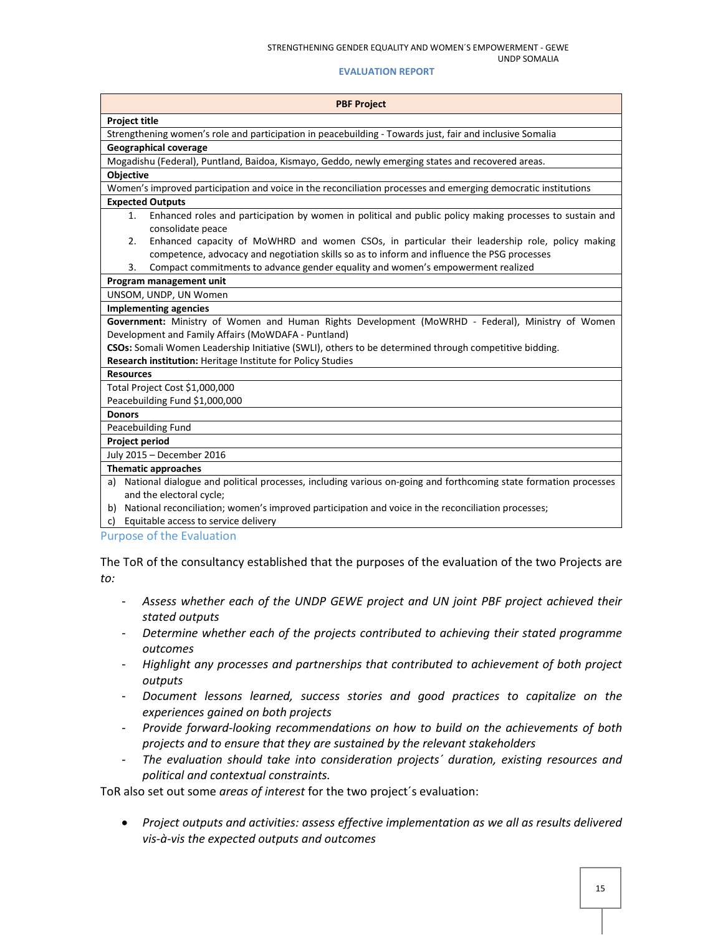UNDP SOMALIA

### **EVALUATION REPORT**

| <b>PBF Project</b>                                                                                                                                                                                  |
|-----------------------------------------------------------------------------------------------------------------------------------------------------------------------------------------------------|
| <b>Project title</b>                                                                                                                                                                                |
| Strengthening women's role and participation in peacebuilding - Towards just, fair and inclusive Somalia                                                                                            |
| <b>Geographical coverage</b>                                                                                                                                                                        |
| Mogadishu (Federal), Puntland, Baidoa, Kismayo, Geddo, newly emerging states and recovered areas.                                                                                                   |
| Objective                                                                                                                                                                                           |
| Women's improved participation and voice in the reconciliation processes and emerging democratic institutions                                                                                       |
| <b>Expected Outputs</b>                                                                                                                                                                             |
| Enhanced roles and participation by women in political and public policy making processes to sustain and<br>1.<br>consolidate peace                                                                 |
| Enhanced capacity of MoWHRD and women CSOs, in particular their leadership role, policy making<br>2.<br>competence, advocacy and negotiation skills so as to inform and influence the PSG processes |
| Compact commitments to advance gender equality and women's empowerment realized<br>3.                                                                                                               |
| Program management unit                                                                                                                                                                             |
| UNSOM, UNDP, UN Women                                                                                                                                                                               |
| <b>Implementing agencies</b>                                                                                                                                                                        |
| Government: Ministry of Women and Human Rights Development (MoWRHD - Federal), Ministry of Women                                                                                                    |
| Development and Family Affairs (MoWDAFA - Puntland)                                                                                                                                                 |
| CSOs: Somali Women Leadership Initiative (SWLI), others to be determined through competitive bidding.                                                                                               |
| Research institution: Heritage Institute for Policy Studies                                                                                                                                         |
| <b>Resources</b>                                                                                                                                                                                    |
| Total Project Cost \$1,000,000                                                                                                                                                                      |
| Peacebuilding Fund \$1,000,000                                                                                                                                                                      |
| <b>Donors</b>                                                                                                                                                                                       |
| Peacebuilding Fund                                                                                                                                                                                  |
| <b>Project period</b>                                                                                                                                                                               |
| July 2015 - December 2016                                                                                                                                                                           |
| <b>Thematic approaches</b>                                                                                                                                                                          |
| a) National dialogue and political processes, including various on-going and forthcoming state formation processes<br>and the electoral cycle;                                                      |
| b) National reconciliation; women's improved participation and voice in the reconciliation processes;                                                                                               |
| c) Equitable access to service delivery                                                                                                                                                             |
| <b>Purpose of the Evaluation</b>                                                                                                                                                                    |
|                                                                                                                                                                                                     |

The ToR of the consultancy established that the purposes of the evaluation of the two Projects are *to:*

- *Assess whether each of the UNDP GEWE project and UN joint PBF project achieved their stated outputs*
- *Determine whether each of the projects contributed to achieving their stated programme outcomes*
- *Highlight any processes and partnerships that contributed to achievement of both project outputs*
- *Document lessons learned, success stories and good practices to capitalize on the experiences gained on both projects*
- *Provide forward-looking recommendations on how to build on the achievements of both projects and to ensure that they are sustained by the relevant stakeholders*
- *The evaluation should take into consideration projects´ duration, existing resources and political and contextual constraints.*

ToR also set out some *areas of interest* for the two project´s evaluation:

• *Project outputs and activities: assess effective implementation as we all as results delivered vis-à-vis the expected outputs and outcomes*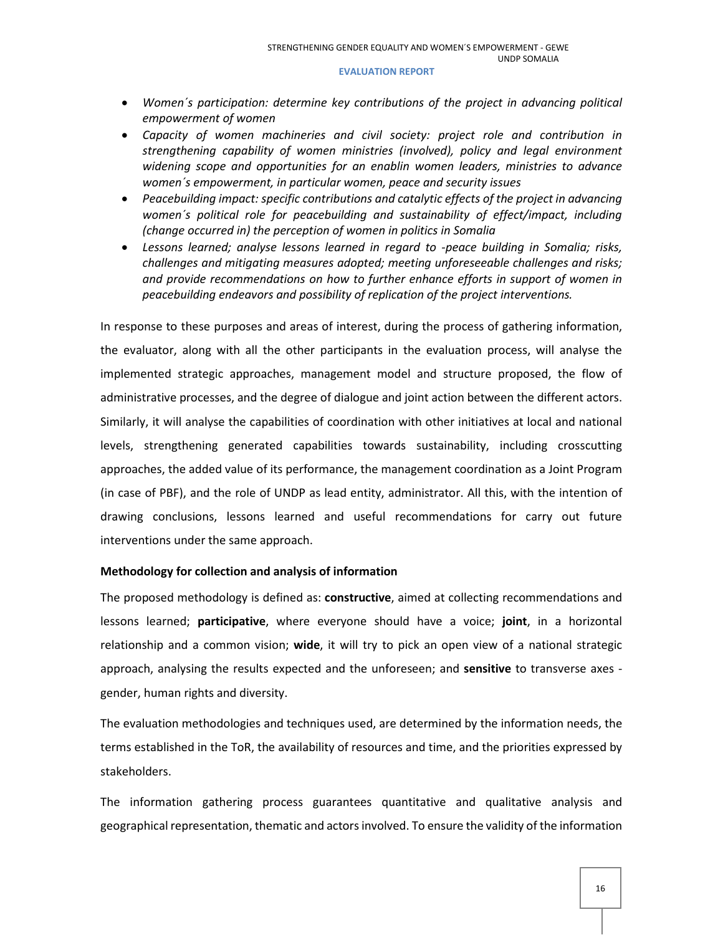- *Women´s participation: determine key contributions of the project in advancing political empowerment of women*
- *Capacity of women machineries and civil society: project role and contribution in strengthening capability of women ministries (involved), policy and legal environment widening scope and opportunities for an enablin women leaders, ministries to advance women´s empowerment, in particular women, peace and security issues*
- *Peacebuilding impact: specific contributions and catalytic effects of the project in advancing women´s political role for peacebuilding and sustainability of effect/impact, including (change occurred in) the perception of women in politics in Somalia*
- *Lessons learned; analyse lessons learned in regard to -peace building in Somalia; risks, challenges and mitigating measures adopted; meeting unforeseeable challenges and risks; and provide recommendations on how to further enhance efforts in support of women in peacebuilding endeavors and possibility of replication of the project interventions.*

In response to these purposes and areas of interest, during the process of gathering information, the evaluator, along with all the other participants in the evaluation process, will analyse the implemented strategic approaches, management model and structure proposed, the flow of administrative processes, and the degree of dialogue and joint action between the different actors. Similarly, it will analyse the capabilities of coordination with other initiatives at local and national levels, strengthening generated capabilities towards sustainability, including crosscutting approaches, the added value of its performance, the management coordination as a Joint Program (in case of PBF), and the role of UNDP as lead entity, administrator. All this, with the intention of drawing conclusions, lessons learned and useful recommendations for carry out future interventions under the same approach.

## **Methodology for collection and analysis of information**

The proposed methodology is defined as: **constructive**, aimed at collecting recommendations and lessons learned; **participative**, where everyone should have a voice; **joint**, in a horizontal relationship and a common vision; **wide**, it will try to pick an open view of a national strategic approach, analysing the results expected and the unforeseen; and **sensitive** to transverse axes gender, human rights and diversity.

The evaluation methodologies and techniques used, are determined by the information needs, the terms established in the ToR, the availability of resources and time, and the priorities expressed by stakeholders.

The information gathering process guarantees quantitative and qualitative analysis and geographical representation, thematic and actors involved. To ensure the validity of the information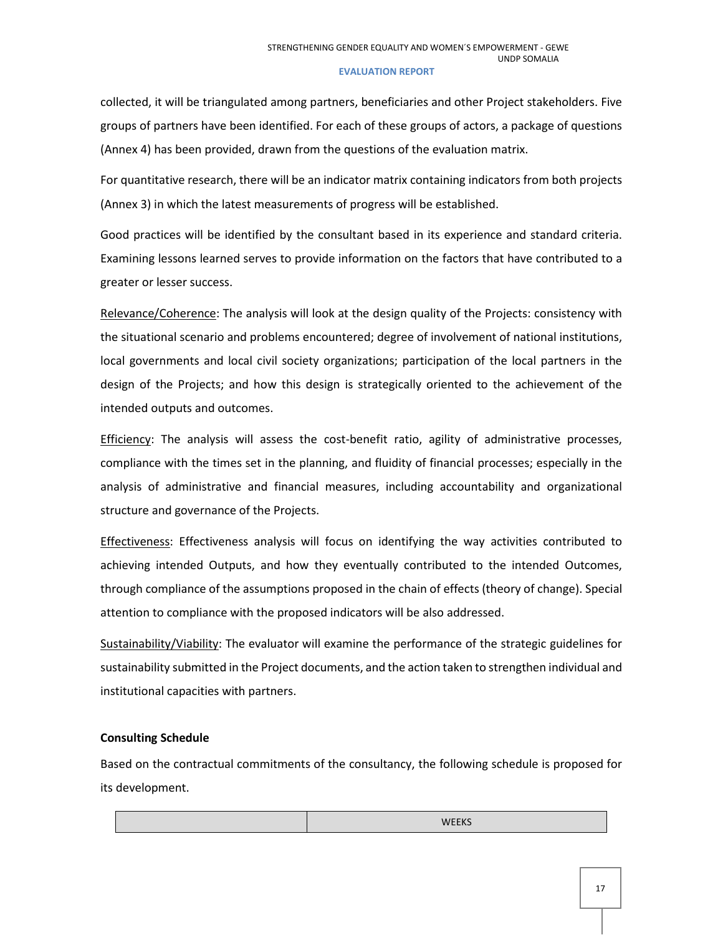collected, it will be triangulated among partners, beneficiaries and other Project stakeholders. Five groups of partners have been identified. For each of these groups of actors, a package of questions (Annex 4) has been provided, drawn from the questions of the evaluation matrix.

For quantitative research, there will be an indicator matrix containing indicators from both projects (Annex 3) in which the latest measurements of progress will be established.

Good practices will be identified by the consultant based in its experience and standard criteria. Examining lessons learned serves to provide information on the factors that have contributed to a greater or lesser success.

Relevance/Coherence: The analysis will look at the design quality of the Projects: consistency with the situational scenario and problems encountered; degree of involvement of national institutions, local governments and local civil society organizations; participation of the local partners in the design of the Projects; and how this design is strategically oriented to the achievement of the intended outputs and outcomes.

Efficiency: The analysis will assess the cost-benefit ratio, agility of administrative processes, compliance with the times set in the planning, and fluidity of financial processes; especially in the analysis of administrative and financial measures, including accountability and organizational structure and governance of the Projects.

Effectiveness: Effectiveness analysis will focus on identifying the way activities contributed to achieving intended Outputs, and how they eventually contributed to the intended Outcomes, through compliance of the assumptions proposed in the chain of effects (theory of change). Special attention to compliance with the proposed indicators will be also addressed.

Sustainability/Viability: The evaluator will examine the performance of the strategic guidelines for sustainability submitted in the Project documents, and the action taken to strengthen individual and institutional capacities with partners.

## **Consulting Schedule**

Based on the contractual commitments of the consultancy, the following schedule is proposed for its development.

| <b>WEEKS</b><br>. |  |
|-------------------|--|
|-------------------|--|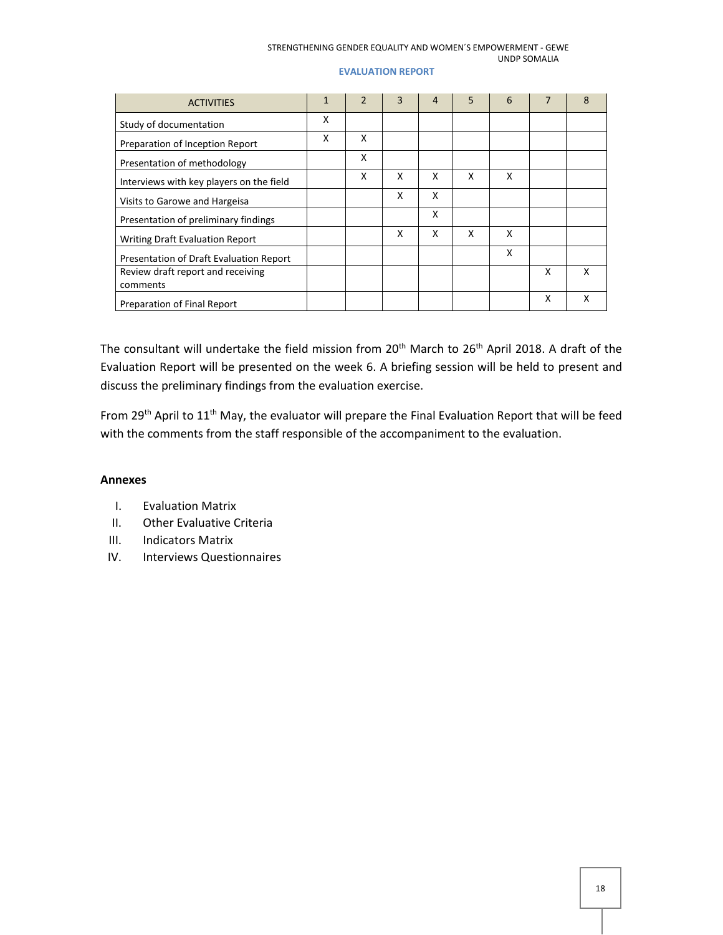### STRENGTHENING GENDER EQUALITY AND WOMEN´S EMPOWERMENT - GEWE UNDP SOMALIA

## **EVALUATION REPORT**

| <b>ACTIVITIES</b>                        | $\mathbf{1}$ | $\mathfrak{p}$ | 3 | 4 | 5 | 6 |   | 8 |
|------------------------------------------|--------------|----------------|---|---|---|---|---|---|
| Study of documentation                   | X            |                |   |   |   |   |   |   |
| Preparation of Inception Report          | x            | x              |   |   |   |   |   |   |
| Presentation of methodology              |              | X              |   |   |   |   |   |   |
| Interviews with key players on the field |              | X              | x | x | X | x |   |   |
| Visits to Garowe and Hargeisa            |              |                | x | x |   |   |   |   |
| Presentation of preliminary findings     |              |                |   | X |   |   |   |   |
| Writing Draft Evaluation Report          |              |                | x | x | X | X |   |   |
| Presentation of Draft Evaluation Report  |              |                |   |   |   | X |   |   |
| Review draft report and receiving        |              |                |   |   |   |   | x | x |
| comments                                 |              |                |   |   |   |   |   |   |
| Preparation of Final Report              |              |                |   |   |   |   | x | x |

The consultant will undertake the field mission from 20<sup>th</sup> March to 26<sup>th</sup> April 2018. A draft of the Evaluation Report will be presented on the week 6. A briefing session will be held to present and discuss the preliminary findings from the evaluation exercise.

From 29<sup>th</sup> April to 11<sup>th</sup> May, the evaluator will prepare the Final Evaluation Report that will be feed with the comments from the staff responsible of the accompaniment to the evaluation.

## **Annexes**

- I. Evaluation Matrix
- II. Other Evaluative Criteria
- III. Indicators Matrix
- IV. Interviews Questionnaires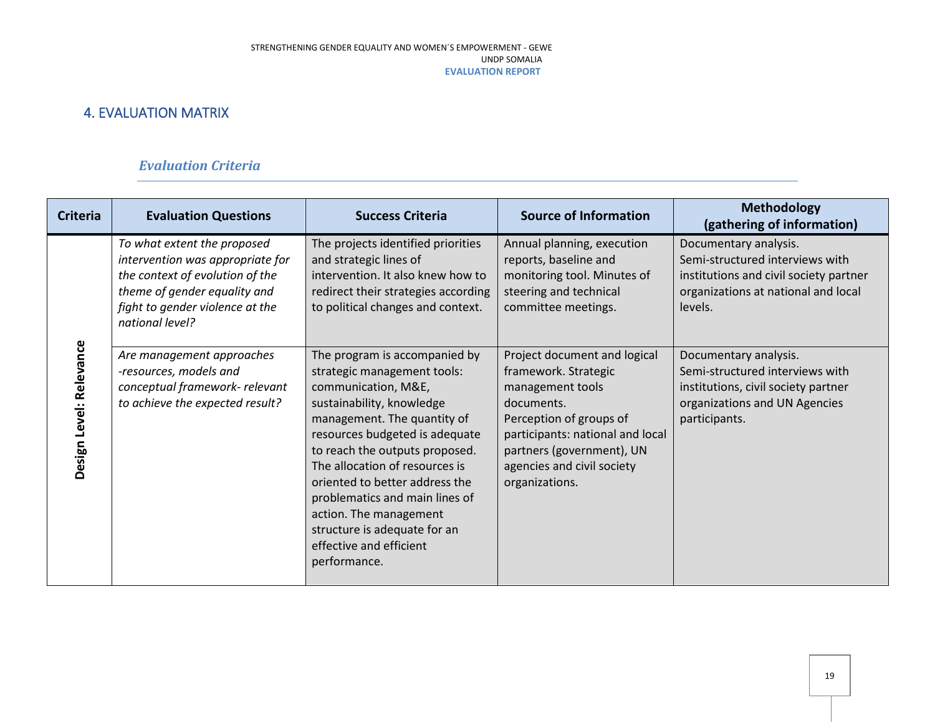## 4. EVALUATION MATRIX

## *Evaluation Criteria*

<span id="page-18-0"></span>

| <b>Criteria</b>         | <b>Evaluation Questions</b>                                                                                                                                                                                           | <b>Success Criteria</b>                                                                                                                                                                                                                                                                                                                                                                       | <b>Source of Information</b>                                                                                                                                                                       | <b>Methodology</b><br>(gathering of information)                                                                                                                              |
|-------------------------|-----------------------------------------------------------------------------------------------------------------------------------------------------------------------------------------------------------------------|-----------------------------------------------------------------------------------------------------------------------------------------------------------------------------------------------------------------------------------------------------------------------------------------------------------------------------------------------------------------------------------------------|----------------------------------------------------------------------------------------------------------------------------------------------------------------------------------------------------|-------------------------------------------------------------------------------------------------------------------------------------------------------------------------------|
|                         | To what extent the proposed<br>intervention was appropriate for<br>the context of evolution of the<br>theme of gender equality and<br>fight to gender violence at the<br>national level?<br>Are management approaches | The projects identified priorities<br>and strategic lines of<br>intervention. It also knew how to<br>redirect their strategies according<br>to political changes and context.<br>The program is accompanied by                                                                                                                                                                                | Annual planning, execution<br>reports, baseline and<br>monitoring tool. Minutes of<br>steering and technical<br>committee meetings.<br>Project document and logical                                | Documentary analysis.<br>Semi-structured interviews with<br>institutions and civil society partner<br>organizations at national and local<br>levels.<br>Documentary analysis. |
| Design Level: Relevance | -resources, models and<br>conceptual framework- relevant<br>to achieve the expected result?                                                                                                                           | strategic management tools:<br>communication, M&E,<br>sustainability, knowledge<br>management. The quantity of<br>resources budgeted is adequate<br>to reach the outputs proposed.<br>The allocation of resources is<br>oriented to better address the<br>problematics and main lines of<br>action. The management<br>structure is adequate for an<br>effective and efficient<br>performance. | framework. Strategic<br>management tools<br>documents.<br>Perception of groups of<br>participants: national and local<br>partners (government), UN<br>agencies and civil society<br>organizations. | Semi-structured interviews with<br>institutions, civil society partner<br>organizations and UN Agencies<br>participants.                                                      |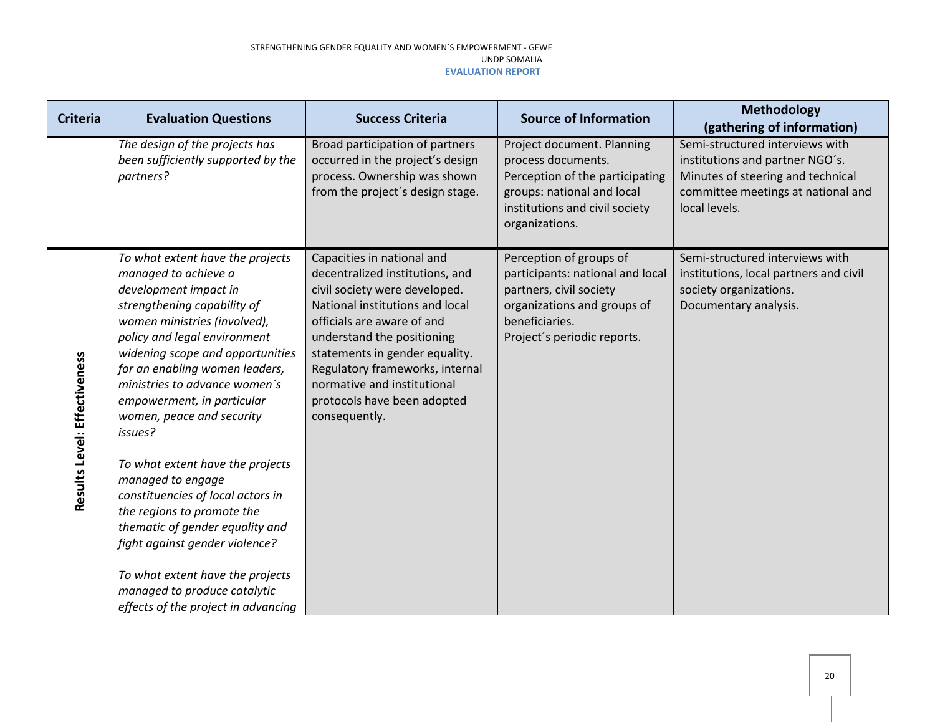| <b>Criteria</b>              | <b>Evaluation Questions</b>                                                                                                                                                                                                                                                                                                                                                                                                                                                                                                                                                                                                                                               | <b>Success Criteria</b>                                                                                                                                                                                                                                                                                                                           | <b>Source of Information</b>                                                                                                                                           | Methodology<br>(gathering of information)                                                                                                                      |
|------------------------------|---------------------------------------------------------------------------------------------------------------------------------------------------------------------------------------------------------------------------------------------------------------------------------------------------------------------------------------------------------------------------------------------------------------------------------------------------------------------------------------------------------------------------------------------------------------------------------------------------------------------------------------------------------------------------|---------------------------------------------------------------------------------------------------------------------------------------------------------------------------------------------------------------------------------------------------------------------------------------------------------------------------------------------------|------------------------------------------------------------------------------------------------------------------------------------------------------------------------|----------------------------------------------------------------------------------------------------------------------------------------------------------------|
|                              | The design of the projects has<br>been sufficiently supported by the<br>partners?                                                                                                                                                                                                                                                                                                                                                                                                                                                                                                                                                                                         | Broad participation of partners<br>occurred in the project's design<br>process. Ownership was shown<br>from the project's design stage.                                                                                                                                                                                                           | Project document. Planning<br>process documents.<br>Perception of the participating<br>groups: national and local<br>institutions and civil society<br>organizations.  | Semi-structured interviews with<br>institutions and partner NGO's.<br>Minutes of steering and technical<br>committee meetings at national and<br>local levels. |
| Results Level: Effectiveness | To what extent have the projects<br>managed to achieve a<br>development impact in<br>strengthening capability of<br>women ministries (involved),<br>policy and legal environment<br>widening scope and opportunities<br>for an enabling women leaders,<br>ministries to advance women's<br>empowerment, in particular<br>women, peace and security<br>issues?<br>To what extent have the projects<br>managed to engage<br>constituencies of local actors in<br>the regions to promote the<br>thematic of gender equality and<br>fight against gender violence?<br>To what extent have the projects<br>managed to produce catalytic<br>effects of the project in advancing | Capacities in national and<br>decentralized institutions, and<br>civil society were developed.<br>National institutions and local<br>officials are aware of and<br>understand the positioning<br>statements in gender equality.<br>Regulatory frameworks, internal<br>normative and institutional<br>protocols have been adopted<br>consequently. | Perception of groups of<br>participants: national and local<br>partners, civil society<br>organizations and groups of<br>beneficiaries.<br>Project's periodic reports. | Semi-structured interviews with<br>institutions, local partners and civil<br>society organizations.<br>Documentary analysis.                                   |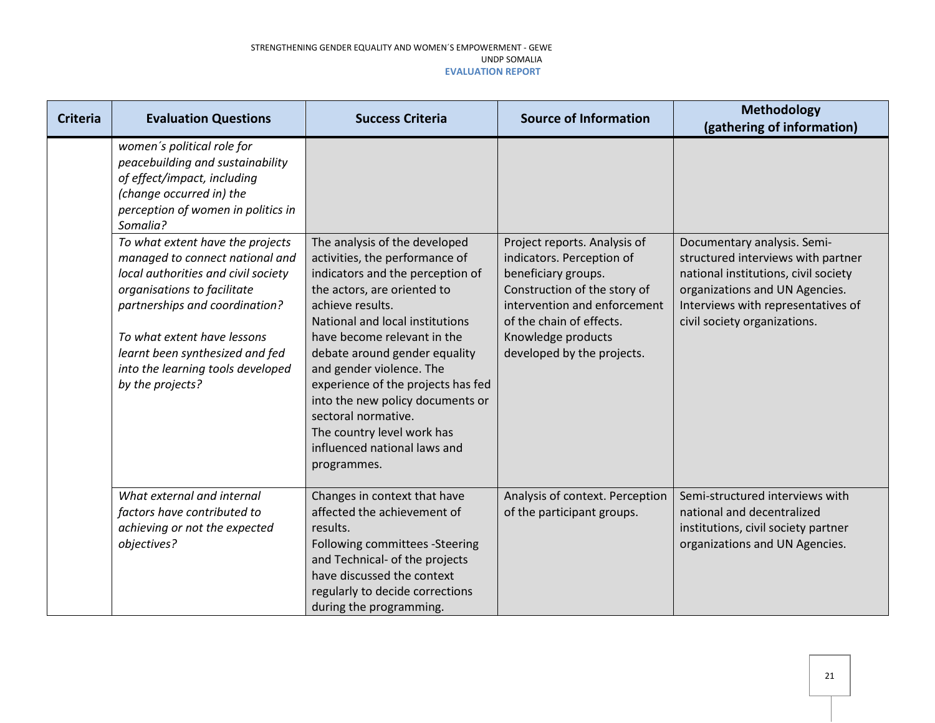| <b>Criteria</b> | <b>Evaluation Questions</b>                                                                                                                                                                                                                                                                            | <b>Success Criteria</b>                                                                                                                                                                                                                                                                                                                                                                                                                                             | <b>Source of Information</b>                                                                                                                                                                                                     | <b>Methodology</b><br>(gathering of information)                                                                                                                                                                  |
|-----------------|--------------------------------------------------------------------------------------------------------------------------------------------------------------------------------------------------------------------------------------------------------------------------------------------------------|---------------------------------------------------------------------------------------------------------------------------------------------------------------------------------------------------------------------------------------------------------------------------------------------------------------------------------------------------------------------------------------------------------------------------------------------------------------------|----------------------------------------------------------------------------------------------------------------------------------------------------------------------------------------------------------------------------------|-------------------------------------------------------------------------------------------------------------------------------------------------------------------------------------------------------------------|
|                 | women's political role for<br>peacebuilding and sustainability<br>of effect/impact, including<br>(change occurred in) the<br>perception of women in politics in<br>Somalia?                                                                                                                            |                                                                                                                                                                                                                                                                                                                                                                                                                                                                     |                                                                                                                                                                                                                                  |                                                                                                                                                                                                                   |
|                 | To what extent have the projects<br>managed to connect national and<br>local authorities and civil society<br>organisations to facilitate<br>partnerships and coordination?<br>To what extent have lessons<br>learnt been synthesized and fed<br>into the learning tools developed<br>by the projects? | The analysis of the developed<br>activities, the performance of<br>indicators and the perception of<br>the actors, are oriented to<br>achieve results.<br>National and local institutions<br>have become relevant in the<br>debate around gender equality<br>and gender violence. The<br>experience of the projects has fed<br>into the new policy documents or<br>sectoral normative.<br>The country level work has<br>influenced national laws and<br>programmes. | Project reports. Analysis of<br>indicators. Perception of<br>beneficiary groups.<br>Construction of the story of<br>intervention and enforcement<br>of the chain of effects.<br>Knowledge products<br>developed by the projects. | Documentary analysis. Semi-<br>structured interviews with partner<br>national institutions, civil society<br>organizations and UN Agencies.<br>Interviews with representatives of<br>civil society organizations. |
|                 | What external and internal<br>factors have contributed to<br>achieving or not the expected<br>objectives?                                                                                                                                                                                              | Changes in context that have<br>affected the achievement of<br>results.<br>Following committees -Steering<br>and Technical- of the projects<br>have discussed the context<br>regularly to decide corrections<br>during the programming.                                                                                                                                                                                                                             | Analysis of context. Perception<br>of the participant groups.                                                                                                                                                                    | Semi-structured interviews with<br>national and decentralized<br>institutions, civil society partner<br>organizations and UN Agencies.                                                                            |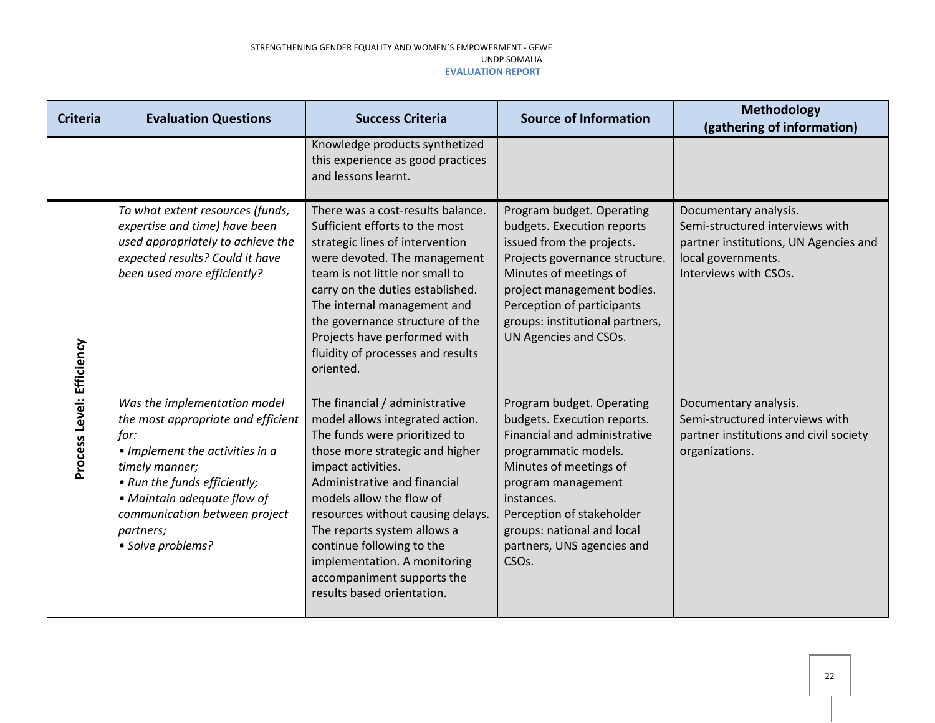| <b>Criteria</b>           | <b>Evaluation Questions</b>                                                                                                                                                                                                                                       | <b>Success Criteria</b>                                                                                                                                                                                                                                                                                                                                                                                              | <b>Source of Information</b>                                                                                                                                                                                                                                                                  | Methodology<br>(gathering of information)                                                                                                        |
|---------------------------|-------------------------------------------------------------------------------------------------------------------------------------------------------------------------------------------------------------------------------------------------------------------|----------------------------------------------------------------------------------------------------------------------------------------------------------------------------------------------------------------------------------------------------------------------------------------------------------------------------------------------------------------------------------------------------------------------|-----------------------------------------------------------------------------------------------------------------------------------------------------------------------------------------------------------------------------------------------------------------------------------------------|--------------------------------------------------------------------------------------------------------------------------------------------------|
|                           |                                                                                                                                                                                                                                                                   | Knowledge products synthetized<br>this experience as good practices<br>and lessons learnt.                                                                                                                                                                                                                                                                                                                           |                                                                                                                                                                                                                                                                                               |                                                                                                                                                  |
|                           | To what extent resources (funds,<br>expertise and time) have been<br>used appropriately to achieve the<br>expected results? Could it have<br>been used more efficiently?                                                                                          | There was a cost-results balance.<br>Sufficient efforts to the most<br>strategic lines of intervention<br>were devoted. The management<br>team is not little nor small to<br>carry on the duties established.<br>The internal management and<br>the governance structure of the<br>Projects have performed with<br>fluidity of processes and results<br>oriented.                                                    | Program budget. Operating<br>budgets. Execution reports<br>issued from the projects.<br>Projects governance structure.<br>Minutes of meetings of<br>project management bodies.<br>Perception of participants<br>groups: institutional partners,<br>UN Agencies and CSOs.                      | Documentary analysis.<br>Semi-structured interviews with<br>partner institutions, UN Agencies and<br>local governments.<br>Interviews with CSOs. |
| Process Level: Efficiency | Was the implementation model<br>the most appropriate and efficient<br>for:<br>• Implement the activities in a<br>timely manner;<br>• Run the funds efficiently;<br>• Maintain adequate flow of<br>communication between project<br>partners;<br>• Solve problems? | The financial / administrative<br>model allows integrated action.<br>The funds were prioritized to<br>those more strategic and higher<br>impact activities.<br>Administrative and financial<br>models allow the flow of<br>resources without causing delays.<br>The reports system allows a<br>continue following to the<br>implementation. A monitoring<br>accompaniment supports the<br>results based orientation. | Program budget. Operating<br>budgets. Execution reports.<br>Financial and administrative<br>programmatic models.<br>Minutes of meetings of<br>program management<br>instances.<br>Perception of stakeholder<br>groups: national and local<br>partners, UNS agencies and<br>CSO <sub>s</sub> . | Documentary analysis.<br>Semi-structured interviews with<br>partner institutions and civil society<br>organizations.                             |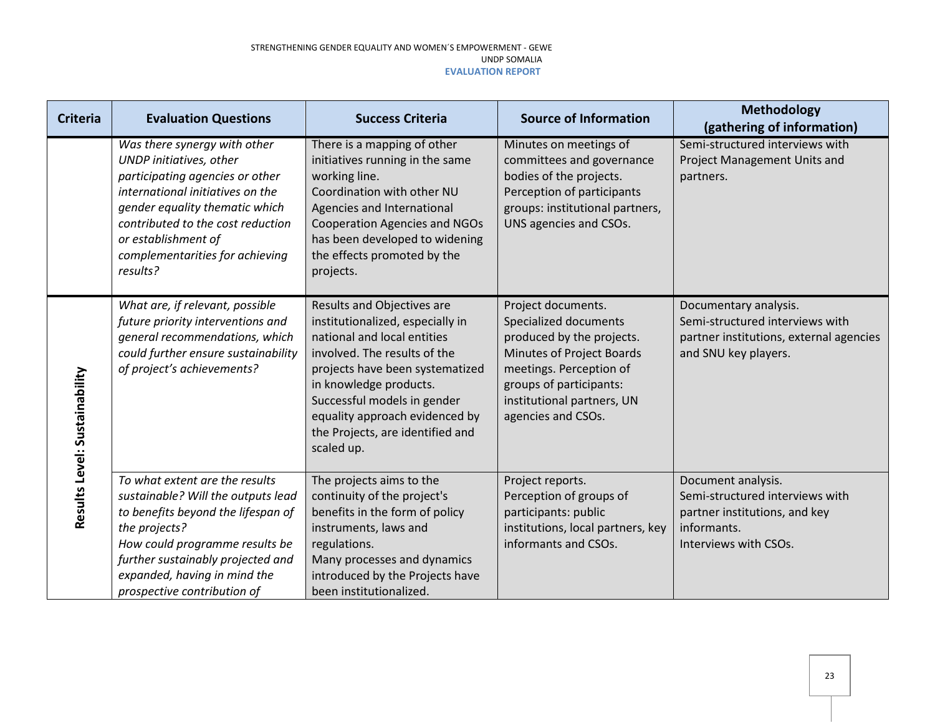| <b>Criteria</b>               | <b>Evaluation Questions</b>                                                                                                                                                                                                                                                 | <b>Success Criteria</b>                                                                                                                                                                                                                                                                                       | <b>Source of Information</b>                                                                                                                                                                                    | <b>Methodology</b><br>(gathering of information)                                                                               |
|-------------------------------|-----------------------------------------------------------------------------------------------------------------------------------------------------------------------------------------------------------------------------------------------------------------------------|---------------------------------------------------------------------------------------------------------------------------------------------------------------------------------------------------------------------------------------------------------------------------------------------------------------|-----------------------------------------------------------------------------------------------------------------------------------------------------------------------------------------------------------------|--------------------------------------------------------------------------------------------------------------------------------|
|                               | Was there synergy with other<br>UNDP initiatives, other<br>participating agencies or other<br>international initiatives on the<br>gender equality thematic which<br>contributed to the cost reduction<br>or establishment of<br>complementarities for achieving<br>results? | There is a mapping of other<br>initiatives running in the same<br>working line.<br>Coordination with other NU<br>Agencies and International<br><b>Cooperation Agencies and NGOs</b><br>has been developed to widening<br>the effects promoted by the<br>projects.                                             | Minutes on meetings of<br>committees and governance<br>bodies of the projects.<br>Perception of participants<br>groups: institutional partners,<br>UNS agencies and CSOs.                                       | Semi-structured interviews with<br>Project Management Units and<br>partners.                                                   |
| Results Level: Sustainability | What are, if relevant, possible<br>future priority interventions and<br>general recommendations, which<br>could further ensure sustainability<br>of project's achievements?                                                                                                 | Results and Objectives are<br>institutionalized, especially in<br>national and local entities<br>involved. The results of the<br>projects have been systematized<br>in knowledge products.<br>Successful models in gender<br>equality approach evidenced by<br>the Projects, are identified and<br>scaled up. | Project documents.<br>Specialized documents<br>produced by the projects.<br>Minutes of Project Boards<br>meetings. Perception of<br>groups of participants:<br>institutional partners, UN<br>agencies and CSOs. | Documentary analysis.<br>Semi-structured interviews with<br>partner institutions, external agencies<br>and SNU key players.    |
|                               | To what extent are the results<br>sustainable? Will the outputs lead<br>to benefits beyond the lifespan of<br>the projects?<br>How could programme results be<br>further sustainably projected and<br>expanded, having in mind the<br>prospective contribution of           | The projects aims to the<br>continuity of the project's<br>benefits in the form of policy<br>instruments, laws and<br>regulations.<br>Many processes and dynamics<br>introduced by the Projects have<br>been institutionalized.                                                                               | Project reports.<br>Perception of groups of<br>participants: public<br>institutions, local partners, key<br>informants and CSOs.                                                                                | Document analysis.<br>Semi-structured interviews with<br>partner institutions, and key<br>informants.<br>Interviews with CSOs. |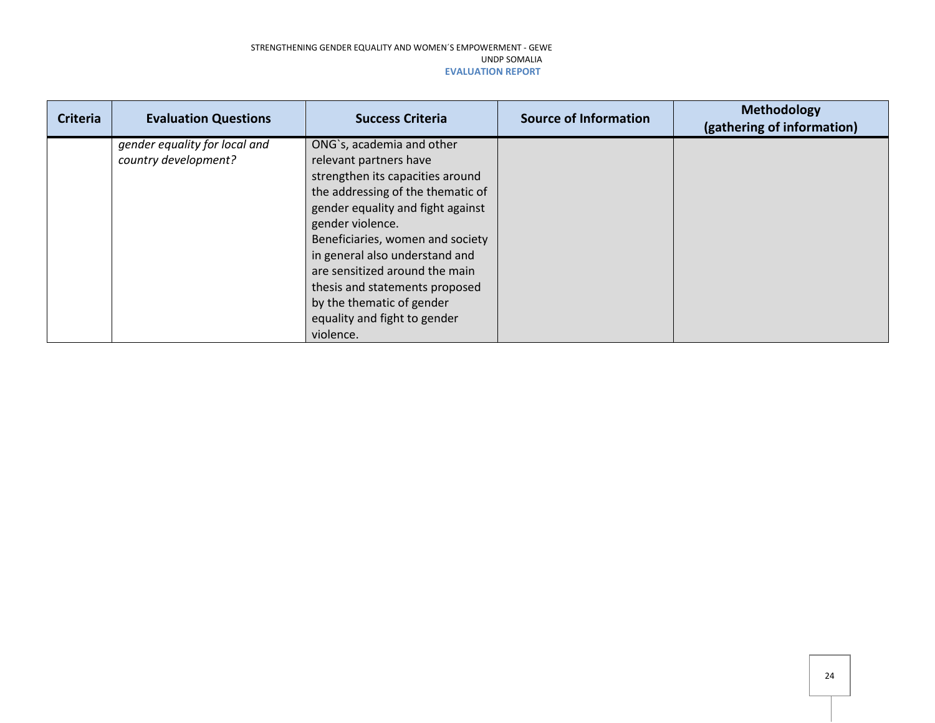| <b>Criteria</b> | <b>Evaluation Questions</b>   | <b>Success Criteria</b>           | <b>Source of Information</b> | Methodology<br>(gathering of information) |
|-----------------|-------------------------------|-----------------------------------|------------------------------|-------------------------------------------|
|                 | gender equality for local and | ONG's, academia and other         |                              |                                           |
|                 | country development?          | relevant partners have            |                              |                                           |
|                 |                               | strengthen its capacities around  |                              |                                           |
|                 |                               | the addressing of the thematic of |                              |                                           |
|                 |                               | gender equality and fight against |                              |                                           |
|                 |                               | gender violence.                  |                              |                                           |
|                 |                               | Beneficiaries, women and society  |                              |                                           |
|                 |                               | in general also understand and    |                              |                                           |
|                 |                               | are sensitized around the main    |                              |                                           |
|                 |                               | thesis and statements proposed    |                              |                                           |
|                 |                               | by the thematic of gender         |                              |                                           |
|                 |                               | equality and fight to gender      |                              |                                           |
|                 |                               | violence.                         |                              |                                           |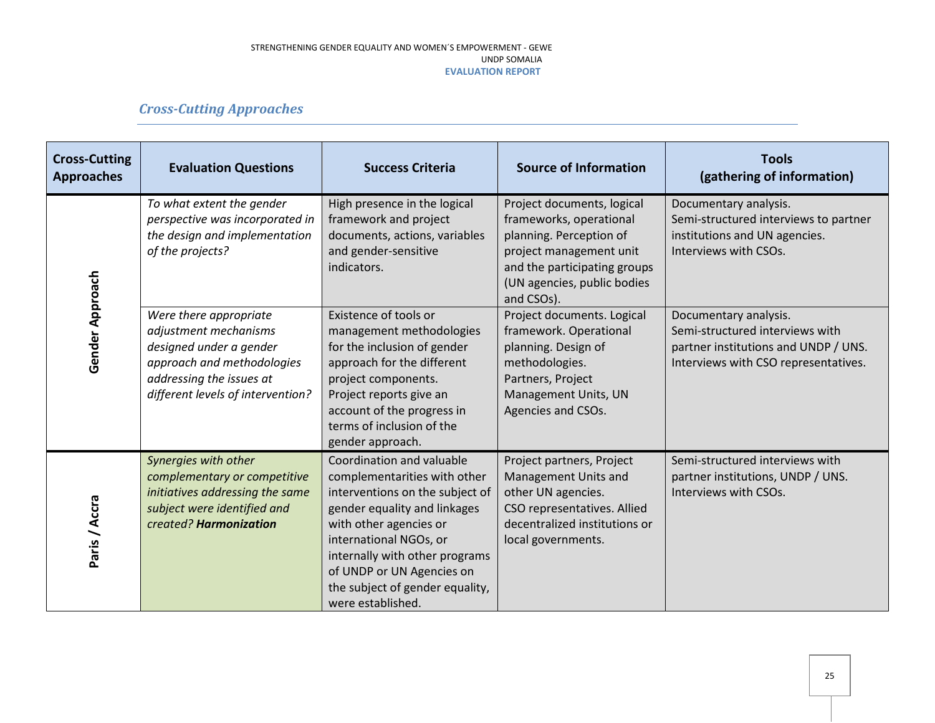## *Cross-Cutting Approaches*

| <b>Cross-Cutting</b><br><b>Approaches</b> | <b>Evaluation Questions</b>                                                                                                                                               | <b>Success Criteria</b>                                                                                                                                                                                                                                                                                 | <b>Source of Information</b>                                                                                                                                                             | <b>Tools</b><br>(gathering of information)                                                                                               |
|-------------------------------------------|---------------------------------------------------------------------------------------------------------------------------------------------------------------------------|---------------------------------------------------------------------------------------------------------------------------------------------------------------------------------------------------------------------------------------------------------------------------------------------------------|------------------------------------------------------------------------------------------------------------------------------------------------------------------------------------------|------------------------------------------------------------------------------------------------------------------------------------------|
|                                           | To what extent the gender<br>perspective was incorporated in<br>the design and implementation<br>of the projects?                                                         | High presence in the logical<br>framework and project<br>documents, actions, variables<br>and gender-sensitive<br>indicators.                                                                                                                                                                           | Project documents, logical<br>frameworks, operational<br>planning. Perception of<br>project management unit<br>and the participating groups<br>(UN agencies, public bodies<br>and CSOs). | Documentary analysis.<br>Semi-structured interviews to partner<br>institutions and UN agencies.<br>Interviews with CSOs.                 |
| Gender Approach                           | Were there appropriate<br>adjustment mechanisms<br>designed under a gender<br>approach and methodologies<br>addressing the issues at<br>different levels of intervention? | Existence of tools or<br>management methodologies<br>for the inclusion of gender<br>approach for the different<br>project components.<br>Project reports give an<br>account of the progress in<br>terms of inclusion of the<br>gender approach.                                                         | Project documents. Logical<br>framework. Operational<br>planning. Design of<br>methodologies.<br>Partners, Project<br>Management Units, UN<br>Agencies and CSOs.                         | Documentary analysis.<br>Semi-structured interviews with<br>partner institutions and UNDP / UNS.<br>Interviews with CSO representatives. |
| Paris / Accra                             | Synergies with other<br>complementary or competitive<br>initiatives addressing the same<br>subject were identified and<br>created? Harmonization                          | Coordination and valuable<br>complementarities with other<br>interventions on the subject of<br>gender equality and linkages<br>with other agencies or<br>international NGOs, or<br>internally with other programs<br>of UNDP or UN Agencies on<br>the subject of gender equality,<br>were established. | Project partners, Project<br>Management Units and<br>other UN agencies.<br>CSO representatives. Allied<br>decentralized institutions or<br>local governments.                            | Semi-structured interviews with<br>partner institutions, UNDP / UNS.<br>Interviews with CSOs.                                            |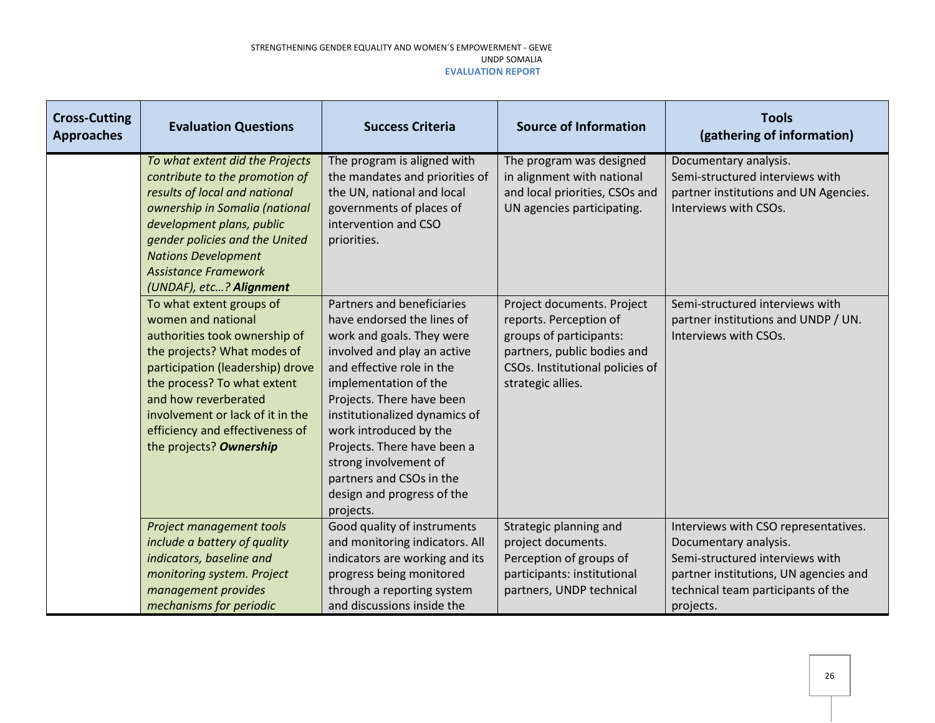| <b>Cross-Cutting</b><br><b>Approaches</b> | <b>Evaluation Questions</b>                                                                                                                                                                                                                                                                                 | <b>Success Criteria</b>                                                                                                                                                                                                                                                                                                                                                                           | <b>Source of Information</b>                                                                                                                                           | <b>Tools</b><br>(gathering of information)                                                                                                                                                   |
|-------------------------------------------|-------------------------------------------------------------------------------------------------------------------------------------------------------------------------------------------------------------------------------------------------------------------------------------------------------------|---------------------------------------------------------------------------------------------------------------------------------------------------------------------------------------------------------------------------------------------------------------------------------------------------------------------------------------------------------------------------------------------------|------------------------------------------------------------------------------------------------------------------------------------------------------------------------|----------------------------------------------------------------------------------------------------------------------------------------------------------------------------------------------|
|                                           | To what extent did the Projects<br>contribute to the promotion of<br>results of local and national<br>ownership in Somalia (national<br>development plans, public<br>gender policies and the United<br><b>Nations Development</b><br><b>Assistance Framework</b><br>(UNDAF), etc? Alignment                 | The program is aligned with<br>the mandates and priorities of<br>the UN, national and local<br>governments of places of<br>intervention and CSO<br>priorities.                                                                                                                                                                                                                                    | The program was designed<br>in alignment with national<br>and local priorities, CSOs and<br>UN agencies participating.                                                 | Documentary analysis.<br>Semi-structured interviews with<br>partner institutions and UN Agencies.<br>Interviews with CSOs.                                                                   |
|                                           | To what extent groups of<br>women and national<br>authorities took ownership of<br>the projects? What modes of<br>participation (leadership) drove<br>the process? To what extent<br>and how reverberated<br>involvement or lack of it in the<br>efficiency and effectiveness of<br>the projects? Ownership | Partners and beneficiaries<br>have endorsed the lines of<br>work and goals. They were<br>involved and play an active<br>and effective role in the<br>implementation of the<br>Projects. There have been<br>institutionalized dynamics of<br>work introduced by the<br>Projects. There have been a<br>strong involvement of<br>partners and CSOs in the<br>design and progress of the<br>projects. | Project documents. Project<br>reports. Perception of<br>groups of participants:<br>partners, public bodies and<br>CSOs. Institutional policies of<br>strategic allies. | Semi-structured interviews with<br>partner institutions and UNDP / UN.<br>Interviews with CSOs.                                                                                              |
|                                           | Project management tools<br>include a battery of quality<br>indicators, baseline and<br>monitoring system. Project<br>management provides<br>mechanisms for periodic                                                                                                                                        | Good quality of instruments<br>and monitoring indicators. All<br>indicators are working and its<br>progress being monitored<br>through a reporting system<br>and discussions inside the                                                                                                                                                                                                           | Strategic planning and<br>project documents.<br>Perception of groups of<br>participants: institutional<br>partners, UNDP technical                                     | Interviews with CSO representatives.<br>Documentary analysis.<br>Semi-structured interviews with<br>partner institutions, UN agencies and<br>technical team participants of the<br>projects. |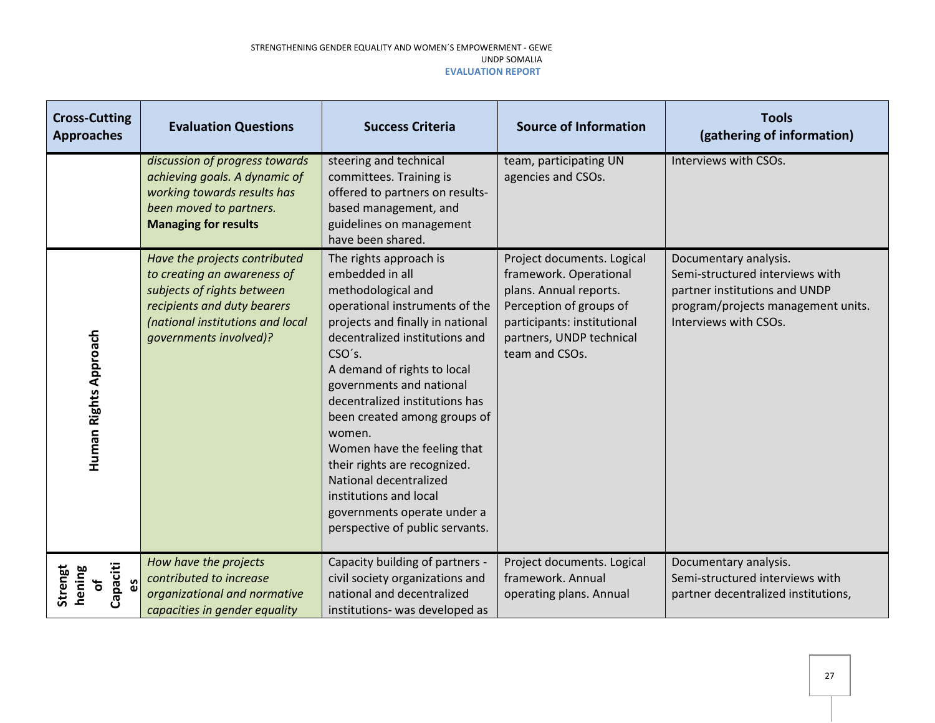| <b>Cross-Cutting</b><br><b>Approaches</b>  | <b>Evaluation Questions</b>                                                                                                                                                             | <b>Success Criteria</b>                                                                                                                                                                                                                                                                                                                                                                                                                                                                                       | <b>Source of Information</b>                                                                                                                                                           | <b>Tools</b><br>(gathering of information)                                                                                                               |
|--------------------------------------------|-----------------------------------------------------------------------------------------------------------------------------------------------------------------------------------------|---------------------------------------------------------------------------------------------------------------------------------------------------------------------------------------------------------------------------------------------------------------------------------------------------------------------------------------------------------------------------------------------------------------------------------------------------------------------------------------------------------------|----------------------------------------------------------------------------------------------------------------------------------------------------------------------------------------|----------------------------------------------------------------------------------------------------------------------------------------------------------|
|                                            | discussion of progress towards<br>achieving goals. A dynamic of<br>working towards results has<br>been moved to partners.<br><b>Managing for results</b>                                | steering and technical<br>committees. Training is<br>offered to partners on results-<br>based management, and<br>guidelines on management<br>have been shared.                                                                                                                                                                                                                                                                                                                                                | team, participating UN<br>agencies and CSOs.                                                                                                                                           | Interviews with CSOs.                                                                                                                                    |
| Human Rights Approach                      | Have the projects contributed<br>to creating an awareness of<br>subjects of rights between<br>recipients and duty bearers<br>(national institutions and local<br>governments involved)? | The rights approach is<br>embedded in all<br>methodological and<br>operational instruments of the<br>projects and finally in national<br>decentralized institutions and<br>CSO's.<br>A demand of rights to local<br>governments and national<br>decentralized institutions has<br>been created among groups of<br>women.<br>Women have the feeling that<br>their rights are recognized.<br>National decentralized<br>institutions and local<br>governments operate under a<br>perspective of public servants. | Project documents. Logical<br>framework. Operational<br>plans. Annual reports.<br>Perception of groups of<br>participants: institutional<br>partners, UNDP technical<br>team and CSOs. | Documentary analysis.<br>Semi-structured interviews with<br>partner institutions and UNDP<br>program/projects management units.<br>Interviews with CSOs. |
| Capaciti<br>hening<br>Strengt<br>ပ္မိ<br>Ⴆ | How have the projects<br>contributed to increase<br>organizational and normative<br>capacities in gender equality                                                                       | Capacity building of partners -<br>civil society organizations and<br>national and decentralized<br>institutions- was developed as                                                                                                                                                                                                                                                                                                                                                                            | Project documents. Logical<br>framework. Annual<br>operating plans. Annual                                                                                                             | Documentary analysis.<br>Semi-structured interviews with<br>partner decentralized institutions,                                                          |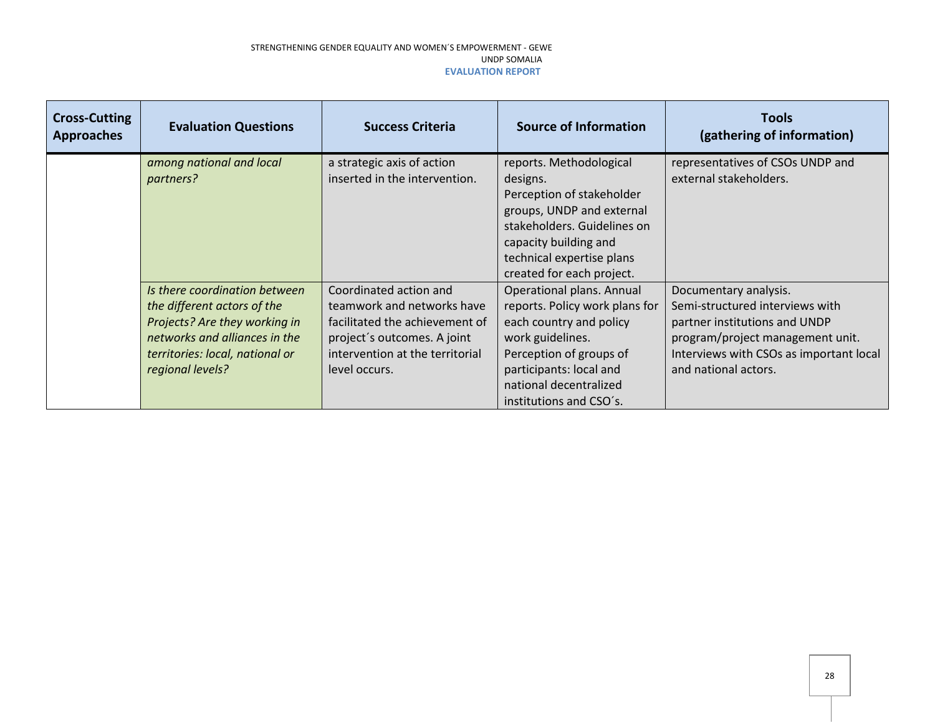| <b>Cross-Cutting</b><br><b>Approaches</b> | <b>Evaluation Questions</b>                                                                                                                                                           | <b>Success Criteria</b>                                                                                                                                                   | <b>Source of Information</b>                                                                                                                                                                                          | <b>Tools</b><br>(gathering of information)                                                                                                                                                       |
|-------------------------------------------|---------------------------------------------------------------------------------------------------------------------------------------------------------------------------------------|---------------------------------------------------------------------------------------------------------------------------------------------------------------------------|-----------------------------------------------------------------------------------------------------------------------------------------------------------------------------------------------------------------------|--------------------------------------------------------------------------------------------------------------------------------------------------------------------------------------------------|
|                                           | among national and local<br>partners?                                                                                                                                                 | a strategic axis of action<br>inserted in the intervention.                                                                                                               | reports. Methodological<br>designs.<br>Perception of stakeholder<br>groups, UNDP and external<br>stakeholders. Guidelines on<br>capacity building and<br>technical expertise plans<br>created for each project.       | representatives of CSOs UNDP and<br>external stakeholders.                                                                                                                                       |
|                                           | Is there coordination between<br>the different actors of the<br>Projects? Are they working in<br>networks and alliances in the<br>territories: local, national or<br>regional levels? | Coordinated action and<br>teamwork and networks have<br>facilitated the achievement of<br>project's outcomes. A joint<br>intervention at the territorial<br>level occurs. | Operational plans. Annual<br>reports. Policy work plans for<br>each country and policy<br>work guidelines.<br>Perception of groups of<br>participants: local and<br>national decentralized<br>institutions and CSO's. | Documentary analysis.<br>Semi-structured interviews with<br>partner institutions and UNDP<br>program/project management unit.<br>Interviews with CSOs as important local<br>and national actors. |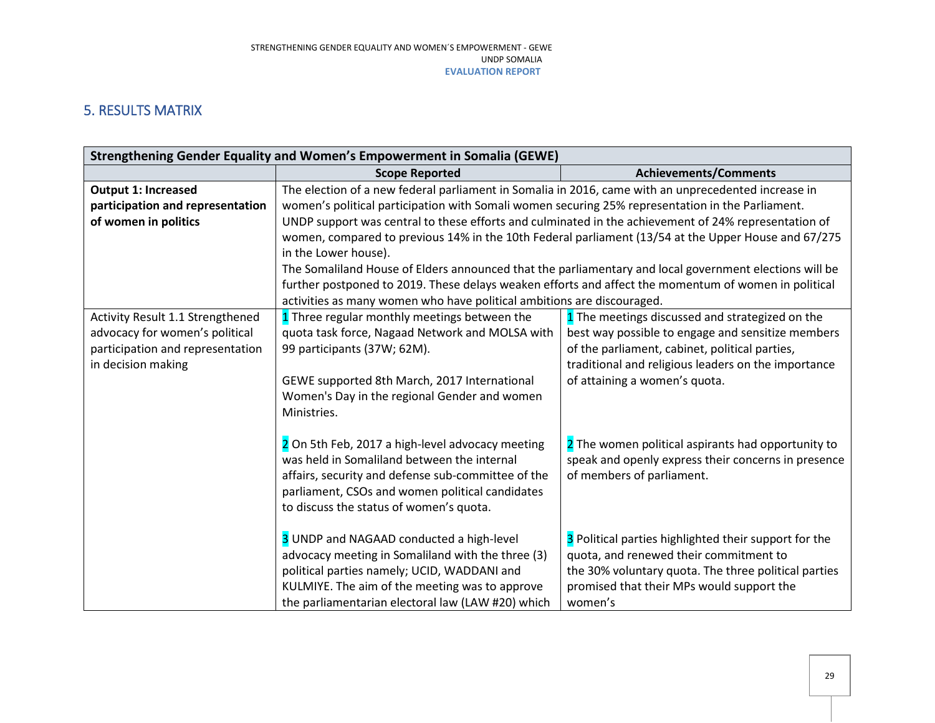## 5. RESULTS MATRIX

<span id="page-28-0"></span>

| Strengthening Gender Equality and Women's Empowerment in Somalia (GEWE)                              |                                                                                                                                                                                                                                                                                                                                                                                                                                                                                                                                                                                                                                                                                                                                                                                                                                                                                                                                                                               |  |  |  |
|------------------------------------------------------------------------------------------------------|-------------------------------------------------------------------------------------------------------------------------------------------------------------------------------------------------------------------------------------------------------------------------------------------------------------------------------------------------------------------------------------------------------------------------------------------------------------------------------------------------------------------------------------------------------------------------------------------------------------------------------------------------------------------------------------------------------------------------------------------------------------------------------------------------------------------------------------------------------------------------------------------------------------------------------------------------------------------------------|--|--|--|
| <b>Scope Reported</b>                                                                                | <b>Achievements/Comments</b>                                                                                                                                                                                                                                                                                                                                                                                                                                                                                                                                                                                                                                                                                                                                                                                                                                                                                                                                                  |  |  |  |
| The election of a new federal parliament in Somalia in 2016, came with an unprecedented increase in  |                                                                                                                                                                                                                                                                                                                                                                                                                                                                                                                                                                                                                                                                                                                                                                                                                                                                                                                                                                               |  |  |  |
| women's political participation with Somali women securing 25% representation in the Parliament.     |                                                                                                                                                                                                                                                                                                                                                                                                                                                                                                                                                                                                                                                                                                                                                                                                                                                                                                                                                                               |  |  |  |
| UNDP support was central to these efforts and culminated in the achievement of 24% representation of |                                                                                                                                                                                                                                                                                                                                                                                                                                                                                                                                                                                                                                                                                                                                                                                                                                                                                                                                                                               |  |  |  |
|                                                                                                      | women, compared to previous 14% in the 10th Federal parliament (13/54 at the Upper House and 67/275                                                                                                                                                                                                                                                                                                                                                                                                                                                                                                                                                                                                                                                                                                                                                                                                                                                                           |  |  |  |
| in the Lower house).                                                                                 |                                                                                                                                                                                                                                                                                                                                                                                                                                                                                                                                                                                                                                                                                                                                                                                                                                                                                                                                                                               |  |  |  |
|                                                                                                      |                                                                                                                                                                                                                                                                                                                                                                                                                                                                                                                                                                                                                                                                                                                                                                                                                                                                                                                                                                               |  |  |  |
|                                                                                                      |                                                                                                                                                                                                                                                                                                                                                                                                                                                                                                                                                                                                                                                                                                                                                                                                                                                                                                                                                                               |  |  |  |
| activities as many women who have political ambitions are discouraged.                               |                                                                                                                                                                                                                                                                                                                                                                                                                                                                                                                                                                                                                                                                                                                                                                                                                                                                                                                                                                               |  |  |  |
|                                                                                                      | 1 The meetings discussed and strategized on the                                                                                                                                                                                                                                                                                                                                                                                                                                                                                                                                                                                                                                                                                                                                                                                                                                                                                                                               |  |  |  |
|                                                                                                      | best way possible to engage and sensitize members                                                                                                                                                                                                                                                                                                                                                                                                                                                                                                                                                                                                                                                                                                                                                                                                                                                                                                                             |  |  |  |
|                                                                                                      | of the parliament, cabinet, political parties,                                                                                                                                                                                                                                                                                                                                                                                                                                                                                                                                                                                                                                                                                                                                                                                                                                                                                                                                |  |  |  |
|                                                                                                      | traditional and religious leaders on the importance                                                                                                                                                                                                                                                                                                                                                                                                                                                                                                                                                                                                                                                                                                                                                                                                                                                                                                                           |  |  |  |
| of attaining a women's quota.                                                                        |                                                                                                                                                                                                                                                                                                                                                                                                                                                                                                                                                                                                                                                                                                                                                                                                                                                                                                                                                                               |  |  |  |
|                                                                                                      |                                                                                                                                                                                                                                                                                                                                                                                                                                                                                                                                                                                                                                                                                                                                                                                                                                                                                                                                                                               |  |  |  |
|                                                                                                      |                                                                                                                                                                                                                                                                                                                                                                                                                                                                                                                                                                                                                                                                                                                                                                                                                                                                                                                                                                               |  |  |  |
|                                                                                                      |                                                                                                                                                                                                                                                                                                                                                                                                                                                                                                                                                                                                                                                                                                                                                                                                                                                                                                                                                                               |  |  |  |
|                                                                                                      | 2 The women political aspirants had opportunity to                                                                                                                                                                                                                                                                                                                                                                                                                                                                                                                                                                                                                                                                                                                                                                                                                                                                                                                            |  |  |  |
|                                                                                                      | speak and openly express their concerns in presence                                                                                                                                                                                                                                                                                                                                                                                                                                                                                                                                                                                                                                                                                                                                                                                                                                                                                                                           |  |  |  |
|                                                                                                      | of members of parliament.                                                                                                                                                                                                                                                                                                                                                                                                                                                                                                                                                                                                                                                                                                                                                                                                                                                                                                                                                     |  |  |  |
|                                                                                                      |                                                                                                                                                                                                                                                                                                                                                                                                                                                                                                                                                                                                                                                                                                                                                                                                                                                                                                                                                                               |  |  |  |
|                                                                                                      |                                                                                                                                                                                                                                                                                                                                                                                                                                                                                                                                                                                                                                                                                                                                                                                                                                                                                                                                                                               |  |  |  |
|                                                                                                      | 3 Political parties highlighted their support for the                                                                                                                                                                                                                                                                                                                                                                                                                                                                                                                                                                                                                                                                                                                                                                                                                                                                                                                         |  |  |  |
|                                                                                                      | quota, and renewed their commitment to                                                                                                                                                                                                                                                                                                                                                                                                                                                                                                                                                                                                                                                                                                                                                                                                                                                                                                                                        |  |  |  |
|                                                                                                      | the 30% voluntary quota. The three political parties                                                                                                                                                                                                                                                                                                                                                                                                                                                                                                                                                                                                                                                                                                                                                                                                                                                                                                                          |  |  |  |
|                                                                                                      | promised that their MPs would support the                                                                                                                                                                                                                                                                                                                                                                                                                                                                                                                                                                                                                                                                                                                                                                                                                                                                                                                                     |  |  |  |
|                                                                                                      | women's                                                                                                                                                                                                                                                                                                                                                                                                                                                                                                                                                                                                                                                                                                                                                                                                                                                                                                                                                                       |  |  |  |
|                                                                                                      | The Somaliland House of Elders announced that the parliamentary and local government elections will be<br>further postponed to 2019. These delays weaken efforts and affect the momentum of women in political<br>1 Three regular monthly meetings between the<br>quota task force, Nagaad Network and MOLSA with<br>99 participants (37W; 62M).<br>GEWE supported 8th March, 2017 International<br>Women's Day in the regional Gender and women<br>Ministries.<br>2 On 5th Feb, 2017 a high-level advocacy meeting<br>was held in Somaliland between the internal<br>affairs, security and defense sub-committee of the<br>parliament, CSOs and women political candidates<br>to discuss the status of women's quota.<br>3 UNDP and NAGAAD conducted a high-level<br>advocacy meeting in Somaliland with the three (3)<br>political parties namely; UCID, WADDANI and<br>KULMIYE. The aim of the meeting was to approve<br>the parliamentarian electoral law (LAW #20) which |  |  |  |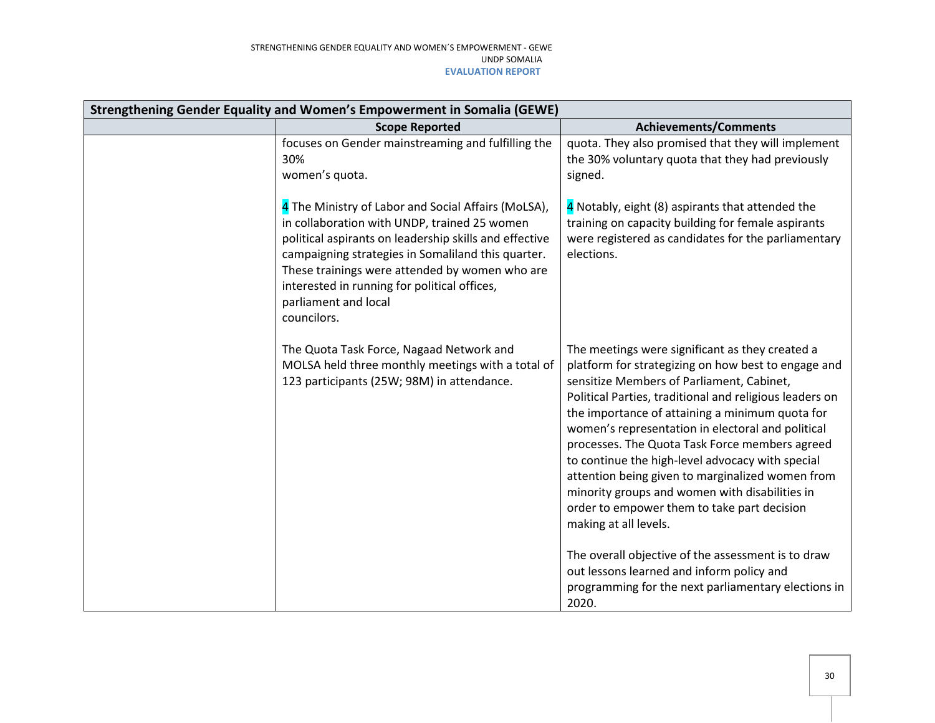| Strengthening Gender Equality and Women's Empowerment in Somalia (GEWE) |                                                                                                                                                                                                                                                                                                                                                              |                                                                                                                                                                                                                                                                                                                                                                                                                                                                                                                                                                                                                                                                  |  |
|-------------------------------------------------------------------------|--------------------------------------------------------------------------------------------------------------------------------------------------------------------------------------------------------------------------------------------------------------------------------------------------------------------------------------------------------------|------------------------------------------------------------------------------------------------------------------------------------------------------------------------------------------------------------------------------------------------------------------------------------------------------------------------------------------------------------------------------------------------------------------------------------------------------------------------------------------------------------------------------------------------------------------------------------------------------------------------------------------------------------------|--|
|                                                                         | <b>Scope Reported</b>                                                                                                                                                                                                                                                                                                                                        | <b>Achievements/Comments</b>                                                                                                                                                                                                                                                                                                                                                                                                                                                                                                                                                                                                                                     |  |
|                                                                         | focuses on Gender mainstreaming and fulfilling the<br>30%<br>women's quota.                                                                                                                                                                                                                                                                                  | quota. They also promised that they will implement<br>the 30% voluntary quota that they had previously<br>signed.                                                                                                                                                                                                                                                                                                                                                                                                                                                                                                                                                |  |
|                                                                         | 4 The Ministry of Labor and Social Affairs (MoLSA),<br>in collaboration with UNDP, trained 25 women<br>political aspirants on leadership skills and effective<br>campaigning strategies in Somaliland this quarter.<br>These trainings were attended by women who are<br>interested in running for political offices,<br>parliament and local<br>councilors. | 4 Notably, eight (8) aspirants that attended the<br>training on capacity building for female aspirants<br>were registered as candidates for the parliamentary<br>elections.                                                                                                                                                                                                                                                                                                                                                                                                                                                                                      |  |
|                                                                         | The Quota Task Force, Nagaad Network and<br>MOLSA held three monthly meetings with a total of<br>123 participants (25W; 98M) in attendance.                                                                                                                                                                                                                  | The meetings were significant as they created a<br>platform for strategizing on how best to engage and<br>sensitize Members of Parliament, Cabinet,<br>Political Parties, traditional and religious leaders on<br>the importance of attaining a minimum quota for<br>women's representation in electoral and political<br>processes. The Quota Task Force members agreed<br>to continue the high-level advocacy with special<br>attention being given to marginalized women from<br>minority groups and women with disabilities in<br>order to empower them to take part decision<br>making at all levels.<br>The overall objective of the assessment is to draw |  |
|                                                                         |                                                                                                                                                                                                                                                                                                                                                              | out lessons learned and inform policy and<br>programming for the next parliamentary elections in<br>2020.                                                                                                                                                                                                                                                                                                                                                                                                                                                                                                                                                        |  |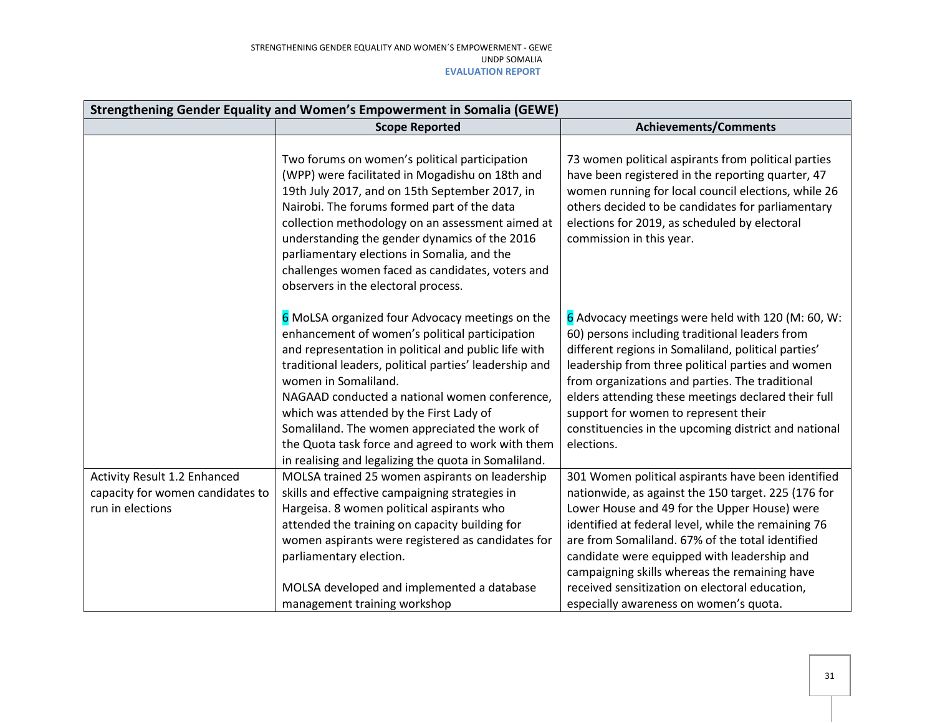| Strengthening Gender Equality and Women's Empowerment in Somalia (GEWE)              |                                                                                                                                                                                                                                                                                                                                                                                                                                                                                                       |                                                                                                                                                                                                                                                                                                                                                                                                                                                                  |  |
|--------------------------------------------------------------------------------------|-------------------------------------------------------------------------------------------------------------------------------------------------------------------------------------------------------------------------------------------------------------------------------------------------------------------------------------------------------------------------------------------------------------------------------------------------------------------------------------------------------|------------------------------------------------------------------------------------------------------------------------------------------------------------------------------------------------------------------------------------------------------------------------------------------------------------------------------------------------------------------------------------------------------------------------------------------------------------------|--|
|                                                                                      | <b>Scope Reported</b>                                                                                                                                                                                                                                                                                                                                                                                                                                                                                 | <b>Achievements/Comments</b>                                                                                                                                                                                                                                                                                                                                                                                                                                     |  |
|                                                                                      | Two forums on women's political participation<br>(WPP) were facilitated in Mogadishu on 18th and<br>19th July 2017, and on 15th September 2017, in<br>Nairobi. The forums formed part of the data<br>collection methodology on an assessment aimed at<br>understanding the gender dynamics of the 2016<br>parliamentary elections in Somalia, and the<br>challenges women faced as candidates, voters and<br>observers in the electoral process.                                                      | 73 women political aspirants from political parties<br>have been registered in the reporting quarter, 47<br>women running for local council elections, while 26<br>others decided to be candidates for parliamentary<br>elections for 2019, as scheduled by electoral<br>commission in this year.                                                                                                                                                                |  |
|                                                                                      | 6 MoLSA organized four Advocacy meetings on the<br>enhancement of women's political participation<br>and representation in political and public life with<br>traditional leaders, political parties' leadership and<br>women in Somaliland.<br>NAGAAD conducted a national women conference,<br>which was attended by the First Lady of<br>Somaliland. The women appreciated the work of<br>the Quota task force and agreed to work with them<br>in realising and legalizing the quota in Somaliland. | 6 Advocacy meetings were held with 120 (M: 60, W:<br>60) persons including traditional leaders from<br>different regions in Somaliland, political parties'<br>leadership from three political parties and women<br>from organizations and parties. The traditional<br>elders attending these meetings declared their full<br>support for women to represent their<br>constituencies in the upcoming district and national<br>elections.                          |  |
| Activity Result 1.2 Enhanced<br>capacity for women candidates to<br>run in elections | MOLSA trained 25 women aspirants on leadership<br>skills and effective campaigning strategies in<br>Hargeisa. 8 women political aspirants who<br>attended the training on capacity building for<br>women aspirants were registered as candidates for<br>parliamentary election.<br>MOLSA developed and implemented a database<br>management training workshop                                                                                                                                         | 301 Women political aspirants have been identified<br>nationwide, as against the 150 target. 225 (176 for<br>Lower House and 49 for the Upper House) were<br>identified at federal level, while the remaining 76<br>are from Somaliland. 67% of the total identified<br>candidate were equipped with leadership and<br>campaigning skills whereas the remaining have<br>received sensitization on electoral education,<br>especially awareness on women's quota. |  |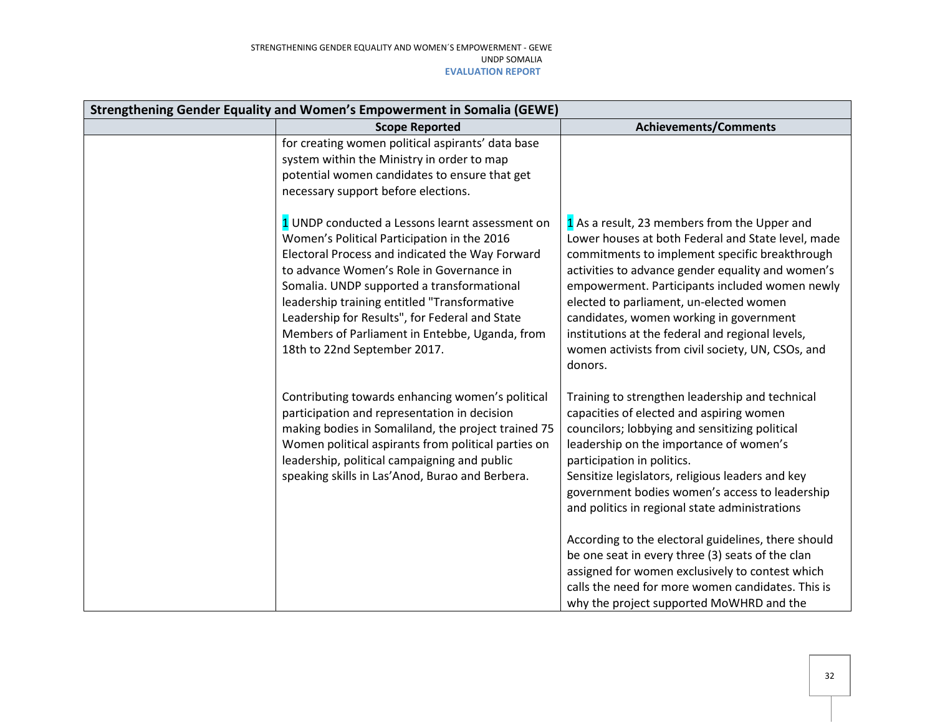| Strengthening Gender Equality and Women's Empowerment in Somalia (GEWE) |                                                                                                                                                                                                                                                                                                                                                                                                                                 |                                                                                                                                                                                                                                                                                                                                                                                                                                                                                                                                                                                                                                               |  |
|-------------------------------------------------------------------------|---------------------------------------------------------------------------------------------------------------------------------------------------------------------------------------------------------------------------------------------------------------------------------------------------------------------------------------------------------------------------------------------------------------------------------|-----------------------------------------------------------------------------------------------------------------------------------------------------------------------------------------------------------------------------------------------------------------------------------------------------------------------------------------------------------------------------------------------------------------------------------------------------------------------------------------------------------------------------------------------------------------------------------------------------------------------------------------------|--|
|                                                                         | <b>Scope Reported</b>                                                                                                                                                                                                                                                                                                                                                                                                           | <b>Achievements/Comments</b>                                                                                                                                                                                                                                                                                                                                                                                                                                                                                                                                                                                                                  |  |
|                                                                         | for creating women political aspirants' data base<br>system within the Ministry in order to map<br>potential women candidates to ensure that get<br>necessary support before elections.                                                                                                                                                                                                                                         |                                                                                                                                                                                                                                                                                                                                                                                                                                                                                                                                                                                                                                               |  |
|                                                                         | 1 UNDP conducted a Lessons learnt assessment on<br>Women's Political Participation in the 2016<br>Electoral Process and indicated the Way Forward<br>to advance Women's Role in Governance in<br>Somalia. UNDP supported a transformational<br>leadership training entitled "Transformative<br>Leadership for Results", for Federal and State<br>Members of Parliament in Entebbe, Uganda, from<br>18th to 22nd September 2017. | 1 As a result, 23 members from the Upper and<br>Lower houses at both Federal and State level, made<br>commitments to implement specific breakthrough<br>activities to advance gender equality and women's<br>empowerment. Participants included women newly<br>elected to parliament, un-elected women<br>candidates, women working in government<br>institutions at the federal and regional levels,<br>women activists from civil society, UN, CSOs, and<br>donors.                                                                                                                                                                         |  |
|                                                                         | Contributing towards enhancing women's political<br>participation and representation in decision<br>making bodies in Somaliland, the project trained 75<br>Women political aspirants from political parties on<br>leadership, political campaigning and public<br>speaking skills in Las'Anod, Burao and Berbera.                                                                                                               | Training to strengthen leadership and technical<br>capacities of elected and aspiring women<br>councilors; lobbying and sensitizing political<br>leadership on the importance of women's<br>participation in politics.<br>Sensitize legislators, religious leaders and key<br>government bodies women's access to leadership<br>and politics in regional state administrations<br>According to the electoral guidelines, there should<br>be one seat in every three (3) seats of the clan<br>assigned for women exclusively to contest which<br>calls the need for more women candidates. This is<br>why the project supported MoWHRD and the |  |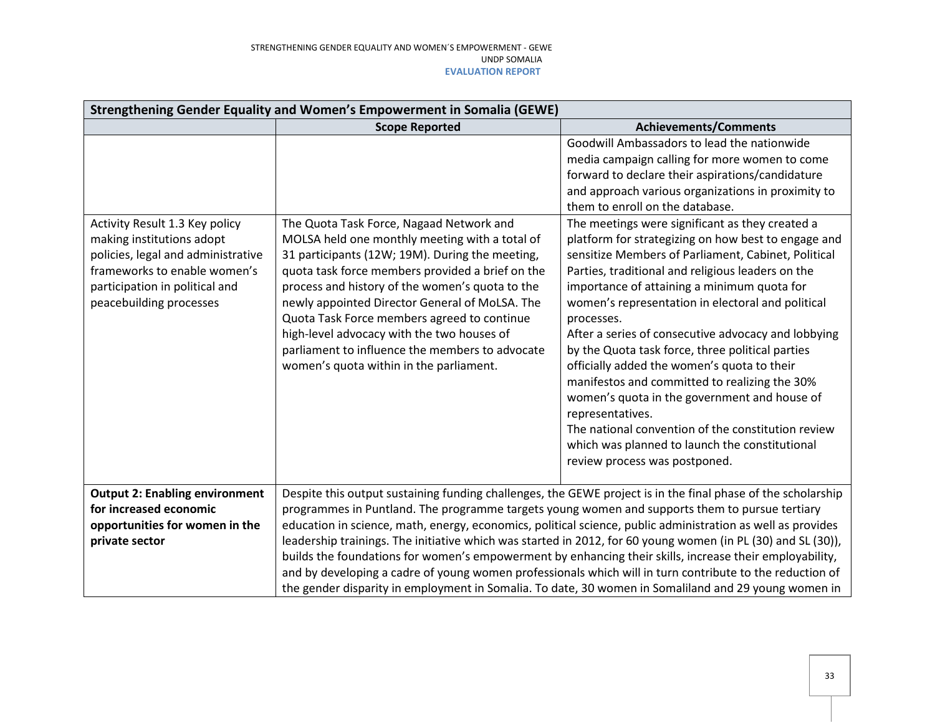| Strengthening Gender Equality and Women's Empowerment in Somalia (GEWE)                                                                                                                        |                                                                                                                                                                                                                                                                                                                                                                                                                                                                                                   |                                                                                                                                                                                                                                                                                                                                                                                                                                                                                                                                                                                                                                                                                                                                                                                              |  |
|------------------------------------------------------------------------------------------------------------------------------------------------------------------------------------------------|---------------------------------------------------------------------------------------------------------------------------------------------------------------------------------------------------------------------------------------------------------------------------------------------------------------------------------------------------------------------------------------------------------------------------------------------------------------------------------------------------|----------------------------------------------------------------------------------------------------------------------------------------------------------------------------------------------------------------------------------------------------------------------------------------------------------------------------------------------------------------------------------------------------------------------------------------------------------------------------------------------------------------------------------------------------------------------------------------------------------------------------------------------------------------------------------------------------------------------------------------------------------------------------------------------|--|
|                                                                                                                                                                                                | <b>Scope Reported</b>                                                                                                                                                                                                                                                                                                                                                                                                                                                                             | <b>Achievements/Comments</b>                                                                                                                                                                                                                                                                                                                                                                                                                                                                                                                                                                                                                                                                                                                                                                 |  |
| Activity Result 1.3 Key policy<br>making institutions adopt<br>policies, legal and administrative<br>frameworks to enable women's<br>participation in political and<br>peacebuilding processes | The Quota Task Force, Nagaad Network and<br>MOLSA held one monthly meeting with a total of<br>31 participants (12W; 19M). During the meeting,<br>quota task force members provided a brief on the<br>process and history of the women's quota to the<br>newly appointed Director General of MoLSA. The<br>Quota Task Force members agreed to continue<br>high-level advocacy with the two houses of<br>parliament to influence the members to advocate<br>women's quota within in the parliament. | Goodwill Ambassadors to lead the nationwide<br>media campaign calling for more women to come<br>forward to declare their aspirations/candidature<br>and approach various organizations in proximity to<br>them to enroll on the database.<br>The meetings were significant as they created a<br>platform for strategizing on how best to engage and<br>sensitize Members of Parliament, Cabinet, Political<br>Parties, traditional and religious leaders on the<br>importance of attaining a minimum quota for<br>women's representation in electoral and political<br>processes.<br>After a series of consecutive advocacy and lobbying<br>by the Quota task force, three political parties<br>officially added the women's quota to their<br>manifestos and committed to realizing the 30% |  |
|                                                                                                                                                                                                |                                                                                                                                                                                                                                                                                                                                                                                                                                                                                                   | women's quota in the government and house of<br>representatives.<br>The national convention of the constitution review<br>which was planned to launch the constitutional<br>review process was postponed.                                                                                                                                                                                                                                                                                                                                                                                                                                                                                                                                                                                    |  |
| <b>Output 2: Enabling environment</b>                                                                                                                                                          |                                                                                                                                                                                                                                                                                                                                                                                                                                                                                                   | Despite this output sustaining funding challenges, the GEWE project is in the final phase of the scholarship                                                                                                                                                                                                                                                                                                                                                                                                                                                                                                                                                                                                                                                                                 |  |
| for increased economic                                                                                                                                                                         | programmes in Puntland. The programme targets young women and supports them to pursue tertiary                                                                                                                                                                                                                                                                                                                                                                                                    |                                                                                                                                                                                                                                                                                                                                                                                                                                                                                                                                                                                                                                                                                                                                                                                              |  |
| opportunities for women in the                                                                                                                                                                 |                                                                                                                                                                                                                                                                                                                                                                                                                                                                                                   | education in science, math, energy, economics, political science, public administration as well as provides                                                                                                                                                                                                                                                                                                                                                                                                                                                                                                                                                                                                                                                                                  |  |
| private sector                                                                                                                                                                                 |                                                                                                                                                                                                                                                                                                                                                                                                                                                                                                   | leadership trainings. The initiative which was started in 2012, for 60 young women (in PL (30) and SL (30)),                                                                                                                                                                                                                                                                                                                                                                                                                                                                                                                                                                                                                                                                                 |  |
|                                                                                                                                                                                                |                                                                                                                                                                                                                                                                                                                                                                                                                                                                                                   | builds the foundations for women's empowerment by enhancing their skills, increase their employability,                                                                                                                                                                                                                                                                                                                                                                                                                                                                                                                                                                                                                                                                                      |  |
|                                                                                                                                                                                                |                                                                                                                                                                                                                                                                                                                                                                                                                                                                                                   | and by developing a cadre of young women professionals which will in turn contribute to the reduction of                                                                                                                                                                                                                                                                                                                                                                                                                                                                                                                                                                                                                                                                                     |  |
|                                                                                                                                                                                                |                                                                                                                                                                                                                                                                                                                                                                                                                                                                                                   | the gender disparity in employment in Somalia. To date, 30 women in Somaliland and 29 young women in                                                                                                                                                                                                                                                                                                                                                                                                                                                                                                                                                                                                                                                                                         |  |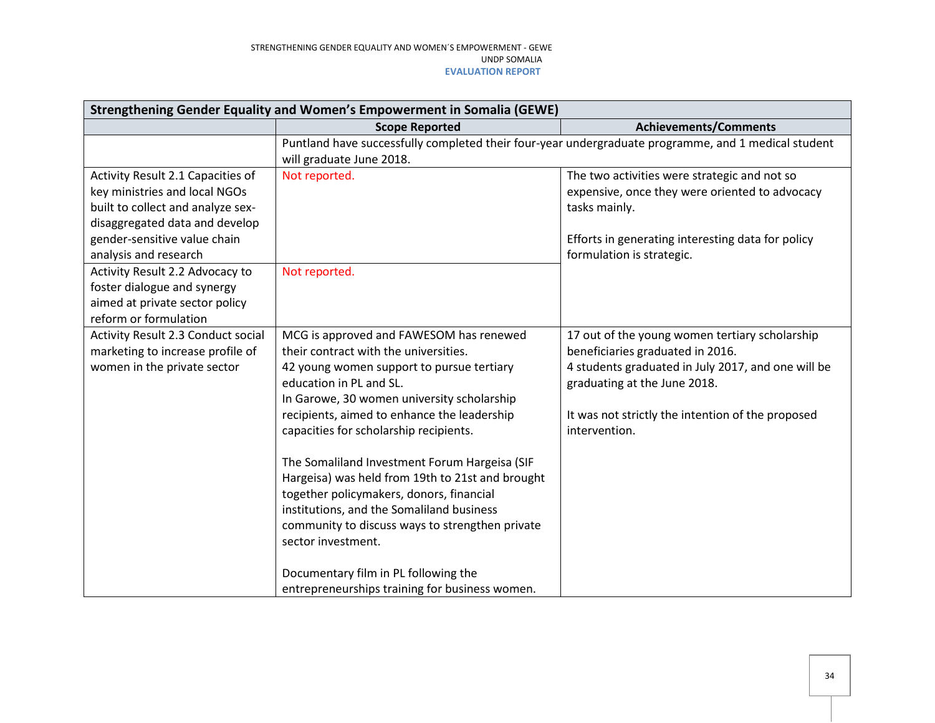| Strengthening Gender Equality and Women's Empowerment in Somalia (GEWE)                                                                                                                            |                                                                                                                                                                                                                                                                                                                                                                                                                                                                                                                                                                                                                |                                                                                                                                                                                                                                                |  |  |
|----------------------------------------------------------------------------------------------------------------------------------------------------------------------------------------------------|----------------------------------------------------------------------------------------------------------------------------------------------------------------------------------------------------------------------------------------------------------------------------------------------------------------------------------------------------------------------------------------------------------------------------------------------------------------------------------------------------------------------------------------------------------------------------------------------------------------|------------------------------------------------------------------------------------------------------------------------------------------------------------------------------------------------------------------------------------------------|--|--|
|                                                                                                                                                                                                    | <b>Scope Reported</b>                                                                                                                                                                                                                                                                                                                                                                                                                                                                                                                                                                                          | <b>Achievements/Comments</b>                                                                                                                                                                                                                   |  |  |
|                                                                                                                                                                                                    | Puntland have successfully completed their four-year undergraduate programme, and 1 medical student<br>will graduate June 2018.                                                                                                                                                                                                                                                                                                                                                                                                                                                                                |                                                                                                                                                                                                                                                |  |  |
| Activity Result 2.1 Capacities of<br>key ministries and local NGOs<br>built to collect and analyze sex-<br>disaggregated data and develop<br>gender-sensitive value chain<br>analysis and research | Not reported.                                                                                                                                                                                                                                                                                                                                                                                                                                                                                                                                                                                                  | The two activities were strategic and not so<br>expensive, once they were oriented to advocacy<br>tasks mainly.<br>Efforts in generating interesting data for policy<br>formulation is strategic.                                              |  |  |
| Activity Result 2.2 Advocacy to<br>foster dialogue and synergy<br>aimed at private sector policy<br>reform or formulation                                                                          | Not reported.                                                                                                                                                                                                                                                                                                                                                                                                                                                                                                                                                                                                  |                                                                                                                                                                                                                                                |  |  |
| Activity Result 2.3 Conduct social<br>marketing to increase profile of<br>women in the private sector                                                                                              | MCG is approved and FAWESOM has renewed<br>their contract with the universities.<br>42 young women support to pursue tertiary<br>education in PL and SL.<br>In Garowe, 30 women university scholarship<br>recipients, aimed to enhance the leadership<br>capacities for scholarship recipients.<br>The Somaliland Investment Forum Hargeisa (SIF<br>Hargeisa) was held from 19th to 21st and brought<br>together policymakers, donors, financial<br>institutions, and the Somaliland business<br>community to discuss ways to strengthen private<br>sector investment.<br>Documentary film in PL following the | 17 out of the young women tertiary scholarship<br>beneficiaries graduated in 2016.<br>4 students graduated in July 2017, and one will be<br>graduating at the June 2018.<br>It was not strictly the intention of the proposed<br>intervention. |  |  |
|                                                                                                                                                                                                    | entrepreneurships training for business women.                                                                                                                                                                                                                                                                                                                                                                                                                                                                                                                                                                 |                                                                                                                                                                                                                                                |  |  |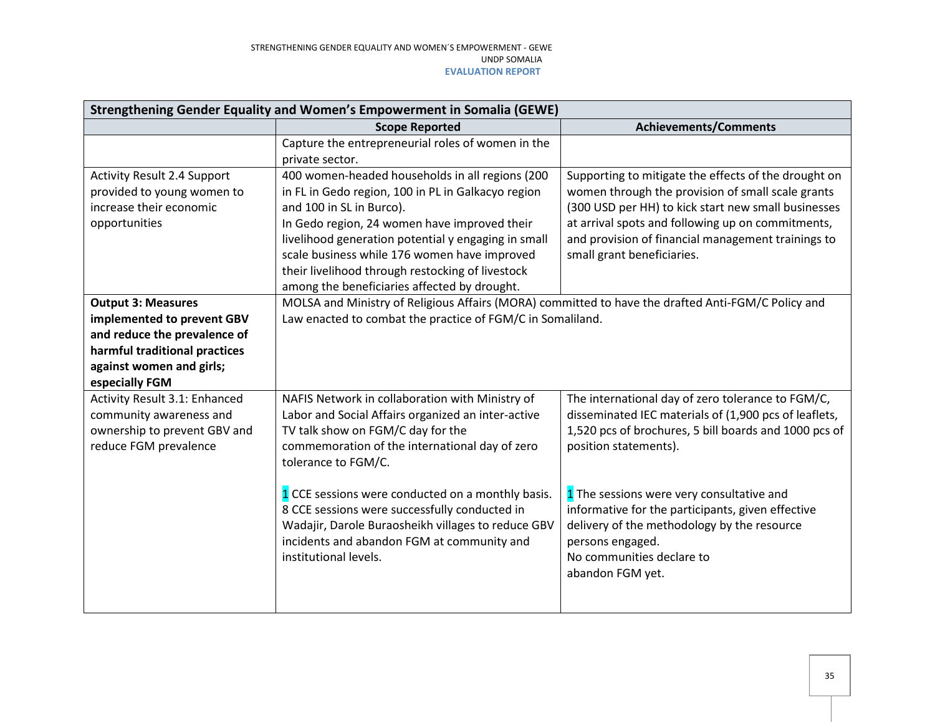| Strengthening Gender Equality and Women's Empowerment in Somalia (GEWE)                                                                                                |                                                                                                                                                                                                                                                                                                                                                                                              |                                                                                                                                                                                                                                                                                                           |  |
|------------------------------------------------------------------------------------------------------------------------------------------------------------------------|----------------------------------------------------------------------------------------------------------------------------------------------------------------------------------------------------------------------------------------------------------------------------------------------------------------------------------------------------------------------------------------------|-----------------------------------------------------------------------------------------------------------------------------------------------------------------------------------------------------------------------------------------------------------------------------------------------------------|--|
|                                                                                                                                                                        | <b>Scope Reported</b>                                                                                                                                                                                                                                                                                                                                                                        | <b>Achievements/Comments</b>                                                                                                                                                                                                                                                                              |  |
|                                                                                                                                                                        | Capture the entrepreneurial roles of women in the<br>private sector.                                                                                                                                                                                                                                                                                                                         |                                                                                                                                                                                                                                                                                                           |  |
| <b>Activity Result 2.4 Support</b><br>provided to young women to<br>increase their economic<br>opportunities                                                           | 400 women-headed households in all regions (200<br>in FL in Gedo region, 100 in PL in Galkacyo region<br>and 100 in SL in Burco).<br>In Gedo region, 24 women have improved their<br>livelihood generation potential y engaging in small<br>scale business while 176 women have improved<br>their livelihood through restocking of livestock<br>among the beneficiaries affected by drought. | Supporting to mitigate the effects of the drought on<br>women through the provision of small scale grants<br>(300 USD per HH) to kick start new small businesses<br>at arrival spots and following up on commitments,<br>and provision of financial management trainings to<br>small grant beneficiaries. |  |
| <b>Output 3: Measures</b><br>implemented to prevent GBV<br>and reduce the prevalence of<br>harmful traditional practices<br>against women and girls;<br>especially FGM | MOLSA and Ministry of Religious Affairs (MORA) committed to have the drafted Anti-FGM/C Policy and<br>Law enacted to combat the practice of FGM/C in Somaliland.                                                                                                                                                                                                                             |                                                                                                                                                                                                                                                                                                           |  |
| Activity Result 3.1: Enhanced<br>community awareness and<br>ownership to prevent GBV and<br>reduce FGM prevalence                                                      | NAFIS Network in collaboration with Ministry of<br>Labor and Social Affairs organized an inter-active<br>TV talk show on FGM/C day for the<br>commemoration of the international day of zero<br>tolerance to FGM/C.                                                                                                                                                                          | The international day of zero tolerance to FGM/C,<br>disseminated IEC materials of (1,900 pcs of leaflets,<br>1,520 pcs of brochures, 5 bill boards and 1000 pcs of<br>position statements).                                                                                                              |  |
|                                                                                                                                                                        | 1 CCE sessions were conducted on a monthly basis.<br>8 CCE sessions were successfully conducted in<br>Wadajir, Darole Buraosheikh villages to reduce GBV<br>incidents and abandon FGM at community and<br>institutional levels.                                                                                                                                                              | 1 The sessions were very consultative and<br>informative for the participants, given effective<br>delivery of the methodology by the resource<br>persons engaged.<br>No communities declare to<br>abandon FGM yet.                                                                                        |  |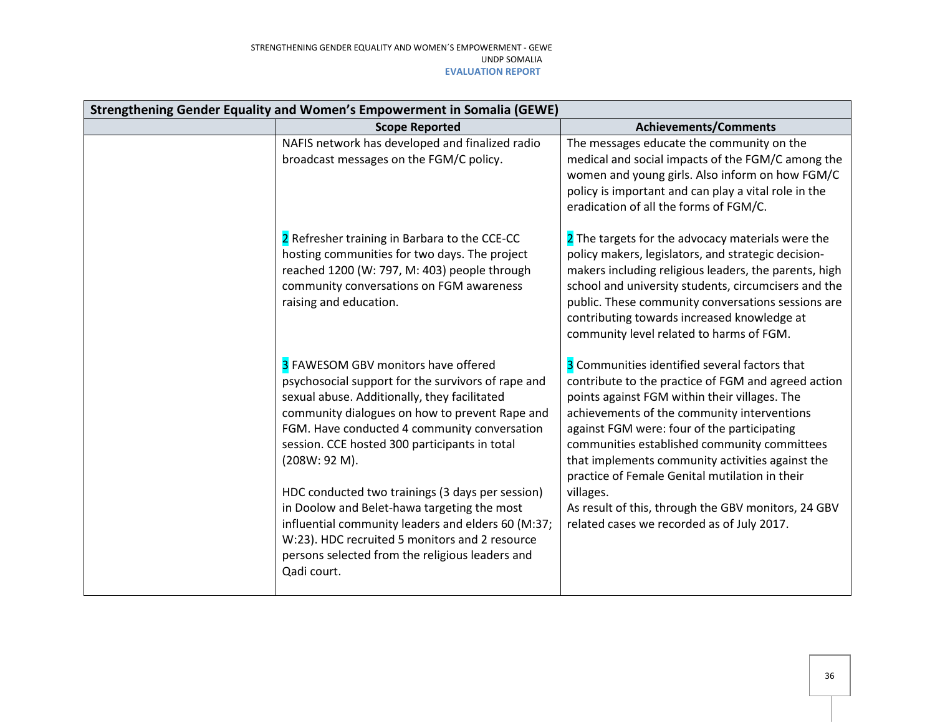| Strengthening Gender Equality and Women's Empowerment in Somalia (GEWE) |                                                                                                                                                                                                                                                                                                                                                                                                                                                                                                                                                                                            |                                                                                                                                                                                                                                                                                                                                                                                                                                                                                                                             |
|-------------------------------------------------------------------------|--------------------------------------------------------------------------------------------------------------------------------------------------------------------------------------------------------------------------------------------------------------------------------------------------------------------------------------------------------------------------------------------------------------------------------------------------------------------------------------------------------------------------------------------------------------------------------------------|-----------------------------------------------------------------------------------------------------------------------------------------------------------------------------------------------------------------------------------------------------------------------------------------------------------------------------------------------------------------------------------------------------------------------------------------------------------------------------------------------------------------------------|
|                                                                         | <b>Scope Reported</b>                                                                                                                                                                                                                                                                                                                                                                                                                                                                                                                                                                      | <b>Achievements/Comments</b>                                                                                                                                                                                                                                                                                                                                                                                                                                                                                                |
|                                                                         | NAFIS network has developed and finalized radio<br>broadcast messages on the FGM/C policy.                                                                                                                                                                                                                                                                                                                                                                                                                                                                                                 | The messages educate the community on the<br>medical and social impacts of the FGM/C among the<br>women and young girls. Also inform on how FGM/C<br>policy is important and can play a vital role in the<br>eradication of all the forms of FGM/C.                                                                                                                                                                                                                                                                         |
|                                                                         | 2 Refresher training in Barbara to the CCE-CC<br>hosting communities for two days. The project<br>reached 1200 (W: 797, M: 403) people through<br>community conversations on FGM awareness<br>raising and education.                                                                                                                                                                                                                                                                                                                                                                       | 2 The targets for the advocacy materials were the<br>policy makers, legislators, and strategic decision-<br>makers including religious leaders, the parents, high<br>school and university students, circumcisers and the<br>public. These community conversations sessions are<br>contributing towards increased knowledge at<br>community level related to harms of FGM.                                                                                                                                                  |
|                                                                         | 3 FAWESOM GBV monitors have offered<br>psychosocial support for the survivors of rape and<br>sexual abuse. Additionally, they facilitated<br>community dialogues on how to prevent Rape and<br>FGM. Have conducted 4 community conversation<br>session. CCE hosted 300 participants in total<br>(208W: 92 M).<br>HDC conducted two trainings (3 days per session)<br>in Doolow and Belet-hawa targeting the most<br>influential community leaders and elders 60 (M:37;<br>W:23). HDC recruited 5 monitors and 2 resource<br>persons selected from the religious leaders and<br>Qadi court. | 3 Communities identified several factors that<br>contribute to the practice of FGM and agreed action<br>points against FGM within their villages. The<br>achievements of the community interventions<br>against FGM were: four of the participating<br>communities established community committees<br>that implements community activities against the<br>practice of Female Genital mutilation in their<br>villages.<br>As result of this, through the GBV monitors, 24 GBV<br>related cases we recorded as of July 2017. |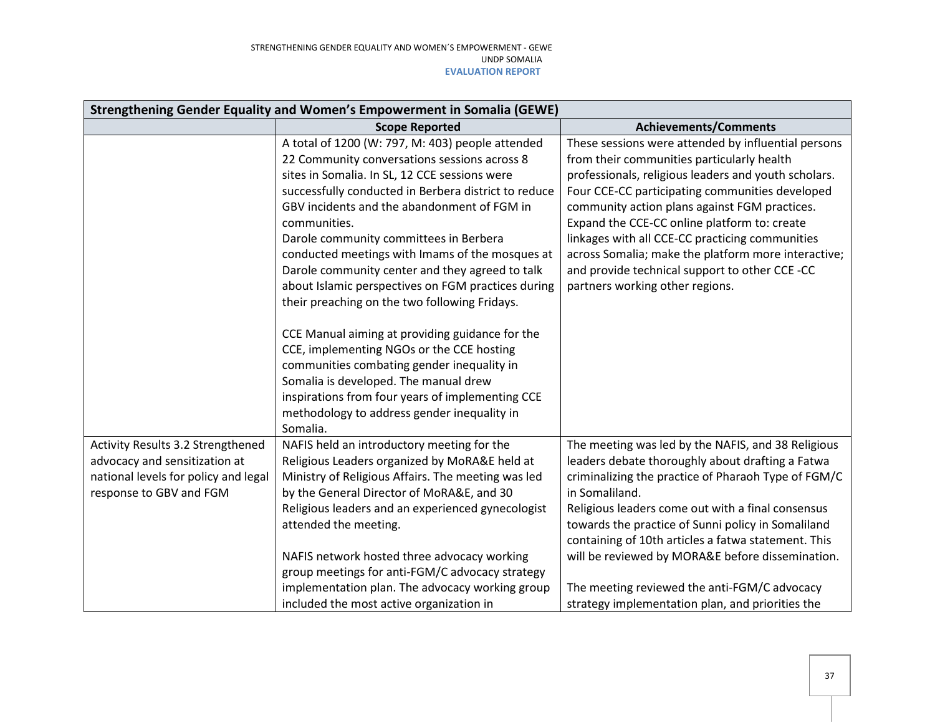| Strengthening Gender Equality and Women's Empowerment in Somalia (GEWE)                                                               |                                                                                                                                                                                                                                                                                                                                                                                                                                                                                                                                                                                                                                                                                                                                                                                                                                       |                                                                                                                                                                                                                                                                                                                                                                                                                                                                                                              |  |
|---------------------------------------------------------------------------------------------------------------------------------------|---------------------------------------------------------------------------------------------------------------------------------------------------------------------------------------------------------------------------------------------------------------------------------------------------------------------------------------------------------------------------------------------------------------------------------------------------------------------------------------------------------------------------------------------------------------------------------------------------------------------------------------------------------------------------------------------------------------------------------------------------------------------------------------------------------------------------------------|--------------------------------------------------------------------------------------------------------------------------------------------------------------------------------------------------------------------------------------------------------------------------------------------------------------------------------------------------------------------------------------------------------------------------------------------------------------------------------------------------------------|--|
|                                                                                                                                       | <b>Scope Reported</b>                                                                                                                                                                                                                                                                                                                                                                                                                                                                                                                                                                                                                                                                                                                                                                                                                 | <b>Achievements/Comments</b>                                                                                                                                                                                                                                                                                                                                                                                                                                                                                 |  |
|                                                                                                                                       | A total of 1200 (W: 797, M: 403) people attended<br>22 Community conversations sessions across 8<br>sites in Somalia. In SL, 12 CCE sessions were<br>successfully conducted in Berbera district to reduce<br>GBV incidents and the abandonment of FGM in<br>communities.<br>Darole community committees in Berbera<br>conducted meetings with Imams of the mosques at<br>Darole community center and they agreed to talk<br>about Islamic perspectives on FGM practices during<br>their preaching on the two following Fridays.<br>CCE Manual aiming at providing guidance for the<br>CCE, implementing NGOs or the CCE hosting<br>communities combating gender inequality in<br>Somalia is developed. The manual drew<br>inspirations from four years of implementing CCE<br>methodology to address gender inequality in<br>Somalia. | These sessions were attended by influential persons<br>from their communities particularly health<br>professionals, religious leaders and youth scholars.<br>Four CCE-CC participating communities developed<br>community action plans against FGM practices.<br>Expand the CCE-CC online platform to: create<br>linkages with all CCE-CC practicing communities<br>across Somalia; make the platform more interactive;<br>and provide technical support to other CCE -CC<br>partners working other regions. |  |
| Activity Results 3.2 Strengthened<br>advocacy and sensitization at<br>national levels for policy and legal<br>response to GBV and FGM | NAFIS held an introductory meeting for the<br>Religious Leaders organized by MoRA&E held at<br>Ministry of Religious Affairs. The meeting was led<br>by the General Director of MoRA&E, and 30<br>Religious leaders and an experienced gynecologist                                                                                                                                                                                                                                                                                                                                                                                                                                                                                                                                                                                   | The meeting was led by the NAFIS, and 38 Religious<br>leaders debate thoroughly about drafting a Fatwa<br>criminalizing the practice of Pharaoh Type of FGM/C<br>in Somaliland.<br>Religious leaders come out with a final consensus                                                                                                                                                                                                                                                                         |  |
|                                                                                                                                       | attended the meeting.<br>NAFIS network hosted three advocacy working<br>group meetings for anti-FGM/C advocacy strategy<br>implementation plan. The advocacy working group<br>included the most active organization in                                                                                                                                                                                                                                                                                                                                                                                                                                                                                                                                                                                                                | towards the practice of Sunni policy in Somaliland<br>containing of 10th articles a fatwa statement. This<br>will be reviewed by MORA&E before dissemination.<br>The meeting reviewed the anti-FGM/C advocacy<br>strategy implementation plan, and priorities the                                                                                                                                                                                                                                            |  |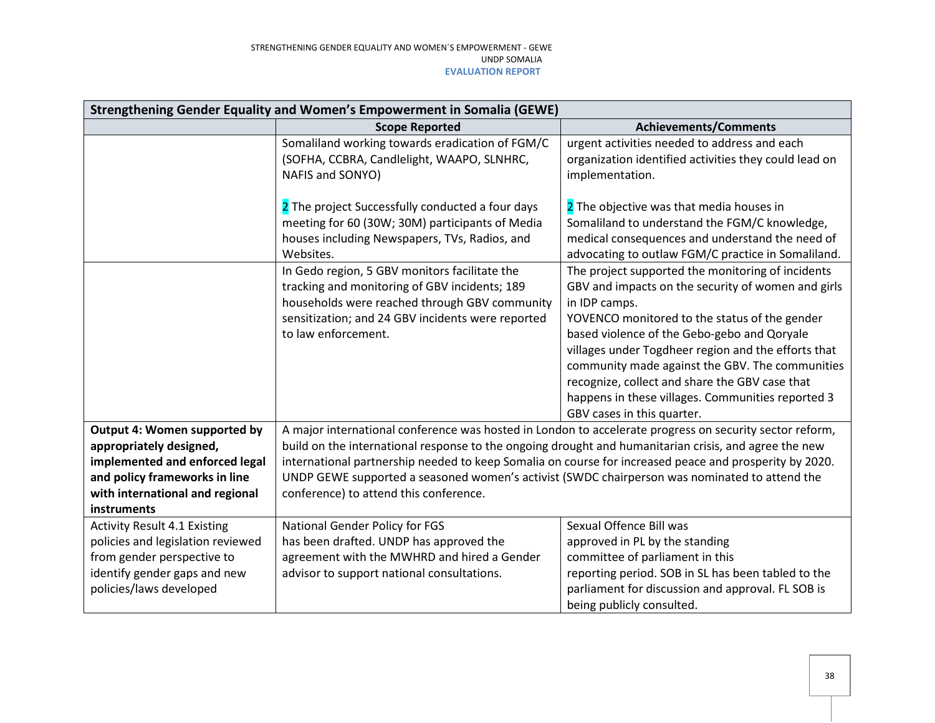| Strengthening Gender Equality and Women's Empowerment in Somalia (GEWE)                                                                                                      |                                                                                                                                                                                                                                                                                                                                                                                                                                                                       |                                                                                                                                                                                                                                                                                                                                                                                                                                                                         |  |
|------------------------------------------------------------------------------------------------------------------------------------------------------------------------------|-----------------------------------------------------------------------------------------------------------------------------------------------------------------------------------------------------------------------------------------------------------------------------------------------------------------------------------------------------------------------------------------------------------------------------------------------------------------------|-------------------------------------------------------------------------------------------------------------------------------------------------------------------------------------------------------------------------------------------------------------------------------------------------------------------------------------------------------------------------------------------------------------------------------------------------------------------------|--|
|                                                                                                                                                                              | <b>Scope Reported</b>                                                                                                                                                                                                                                                                                                                                                                                                                                                 | <b>Achievements/Comments</b>                                                                                                                                                                                                                                                                                                                                                                                                                                            |  |
|                                                                                                                                                                              | Somaliland working towards eradication of FGM/C<br>(SOFHA, CCBRA, Candlelight, WAAPO, SLNHRC,<br>NAFIS and SONYO)                                                                                                                                                                                                                                                                                                                                                     | urgent activities needed to address and each<br>organization identified activities they could lead on<br>implementation.                                                                                                                                                                                                                                                                                                                                                |  |
|                                                                                                                                                                              | 2 The project Successfully conducted a four days<br>meeting for 60 (30W; 30M) participants of Media<br>houses including Newspapers, TVs, Radios, and<br>Websites.                                                                                                                                                                                                                                                                                                     | 2 The objective was that media houses in<br>Somaliland to understand the FGM/C knowledge,<br>medical consequences and understand the need of<br>advocating to outlaw FGM/C practice in Somaliland.                                                                                                                                                                                                                                                                      |  |
|                                                                                                                                                                              | In Gedo region, 5 GBV monitors facilitate the<br>tracking and monitoring of GBV incidents; 189<br>households were reached through GBV community<br>sensitization; and 24 GBV incidents were reported<br>to law enforcement.                                                                                                                                                                                                                                           | The project supported the monitoring of incidents<br>GBV and impacts on the security of women and girls<br>in IDP camps.<br>YOVENCO monitored to the status of the gender<br>based violence of the Gebo-gebo and Qoryale<br>villages under Togdheer region and the efforts that<br>community made against the GBV. The communities<br>recognize, collect and share the GBV case that<br>happens in these villages. Communities reported 3<br>GBV cases in this quarter. |  |
| Output 4: Women supported by<br>appropriately designed,<br>implemented and enforced legal<br>and policy frameworks in line<br>with international and regional<br>instruments | A major international conference was hosted in London to accelerate progress on security sector reform,<br>build on the international response to the ongoing drought and humanitarian crisis, and agree the new<br>international partnership needed to keep Somalia on course for increased peace and prosperity by 2020.<br>UNDP GEWE supported a seasoned women's activist (SWDC chairperson was nominated to attend the<br>conference) to attend this conference. |                                                                                                                                                                                                                                                                                                                                                                                                                                                                         |  |
| <b>Activity Result 4.1 Existing</b><br>policies and legislation reviewed<br>from gender perspective to<br>identify gender gaps and new<br>policies/laws developed            | National Gender Policy for FGS<br>has been drafted. UNDP has approved the<br>agreement with the MWHRD and hired a Gender<br>advisor to support national consultations.                                                                                                                                                                                                                                                                                                | Sexual Offence Bill was<br>approved in PL by the standing<br>committee of parliament in this<br>reporting period. SOB in SL has been tabled to the<br>parliament for discussion and approval. FL SOB is<br>being publicly consulted.                                                                                                                                                                                                                                    |  |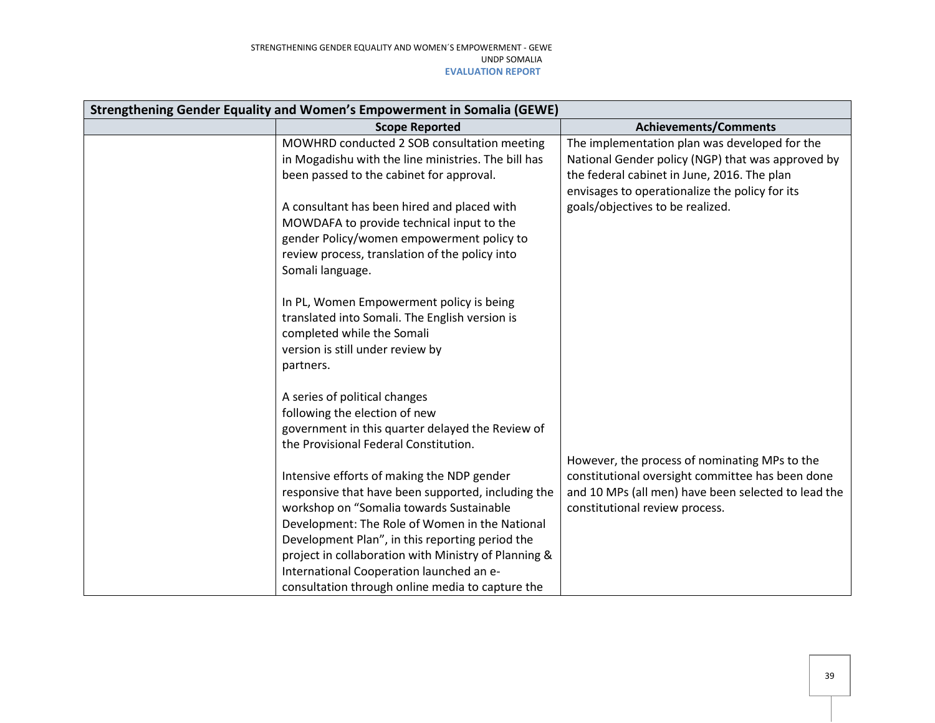| Strengthening Gender Equality and Women's Empowerment in Somalia (GEWE) |                                                                                                                                                                                                                                                                                                                                                                                                           |                                                                                                                                                                                                     |
|-------------------------------------------------------------------------|-----------------------------------------------------------------------------------------------------------------------------------------------------------------------------------------------------------------------------------------------------------------------------------------------------------------------------------------------------------------------------------------------------------|-----------------------------------------------------------------------------------------------------------------------------------------------------------------------------------------------------|
|                                                                         | <b>Scope Reported</b>                                                                                                                                                                                                                                                                                                                                                                                     | <b>Achievements/Comments</b>                                                                                                                                                                        |
|                                                                         | MOWHRD conducted 2 SOB consultation meeting<br>in Mogadishu with the line ministries. The bill has<br>been passed to the cabinet for approval.                                                                                                                                                                                                                                                            | The implementation plan was developed for the<br>National Gender policy (NGP) that was approved by<br>the federal cabinet in June, 2016. The plan<br>envisages to operationalize the policy for its |
|                                                                         | A consultant has been hired and placed with<br>MOWDAFA to provide technical input to the<br>gender Policy/women empowerment policy to<br>review process, translation of the policy into<br>Somali language.                                                                                                                                                                                               | goals/objectives to be realized.                                                                                                                                                                    |
|                                                                         | In PL, Women Empowerment policy is being<br>translated into Somali. The English version is<br>completed while the Somali<br>version is still under review by<br>partners.                                                                                                                                                                                                                                 |                                                                                                                                                                                                     |
|                                                                         | A series of political changes<br>following the election of new<br>government in this quarter delayed the Review of<br>the Provisional Federal Constitution.                                                                                                                                                                                                                                               | However, the process of nominating MPs to the                                                                                                                                                       |
|                                                                         | Intensive efforts of making the NDP gender<br>responsive that have been supported, including the<br>workshop on "Somalia towards Sustainable<br>Development: The Role of Women in the National<br>Development Plan", in this reporting period the<br>project in collaboration with Ministry of Planning &<br>International Cooperation launched an e-<br>consultation through online media to capture the | constitutional oversight committee has been done<br>and 10 MPs (all men) have been selected to lead the<br>constitutional review process.                                                           |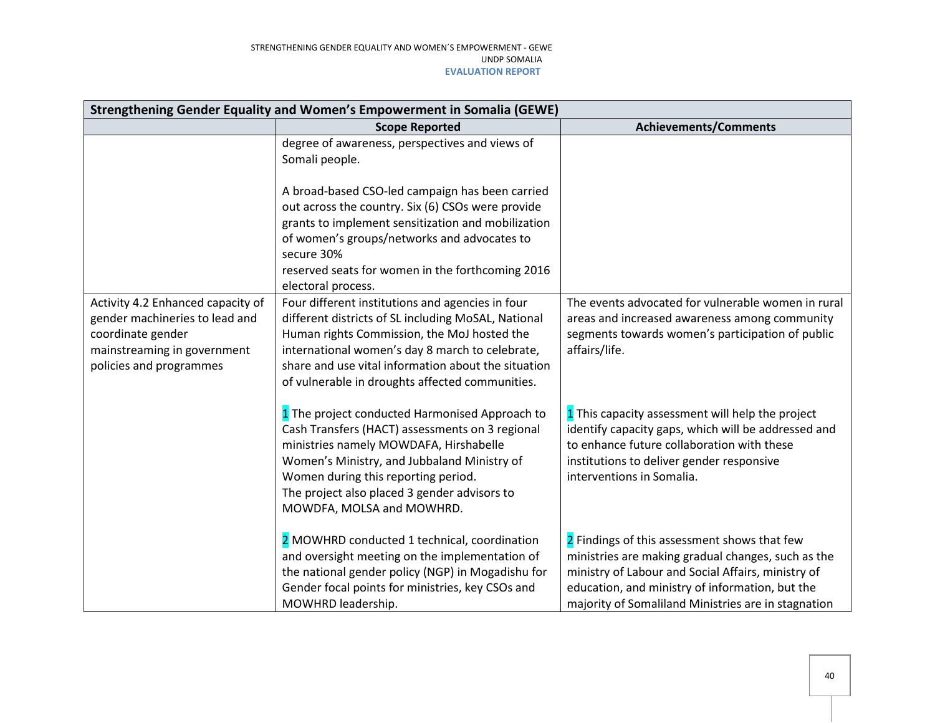| Strengthening Gender Equality and Women's Empowerment in Somalia (GEWE)                                                                            |                                                                                                                                                                                                                                                                                                                                                 |                                                                                                                                                                                                                                                                    |  |
|----------------------------------------------------------------------------------------------------------------------------------------------------|-------------------------------------------------------------------------------------------------------------------------------------------------------------------------------------------------------------------------------------------------------------------------------------------------------------------------------------------------|--------------------------------------------------------------------------------------------------------------------------------------------------------------------------------------------------------------------------------------------------------------------|--|
|                                                                                                                                                    | <b>Scope Reported</b>                                                                                                                                                                                                                                                                                                                           | <b>Achievements/Comments</b>                                                                                                                                                                                                                                       |  |
|                                                                                                                                                    | degree of awareness, perspectives and views of<br>Somali people.<br>A broad-based CSO-led campaign has been carried<br>out across the country. Six (6) CSOs were provide<br>grants to implement sensitization and mobilization<br>of women's groups/networks and advocates to<br>secure 30%<br>reserved seats for women in the forthcoming 2016 |                                                                                                                                                                                                                                                                    |  |
| Activity 4.2 Enhanced capacity of<br>gender machineries to lead and<br>coordinate gender<br>mainstreaming in government<br>policies and programmes | electoral process.<br>Four different institutions and agencies in four<br>different districts of SL including MoSAL, National<br>Human rights Commission, the MoJ hosted the<br>international women's day 8 march to celebrate,<br>share and use vital information about the situation<br>of vulnerable in droughts affected communities.       | The events advocated for vulnerable women in rural<br>areas and increased awareness among community<br>segments towards women's participation of public<br>affairs/life.                                                                                           |  |
|                                                                                                                                                    | 1 The project conducted Harmonised Approach to<br>Cash Transfers (HACT) assessments on 3 regional<br>ministries namely MOWDAFA, Hirshabelle<br>Women's Ministry, and Jubbaland Ministry of<br>Women during this reporting period.<br>The project also placed 3 gender advisors to<br>MOWDFA, MOLSA and MOWHRD.                                  | 1 This capacity assessment will help the project<br>identify capacity gaps, which will be addressed and<br>to enhance future collaboration with these<br>institutions to deliver gender responsive<br>interventions in Somalia.                                    |  |
|                                                                                                                                                    | 2 MOWHRD conducted 1 technical, coordination<br>and oversight meeting on the implementation of<br>the national gender policy (NGP) in Mogadishu for<br>Gender focal points for ministries, key CSOs and<br>MOWHRD leadership.                                                                                                                   | 2 Findings of this assessment shows that few<br>ministries are making gradual changes, such as the<br>ministry of Labour and Social Affairs, ministry of<br>education, and ministry of information, but the<br>majority of Somaliland Ministries are in stagnation |  |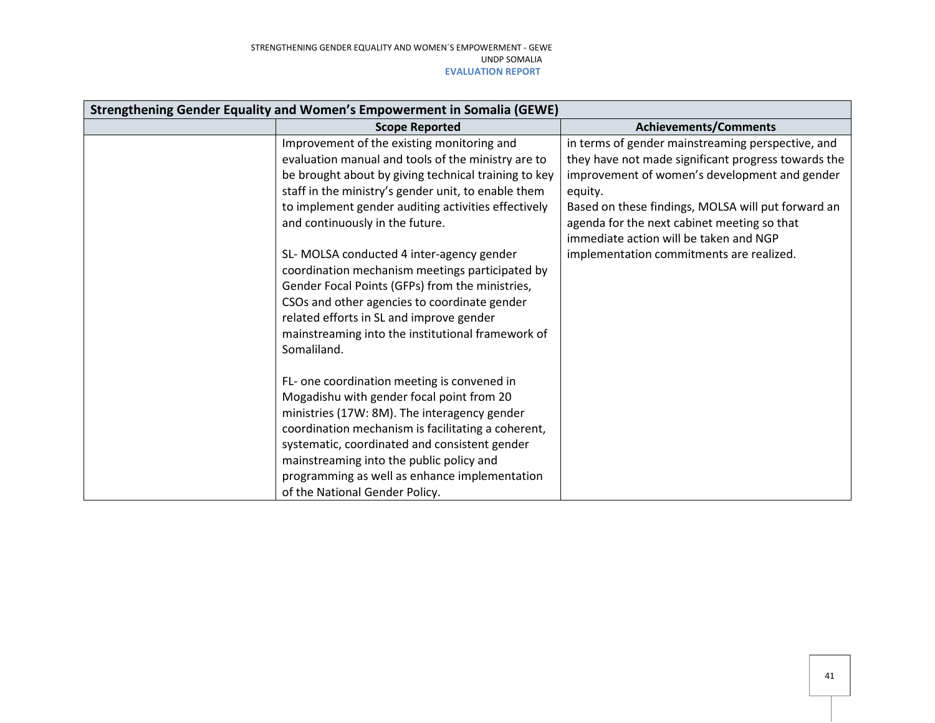| Strengthening Gender Equality and Women's Empowerment in Somalia (GEWE) |                                                      |                                                     |  |
|-------------------------------------------------------------------------|------------------------------------------------------|-----------------------------------------------------|--|
|                                                                         | <b>Scope Reported</b>                                | <b>Achievements/Comments</b>                        |  |
|                                                                         | Improvement of the existing monitoring and           | in terms of gender mainstreaming perspective, and   |  |
|                                                                         | evaluation manual and tools of the ministry are to   | they have not made significant progress towards the |  |
|                                                                         | be brought about by giving technical training to key | improvement of women's development and gender       |  |
|                                                                         | staff in the ministry's gender unit, to enable them  | equity.                                             |  |
|                                                                         | to implement gender auditing activities effectively  | Based on these findings, MOLSA will put forward an  |  |
|                                                                         | and continuously in the future.                      | agenda for the next cabinet meeting so that         |  |
|                                                                         |                                                      | immediate action will be taken and NGP              |  |
|                                                                         | SL- MOLSA conducted 4 inter-agency gender            | implementation commitments are realized.            |  |
|                                                                         | coordination mechanism meetings participated by      |                                                     |  |
|                                                                         | Gender Focal Points (GFPs) from the ministries,      |                                                     |  |
|                                                                         | CSOs and other agencies to coordinate gender         |                                                     |  |
|                                                                         | related efforts in SL and improve gender             |                                                     |  |
|                                                                         | mainstreaming into the institutional framework of    |                                                     |  |
|                                                                         | Somaliland.                                          |                                                     |  |
|                                                                         |                                                      |                                                     |  |
|                                                                         | FL- one coordination meeting is convened in          |                                                     |  |
|                                                                         | Mogadishu with gender focal point from 20            |                                                     |  |
|                                                                         | ministries (17W: 8M). The interagency gender         |                                                     |  |
|                                                                         | coordination mechanism is facilitating a coherent,   |                                                     |  |
|                                                                         | systematic, coordinated and consistent gender        |                                                     |  |
|                                                                         | mainstreaming into the public policy and             |                                                     |  |
|                                                                         | programming as well as enhance implementation        |                                                     |  |
|                                                                         | of the National Gender Policy.                       |                                                     |  |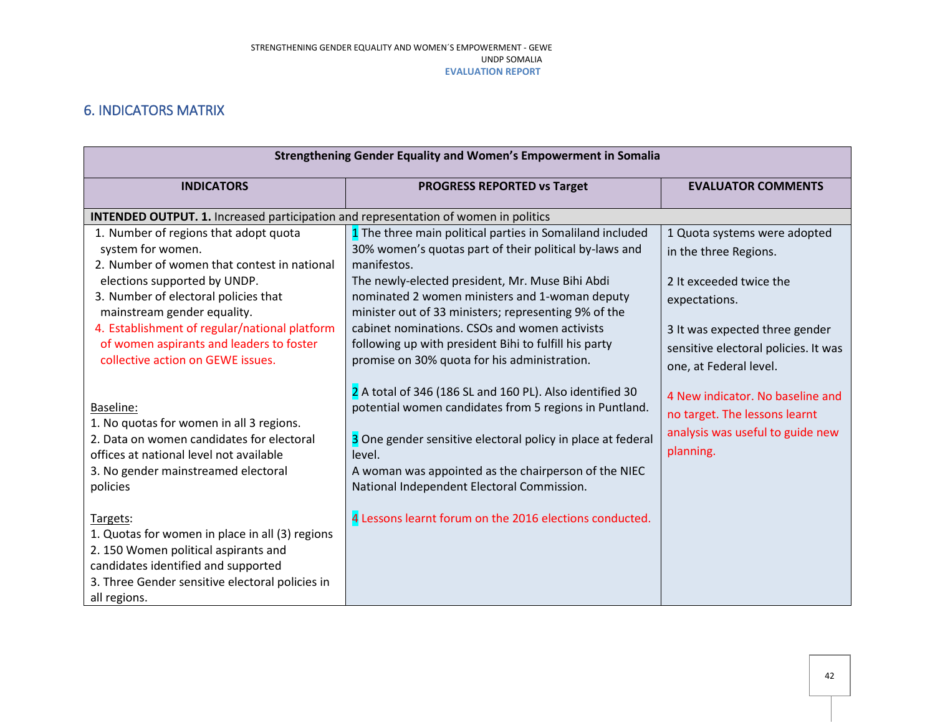## 6. INDICATORS MATRIX

<span id="page-41-0"></span>

| Strengthening Gender Equality and Women's Empowerment in Somalia                                                                                                                                                                                                                                                                                   |                                                                                                                                                                                                                                                                                                                                                                                                                                                           |                                                                                                                                                                                                       |  |
|----------------------------------------------------------------------------------------------------------------------------------------------------------------------------------------------------------------------------------------------------------------------------------------------------------------------------------------------------|-----------------------------------------------------------------------------------------------------------------------------------------------------------------------------------------------------------------------------------------------------------------------------------------------------------------------------------------------------------------------------------------------------------------------------------------------------------|-------------------------------------------------------------------------------------------------------------------------------------------------------------------------------------------------------|--|
| <b>INDICATORS</b>                                                                                                                                                                                                                                                                                                                                  | <b>PROGRESS REPORTED vs Target</b>                                                                                                                                                                                                                                                                                                                                                                                                                        | <b>EVALUATOR COMMENTS</b>                                                                                                                                                                             |  |
| INTENDED OUTPUT. 1. Increased participation and representation of women in politics                                                                                                                                                                                                                                                                |                                                                                                                                                                                                                                                                                                                                                                                                                                                           |                                                                                                                                                                                                       |  |
| 1. Number of regions that adopt quota<br>system for women.<br>2. Number of women that contest in national<br>elections supported by UNDP.<br>3. Number of electoral policies that<br>mainstream gender equality.<br>4. Establishment of regular/national platform<br>of women aspirants and leaders to foster<br>collective action on GEWE issues. | 1 The three main political parties in Somaliland included<br>30% women's quotas part of their political by-laws and<br>manifestos.<br>The newly-elected president, Mr. Muse Bihi Abdi<br>nominated 2 women ministers and 1-woman deputy<br>minister out of 33 ministers; representing 9% of the<br>cabinet nominations. CSOs and women activists<br>following up with president Bihi to fulfill his party<br>promise on 30% quota for his administration. | 1 Quota systems were adopted<br>in the three Regions.<br>2 It exceeded twice the<br>expectations.<br>3 It was expected three gender<br>sensitive electoral policies. It was<br>one, at Federal level. |  |
| Baseline:<br>1. No quotas for women in all 3 regions.<br>2. Data on women candidates for electoral<br>offices at national level not available<br>3. No gender mainstreamed electoral<br>policies                                                                                                                                                   | 2 A total of 346 (186 SL and 160 PL). Also identified 30<br>potential women candidates from 5 regions in Puntland.<br>3 One gender sensitive electoral policy in place at federal<br>level.<br>A woman was appointed as the chairperson of the NIEC<br>National Independent Electoral Commission.                                                                                                                                                         | 4 New indicator. No baseline and<br>no target. The lessons learnt<br>analysis was useful to guide new<br>planning.                                                                                    |  |
| Targets:<br>1. Quotas for women in place in all (3) regions<br>2. 150 Women political aspirants and<br>candidates identified and supported<br>3. Three Gender sensitive electoral policies in<br>all regions.                                                                                                                                      | 4 Lessons learnt forum on the 2016 elections conducted.                                                                                                                                                                                                                                                                                                                                                                                                   |                                                                                                                                                                                                       |  |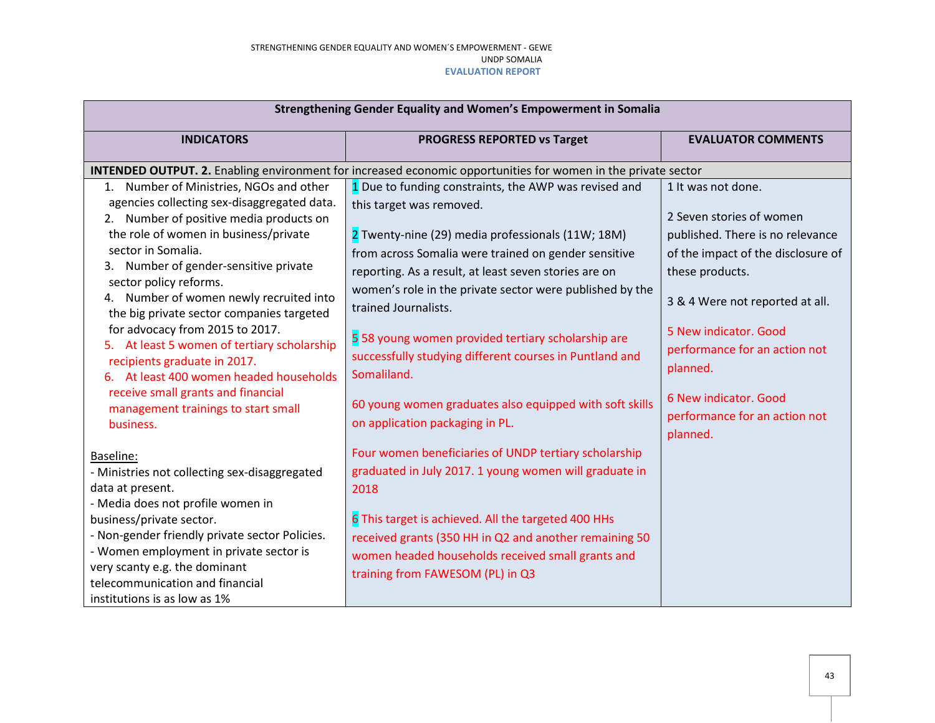| Strengthening Gender Equality and Women's Empowerment in Somalia                                                                                                                                                                                                                                                                                                                                                                                                                                                                                                                                                   |                                                                                                                                                                                                                                                                                                                                                                                                                                                                                                                                                                           |                                                                                                                                                                                                                                                                                                                            |  |
|--------------------------------------------------------------------------------------------------------------------------------------------------------------------------------------------------------------------------------------------------------------------------------------------------------------------------------------------------------------------------------------------------------------------------------------------------------------------------------------------------------------------------------------------------------------------------------------------------------------------|---------------------------------------------------------------------------------------------------------------------------------------------------------------------------------------------------------------------------------------------------------------------------------------------------------------------------------------------------------------------------------------------------------------------------------------------------------------------------------------------------------------------------------------------------------------------------|----------------------------------------------------------------------------------------------------------------------------------------------------------------------------------------------------------------------------------------------------------------------------------------------------------------------------|--|
| <b>INDICATORS</b>                                                                                                                                                                                                                                                                                                                                                                                                                                                                                                                                                                                                  | <b>PROGRESS REPORTED vs Target</b>                                                                                                                                                                                                                                                                                                                                                                                                                                                                                                                                        | <b>EVALUATOR COMMENTS</b>                                                                                                                                                                                                                                                                                                  |  |
|                                                                                                                                                                                                                                                                                                                                                                                                                                                                                                                                                                                                                    | INTENDED OUTPUT. 2. Enabling environment for increased economic opportunities for women in the private sector                                                                                                                                                                                                                                                                                                                                                                                                                                                             |                                                                                                                                                                                                                                                                                                                            |  |
| 1. Number of Ministries, NGOs and other<br>agencies collecting sex-disaggregated data.<br>2. Number of positive media products on<br>the role of women in business/private<br>sector in Somalia.<br>3. Number of gender-sensitive private<br>sector policy reforms.<br>4. Number of women newly recruited into<br>the big private sector companies targeted<br>for advocacy from 2015 to 2017.<br>5. At least 5 women of tertiary scholarship<br>recipients graduate in 2017.<br>6. At least 400 women headed households<br>receive small grants and financial<br>management trainings to start small<br>business. | 1 Due to funding constraints, the AWP was revised and<br>this target was removed.<br>2 Twenty-nine (29) media professionals (11W; 18M)<br>from across Somalia were trained on gender sensitive<br>reporting. As a result, at least seven stories are on<br>women's role in the private sector were published by the<br>trained Journalists.<br>5 58 young women provided tertiary scholarship are<br>successfully studying different courses in Puntland and<br>Somaliland.<br>60 young women graduates also equipped with soft skills<br>on application packaging in PL. | 1 It was not done.<br>2 Seven stories of women<br>published. There is no relevance<br>of the impact of the disclosure of<br>these products.<br>3 & 4 Were not reported at all.<br>5 New indicator. Good<br>performance for an action not<br>planned.<br>6 New indicator. Good<br>performance for an action not<br>planned. |  |
| Baseline:<br>- Ministries not collecting sex-disaggregated<br>data at present.<br>- Media does not profile women in<br>business/private sector.<br>- Non-gender friendly private sector Policies.<br>- Women employment in private sector is<br>very scanty e.g. the dominant<br>telecommunication and financial<br>institutions is as low as 1%                                                                                                                                                                                                                                                                   | Four women beneficiaries of UNDP tertiary scholarship<br>graduated in July 2017. 1 young women will graduate in<br>2018<br>6 This target is achieved. All the targeted 400 HHs<br>received grants (350 HH in Q2 and another remaining 50<br>women headed households received small grants and<br>training from FAWESOM (PL) in Q3                                                                                                                                                                                                                                         |                                                                                                                                                                                                                                                                                                                            |  |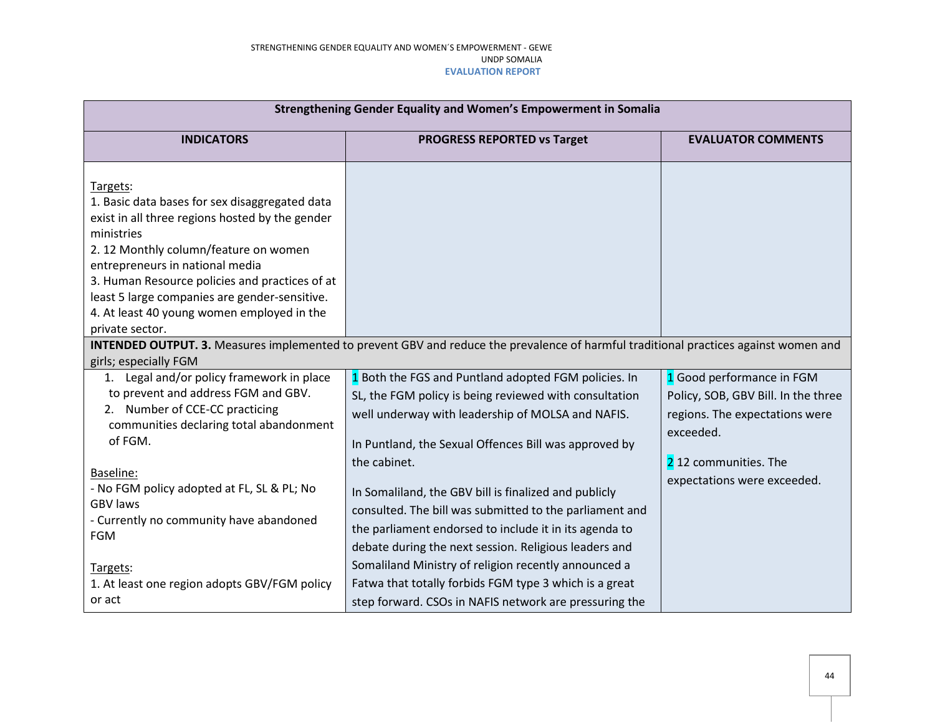| Strengthening Gender Equality and Women's Empowerment in Somalia                                                                                                                                                                                                                                                                                         |                                                                                                                                                                                                                                                                                                                                                                                                                                                                                     |                                                                                                                                                                        |  |
|----------------------------------------------------------------------------------------------------------------------------------------------------------------------------------------------------------------------------------------------------------------------------------------------------------------------------------------------------------|-------------------------------------------------------------------------------------------------------------------------------------------------------------------------------------------------------------------------------------------------------------------------------------------------------------------------------------------------------------------------------------------------------------------------------------------------------------------------------------|------------------------------------------------------------------------------------------------------------------------------------------------------------------------|--|
| <b>INDICATORS</b>                                                                                                                                                                                                                                                                                                                                        | <b>PROGRESS REPORTED vs Target</b>                                                                                                                                                                                                                                                                                                                                                                                                                                                  | <b>EVALUATOR COMMENTS</b>                                                                                                                                              |  |
|                                                                                                                                                                                                                                                                                                                                                          |                                                                                                                                                                                                                                                                                                                                                                                                                                                                                     |                                                                                                                                                                        |  |
| Targets:<br>1. Basic data bases for sex disaggregated data<br>exist in all three regions hosted by the gender<br>ministries<br>2. 12 Monthly column/feature on women<br>entrepreneurs in national media<br>3. Human Resource policies and practices of at<br>least 5 large companies are gender-sensitive.<br>4. At least 40 young women employed in the |                                                                                                                                                                                                                                                                                                                                                                                                                                                                                     |                                                                                                                                                                        |  |
| private sector.<br>girls; especially FGM                                                                                                                                                                                                                                                                                                                 | INTENDED OUTPUT. 3. Measures implemented to prevent GBV and reduce the prevalence of harmful traditional practices against women and                                                                                                                                                                                                                                                                                                                                                |                                                                                                                                                                        |  |
| 1. Legal and/or policy framework in place<br>to prevent and address FGM and GBV.<br>2. Number of CCE-CC practicing<br>communities declaring total abandonment<br>of FGM.<br>Baseline:<br>- No FGM policy adopted at FL, SL & PL; No<br><b>GBV laws</b><br>- Currently no community have abandoned<br><b>FGM</b>                                          | 1 Both the FGS and Puntland adopted FGM policies. In<br>SL, the FGM policy is being reviewed with consultation<br>well underway with leadership of MOLSA and NAFIS.<br>In Puntland, the Sexual Offences Bill was approved by<br>the cabinet.<br>In Somaliland, the GBV bill is finalized and publicly<br>consulted. The bill was submitted to the parliament and<br>the parliament endorsed to include it in its agenda to<br>debate during the next session. Religious leaders and | 1 Good performance in FGM<br>Policy, SOB, GBV Bill. In the three<br>regions. The expectations were<br>exceeded.<br>212 communities. The<br>expectations were exceeded. |  |
| Targets:<br>1. At least one region adopts GBV/FGM policy<br>or act                                                                                                                                                                                                                                                                                       | Somaliland Ministry of religion recently announced a<br>Fatwa that totally forbids FGM type 3 which is a great<br>step forward. CSOs in NAFIS network are pressuring the                                                                                                                                                                                                                                                                                                            |                                                                                                                                                                        |  |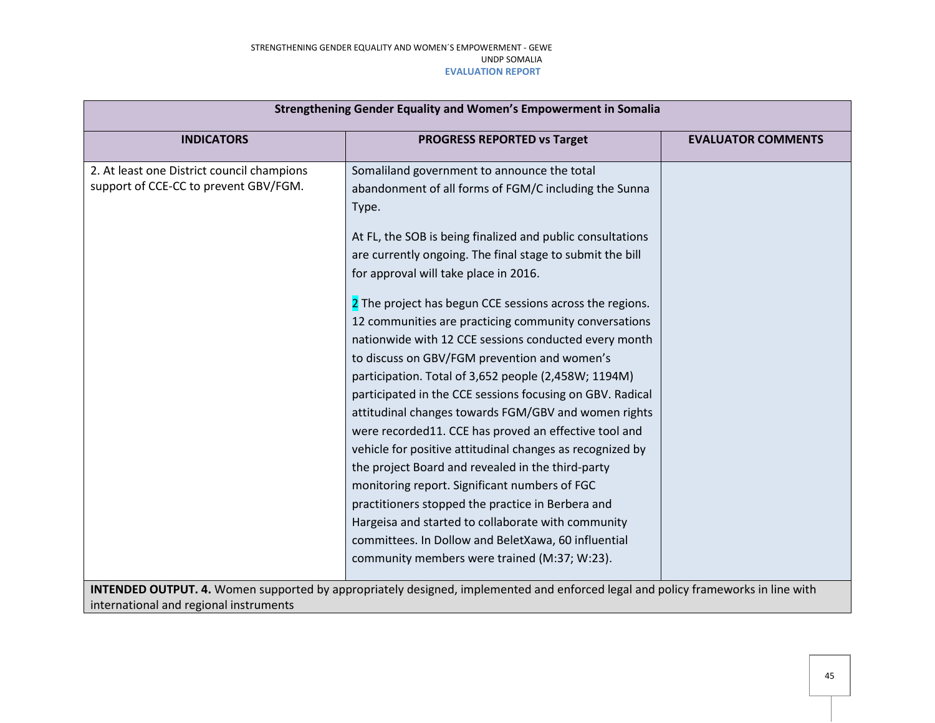| Strengthening Gender Equality and Women's Empowerment in Somalia |                                                                                                                                         |                           |
|------------------------------------------------------------------|-----------------------------------------------------------------------------------------------------------------------------------------|---------------------------|
| <b>INDICATORS</b>                                                | <b>PROGRESS REPORTED vs Target</b>                                                                                                      | <b>EVALUATOR COMMENTS</b> |
| 2. At least one District council champions                       | Somaliland government to announce the total                                                                                             |                           |
| support of CCE-CC to prevent GBV/FGM.                            | abandonment of all forms of FGM/C including the Sunna                                                                                   |                           |
|                                                                  | Type.                                                                                                                                   |                           |
|                                                                  | At FL, the SOB is being finalized and public consultations                                                                              |                           |
|                                                                  | are currently ongoing. The final stage to submit the bill                                                                               |                           |
|                                                                  | for approval will take place in 2016.                                                                                                   |                           |
|                                                                  | 2 The project has begun CCE sessions across the regions.                                                                                |                           |
|                                                                  | 12 communities are practicing community conversations                                                                                   |                           |
|                                                                  | nationwide with 12 CCE sessions conducted every month                                                                                   |                           |
|                                                                  | to discuss on GBV/FGM prevention and women's                                                                                            |                           |
|                                                                  | participation. Total of 3,652 people (2,458W; 1194M)                                                                                    |                           |
|                                                                  | participated in the CCE sessions focusing on GBV. Radical                                                                               |                           |
|                                                                  | attitudinal changes towards FGM/GBV and women rights                                                                                    |                           |
|                                                                  | were recorded11. CCE has proved an effective tool and                                                                                   |                           |
|                                                                  | vehicle for positive attitudinal changes as recognized by                                                                               |                           |
|                                                                  | the project Board and revealed in the third-party                                                                                       |                           |
|                                                                  | monitoring report. Significant numbers of FGC                                                                                           |                           |
|                                                                  | practitioners stopped the practice in Berbera and                                                                                       |                           |
|                                                                  | Hargeisa and started to collaborate with community                                                                                      |                           |
|                                                                  | committees. In Dollow and BeletXawa, 60 influential                                                                                     |                           |
|                                                                  | community members were trained (M:37; W:23).                                                                                            |                           |
|                                                                  | <b>INTENDED OUTPUT. 4.</b> Women supported by appropriately designed, implemented and enforced legal and policy frameworks in line with |                           |
| international and regional instruments                           |                                                                                                                                         |                           |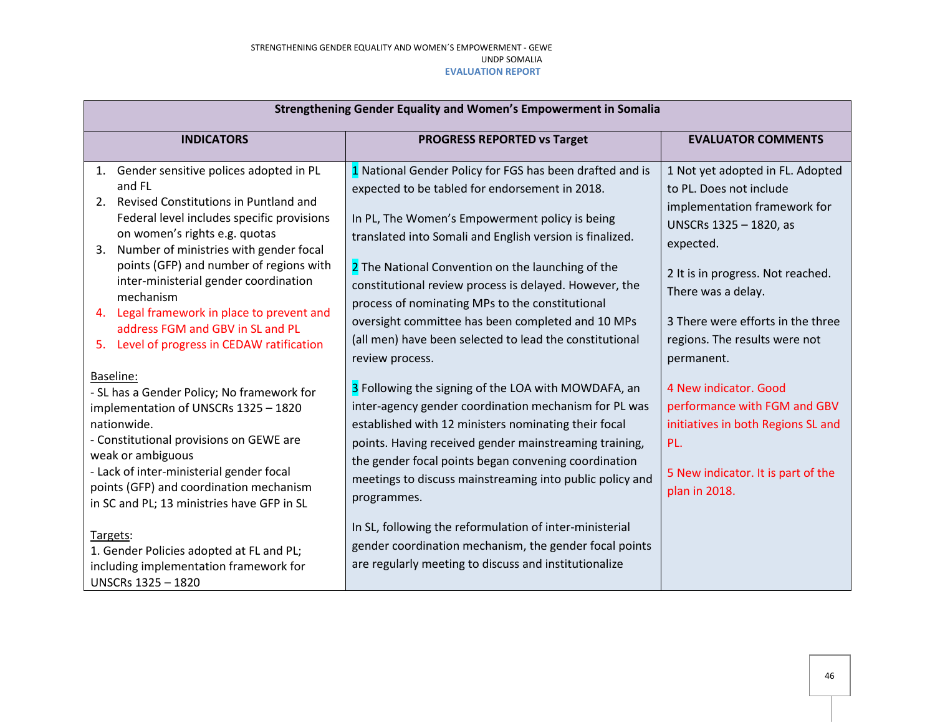| Strengthening Gender Equality and Women's Empowerment in Somalia                                                                                                                                                                                                                                                                                                                                                                                                         |                                                                                                                                                                                                                                                                                                                                                                                                                                                                                                                               |                                                                                                                                                                                                                                                                                   |  |
|--------------------------------------------------------------------------------------------------------------------------------------------------------------------------------------------------------------------------------------------------------------------------------------------------------------------------------------------------------------------------------------------------------------------------------------------------------------------------|-------------------------------------------------------------------------------------------------------------------------------------------------------------------------------------------------------------------------------------------------------------------------------------------------------------------------------------------------------------------------------------------------------------------------------------------------------------------------------------------------------------------------------|-----------------------------------------------------------------------------------------------------------------------------------------------------------------------------------------------------------------------------------------------------------------------------------|--|
| <b>INDICATORS</b>                                                                                                                                                                                                                                                                                                                                                                                                                                                        | PROGRESS REPORTED vs Target                                                                                                                                                                                                                                                                                                                                                                                                                                                                                                   | <b>EVALUATOR COMMENTS</b>                                                                                                                                                                                                                                                         |  |
| 1. Gender sensitive polices adopted in PL<br>and FL<br>Revised Constitutions in Puntland and<br>2.<br>Federal level includes specific provisions<br>on women's rights e.g. quotas<br>Number of ministries with gender focal<br>3.<br>points (GFP) and number of regions with<br>inter-ministerial gender coordination<br>mechanism<br>Legal framework in place to prevent and<br>4.<br>address FGM and GBV in SL and PL<br>Level of progress in CEDAW ratification<br>5. | 1 National Gender Policy for FGS has been drafted and is<br>expected to be tabled for endorsement in 2018.<br>In PL, The Women's Empowerment policy is being<br>translated into Somali and English version is finalized.<br>2 The National Convention on the launching of the<br>constitutional review process is delayed. However, the<br>process of nominating MPs to the constitutional<br>oversight committee has been completed and 10 MPs<br>(all men) have been selected to lead the constitutional<br>review process. | 1 Not yet adopted in FL. Adopted<br>to PL. Does not include<br>implementation framework for<br>UNSCRs 1325 - 1820, as<br>expected.<br>2 It is in progress. Not reached.<br>There was a delay.<br>3 There were efforts in the three<br>regions. The results were not<br>permanent. |  |
| Baseline:<br>- SL has a Gender Policy; No framework for<br>implementation of UNSCRs 1325 - 1820<br>nationwide.<br>- Constitutional provisions on GEWE are<br>weak or ambiguous<br>- Lack of inter-ministerial gender focal<br>points (GFP) and coordination mechanism<br>in SC and PL; 13 ministries have GFP in SL                                                                                                                                                      | 3 Following the signing of the LOA with MOWDAFA, an<br>inter-agency gender coordination mechanism for PL was<br>established with 12 ministers nominating their focal<br>points. Having received gender mainstreaming training,<br>the gender focal points began convening coordination<br>meetings to discuss mainstreaming into public policy and<br>programmes.                                                                                                                                                             | 4 New indicator. Good<br>performance with FGM and GBV<br>initiatives in both Regions SL and<br>PL.<br>5 New indicator. It is part of the<br>plan in 2018.                                                                                                                         |  |
| Targets:<br>1. Gender Policies adopted at FL and PL;<br>including implementation framework for<br>UNSCRs 1325 - 1820                                                                                                                                                                                                                                                                                                                                                     | In SL, following the reformulation of inter-ministerial<br>gender coordination mechanism, the gender focal points<br>are regularly meeting to discuss and institutionalize                                                                                                                                                                                                                                                                                                                                                    |                                                                                                                                                                                                                                                                                   |  |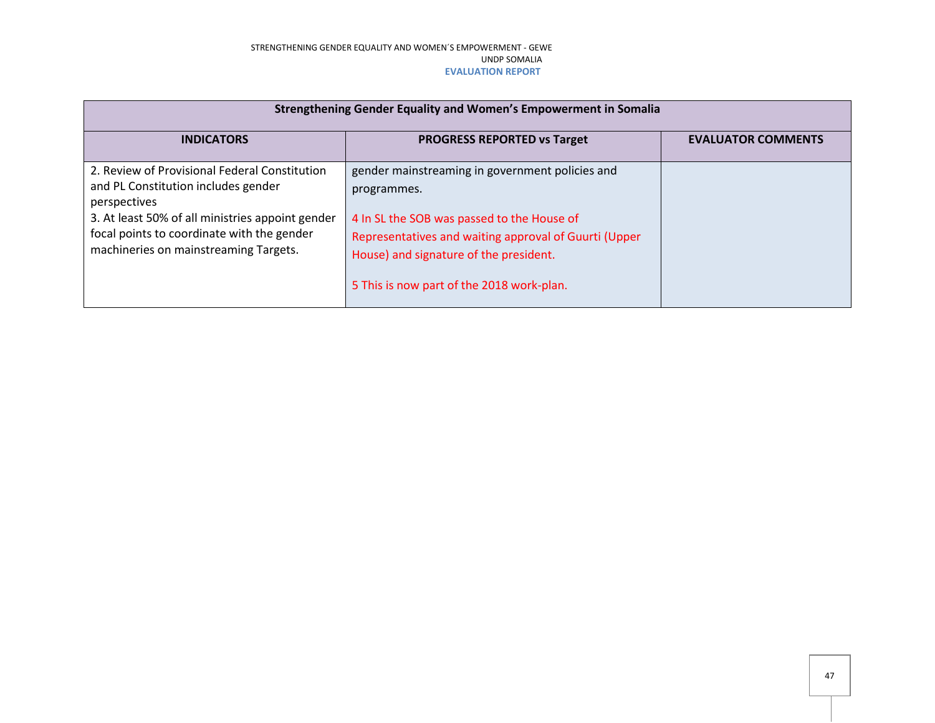| Strengthening Gender Equality and Women's Empowerment in Somalia                                                                                                                                                                                |                                                                                                                                                                                                                                                              |                           |  |  |
|-------------------------------------------------------------------------------------------------------------------------------------------------------------------------------------------------------------------------------------------------|--------------------------------------------------------------------------------------------------------------------------------------------------------------------------------------------------------------------------------------------------------------|---------------------------|--|--|
| <b>INDICATORS</b>                                                                                                                                                                                                                               | <b>PROGRESS REPORTED vs Target</b>                                                                                                                                                                                                                           | <b>EVALUATOR COMMENTS</b> |  |  |
| 2. Review of Provisional Federal Constitution<br>and PL Constitution includes gender<br>perspectives<br>3. At least 50% of all ministries appoint gender<br>focal points to coordinate with the gender<br>machineries on mainstreaming Targets. | gender mainstreaming in government policies and<br>programmes.<br>4 In SL the SOB was passed to the House of<br>Representatives and waiting approval of Guurti (Upper<br>House) and signature of the president.<br>5 This is now part of the 2018 work-plan. |                           |  |  |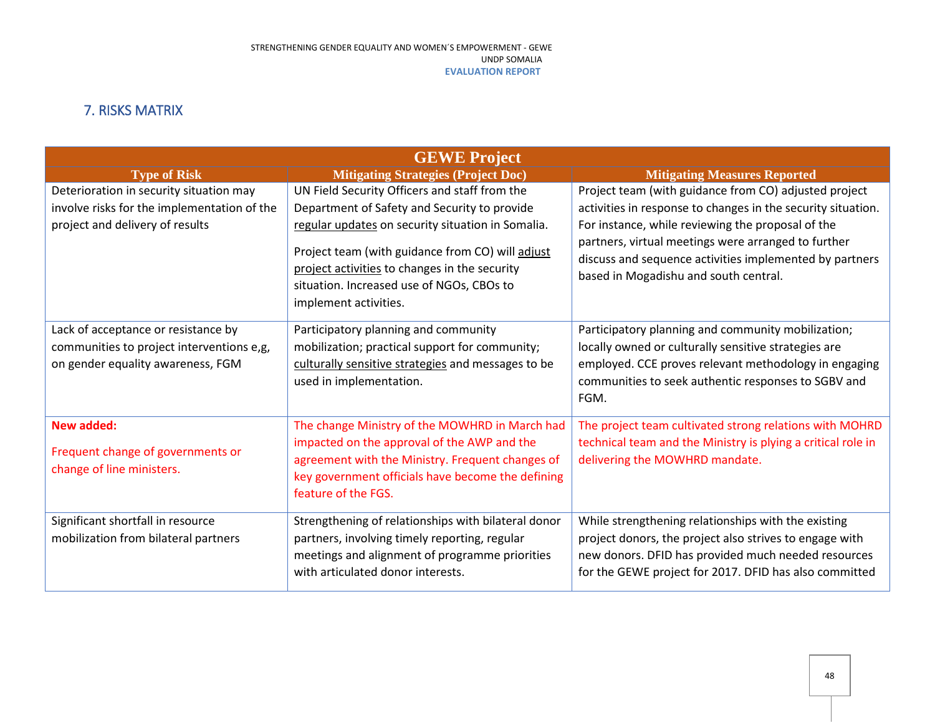## 7. RISKS MATRIX

<span id="page-47-0"></span>

| <b>GEWE Project</b>                         |                                                                                                                                                                         |                                                                                                                                                         |  |
|---------------------------------------------|-------------------------------------------------------------------------------------------------------------------------------------------------------------------------|---------------------------------------------------------------------------------------------------------------------------------------------------------|--|
| <b>Type of Risk</b>                         | <b>Mitigating Strategies (Project Doc)</b>                                                                                                                              | <b>Mitigating Measures Reported</b>                                                                                                                     |  |
| Deterioration in security situation may     | UN Field Security Officers and staff from the                                                                                                                           | Project team (with guidance from CO) adjusted project                                                                                                   |  |
| involve risks for the implementation of the | Department of Safety and Security to provide                                                                                                                            | activities in response to changes in the security situation.                                                                                            |  |
| project and delivery of results             | regular updates on security situation in Somalia.                                                                                                                       | For instance, while reviewing the proposal of the                                                                                                       |  |
|                                             | Project team (with guidance from CO) will adjust<br>project activities to changes in the security<br>situation. Increased use of NGOs, CBOs to<br>implement activities. | partners, virtual meetings were arranged to further<br>discuss and sequence activities implemented by partners<br>based in Mogadishu and south central. |  |
| Lack of acceptance or resistance by         | Participatory planning and community                                                                                                                                    | Participatory planning and community mobilization;                                                                                                      |  |
| communities to project interventions e,g,   | mobilization; practical support for community;                                                                                                                          | locally owned or culturally sensitive strategies are                                                                                                    |  |
| on gender equality awareness, FGM           | culturally sensitive strategies and messages to be<br>used in implementation.                                                                                           | employed. CCE proves relevant methodology in engaging<br>communities to seek authentic responses to SGBV and<br>FGM.                                    |  |
| <b>New added:</b>                           | The change Ministry of the MOWHRD in March had                                                                                                                          | The project team cultivated strong relations with MOHRD                                                                                                 |  |
| Frequent change of governments or           | impacted on the approval of the AWP and the                                                                                                                             | technical team and the Ministry is plying a critical role in                                                                                            |  |
| change of line ministers.                   | agreement with the Ministry. Frequent changes of<br>key government officials have become the defining<br>feature of the FGS.                                            | delivering the MOWHRD mandate.                                                                                                                          |  |
| Significant shortfall in resource           | Strengthening of relationships with bilateral donor                                                                                                                     | While strengthening relationships with the existing                                                                                                     |  |
| mobilization from bilateral partners        | partners, involving timely reporting, regular                                                                                                                           | project donors, the project also strives to engage with                                                                                                 |  |
|                                             | meetings and alignment of programme priorities                                                                                                                          | new donors. DFID has provided much needed resources                                                                                                     |  |
|                                             | with articulated donor interests.                                                                                                                                       | for the GEWE project for 2017. DFID has also committed                                                                                                  |  |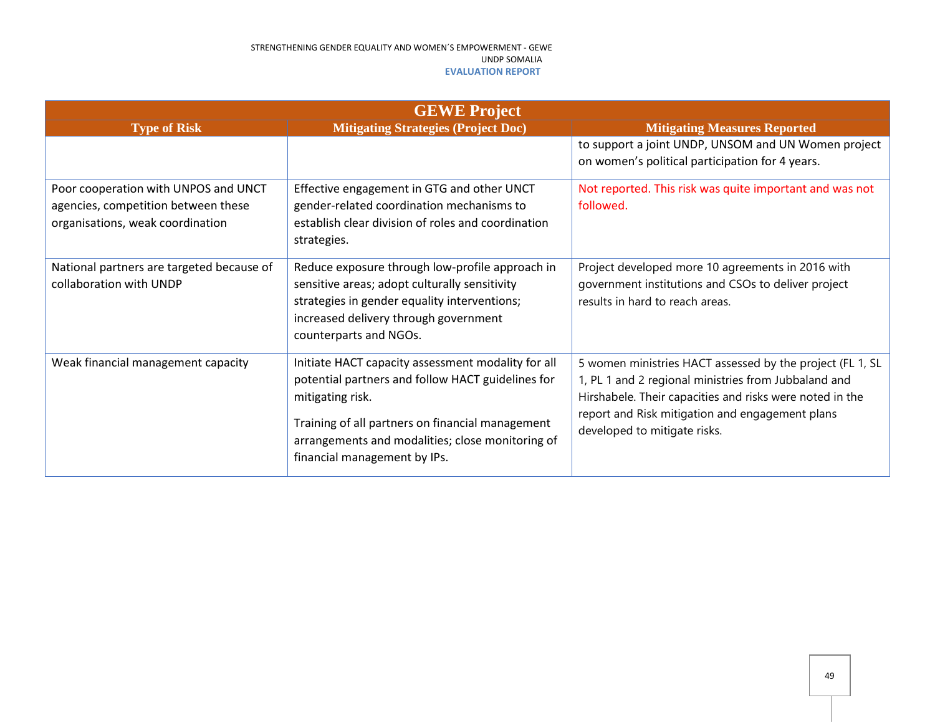| <b>GEWE Project</b>                                                                                             |                                                                                                                                                                                                                                                                     |                                                                                                                                                                                                                                                                  |  |  |
|-----------------------------------------------------------------------------------------------------------------|---------------------------------------------------------------------------------------------------------------------------------------------------------------------------------------------------------------------------------------------------------------------|------------------------------------------------------------------------------------------------------------------------------------------------------------------------------------------------------------------------------------------------------------------|--|--|
| <b>Type of Risk</b>                                                                                             | <b>Mitigating Strategies (Project Doc)</b>                                                                                                                                                                                                                          | <b>Mitigating Measures Reported</b>                                                                                                                                                                                                                              |  |  |
|                                                                                                                 |                                                                                                                                                                                                                                                                     | to support a joint UNDP, UNSOM and UN Women project<br>on women's political participation for 4 years.                                                                                                                                                           |  |  |
| Poor cooperation with UNPOS and UNCT<br>agencies, competition between these<br>organisations, weak coordination | Effective engagement in GTG and other UNCT<br>gender-related coordination mechanisms to<br>establish clear division of roles and coordination<br>strategies.                                                                                                        | Not reported. This risk was quite important and was not<br>followed.                                                                                                                                                                                             |  |  |
| National partners are targeted because of<br>collaboration with UNDP                                            | Reduce exposure through low-profile approach in<br>sensitive areas; adopt culturally sensitivity<br>strategies in gender equality interventions;<br>increased delivery through government<br>counterparts and NGOs.                                                 | Project developed more 10 agreements in 2016 with<br>government institutions and CSOs to deliver project<br>results in hard to reach areas.                                                                                                                      |  |  |
| Weak financial management capacity                                                                              | Initiate HACT capacity assessment modality for all<br>potential partners and follow HACT guidelines for<br>mitigating risk.<br>Training of all partners on financial management<br>arrangements and modalities; close monitoring of<br>financial management by IPs. | 5 women ministries HACT assessed by the project (FL 1, SL<br>1, PL 1 and 2 regional ministries from Jubbaland and<br>Hirshabele. Their capacities and risks were noted in the<br>report and Risk mitigation and engagement plans<br>developed to mitigate risks. |  |  |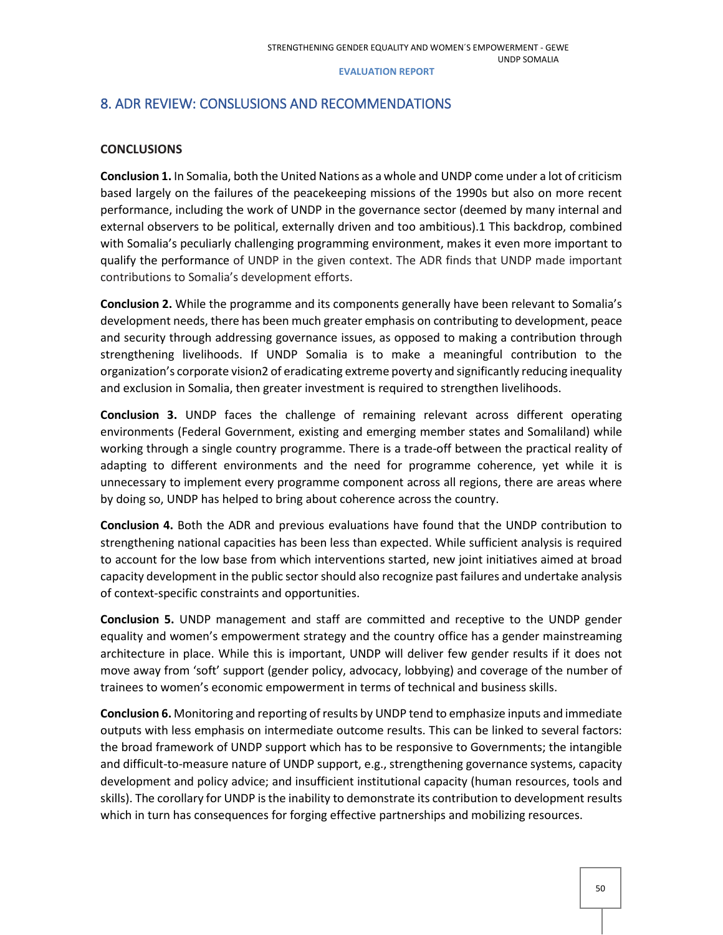## <span id="page-49-0"></span>8. ADR REVIEW: CONSLUSIONS AND RECOMMENDATIONS

## **CONCLUSIONS**

**Conclusion 1.** In Somalia, both the United Nations as a whole and UNDP come under a lot of criticism based largely on the failures of the peacekeeping missions of the 1990s but also on more recent performance, including the work of UNDP in the governance sector (deemed by many internal and external observers to be political, externally driven and too ambitious).1 This backdrop, combined with Somalia's peculiarly challenging programming environment, makes it even more important to qualify the performance of UNDP in the given context. The ADR finds that UNDP made important contributions to Somalia's development efforts.

**Conclusion 2.** While the programme and its components generally have been relevant to Somalia's development needs, there has been much greater emphasis on contributing to development, peace and security through addressing governance issues, as opposed to making a contribution through strengthening livelihoods. If UNDP Somalia is to make a meaningful contribution to the organization's corporate vision2 of eradicating extreme poverty and significantly reducing inequality and exclusion in Somalia, then greater investment is required to strengthen livelihoods.

**Conclusion 3.** UNDP faces the challenge of remaining relevant across different operating environments (Federal Government, existing and emerging member states and Somaliland) while working through a single country programme. There is a trade-off between the practical reality of adapting to different environments and the need for programme coherence, yet while it is unnecessary to implement every programme component across all regions, there are areas where by doing so, UNDP has helped to bring about coherence across the country.

**Conclusion 4.** Both the ADR and previous evaluations have found that the UNDP contribution to strengthening national capacities has been less than expected. While sufficient analysis is required to account for the low base from which interventions started, new joint initiatives aimed at broad capacity development in the public sector should also recognize past failures and undertake analysis of context-specific constraints and opportunities.

**Conclusion 5.** UNDP management and staff are committed and receptive to the UNDP gender equality and women's empowerment strategy and the country office has a gender mainstreaming architecture in place. While this is important, UNDP will deliver few gender results if it does not move away from 'soft' support (gender policy, advocacy, lobbying) and coverage of the number of trainees to women's economic empowerment in terms of technical and business skills.

**Conclusion 6.** Monitoring and reporting of results by UNDP tend to emphasize inputs and immediate outputs with less emphasis on intermediate outcome results. This can be linked to several factors: the broad framework of UNDP support which has to be responsive to Governments; the intangible and difficult-to-measure nature of UNDP support, e.g., strengthening governance systems, capacity development and policy advice; and insufficient institutional capacity (human resources, tools and skills). The corollary for UNDP is the inability to demonstrate its contribution to development results which in turn has consequences for forging effective partnerships and mobilizing resources.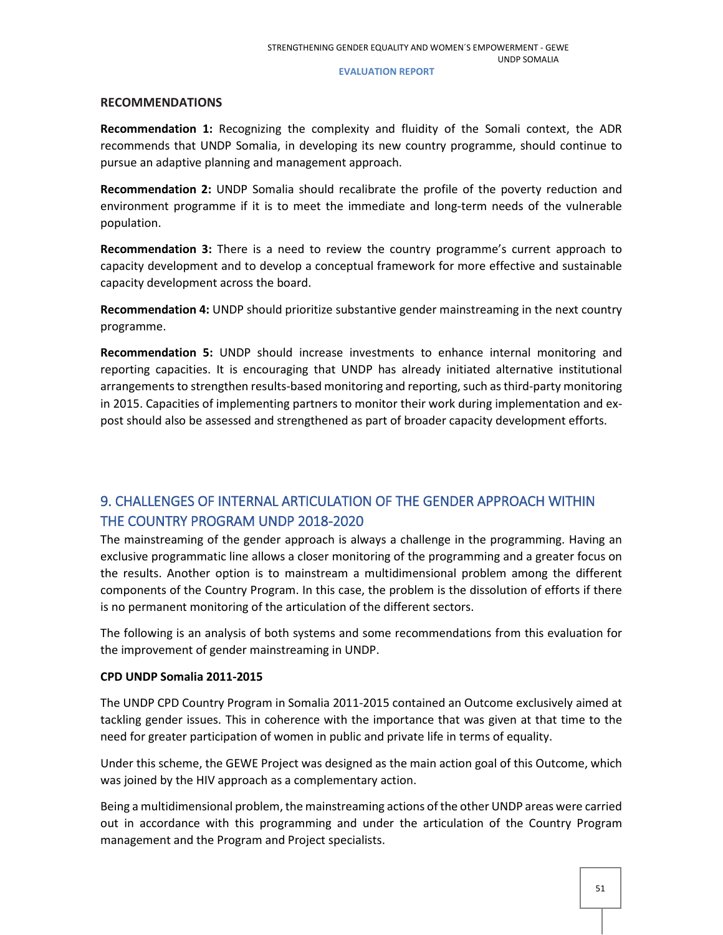## **RECOMMENDATIONS**

**Recommendation 1:** Recognizing the complexity and fluidity of the Somali context, the ADR recommends that UNDP Somalia, in developing its new country programme, should continue to pursue an adaptive planning and management approach.

**Recommendation 2:** UNDP Somalia should recalibrate the profile of the poverty reduction and environment programme if it is to meet the immediate and long-term needs of the vulnerable population.

**Recommendation 3:** There is a need to review the country programme's current approach to capacity development and to develop a conceptual framework for more effective and sustainable capacity development across the board.

**Recommendation 4:** UNDP should prioritize substantive gender mainstreaming in the next country programme.

**Recommendation 5:** UNDP should increase investments to enhance internal monitoring and reporting capacities. It is encouraging that UNDP has already initiated alternative institutional arrangements to strengthen results-based monitoring and reporting, such as third-party monitoring in 2015. Capacities of implementing partners to monitor their work during implementation and expost should also be assessed and strengthened as part of broader capacity development efforts.

## <span id="page-50-0"></span>9. CHALLENGES OF INTERNAL ARTICULATION OF THE GENDER APPROACH WITHIN THE COUNTRY PROGRAM UNDP 2018-2020

The mainstreaming of the gender approach is always a challenge in the programming. Having an exclusive programmatic line allows a closer monitoring of the programming and a greater focus on the results. Another option is to mainstream a multidimensional problem among the different components of the Country Program. In this case, the problem is the dissolution of efforts if there is no permanent monitoring of the articulation of the different sectors.

The following is an analysis of both systems and some recommendations from this evaluation for the improvement of gender mainstreaming in UNDP.

## **CPD UNDP Somalia 2011-2015**

The UNDP CPD Country Program in Somalia 2011-2015 contained an Outcome exclusively aimed at tackling gender issues. This in coherence with the importance that was given at that time to the need for greater participation of women in public and private life in terms of equality.

Under this scheme, the GEWE Project was designed as the main action goal of this Outcome, which was joined by the HIV approach as a complementary action.

Being a multidimensional problem, the mainstreaming actions of the other UNDP areas were carried out in accordance with this programming and under the articulation of the Country Program management and the Program and Project specialists.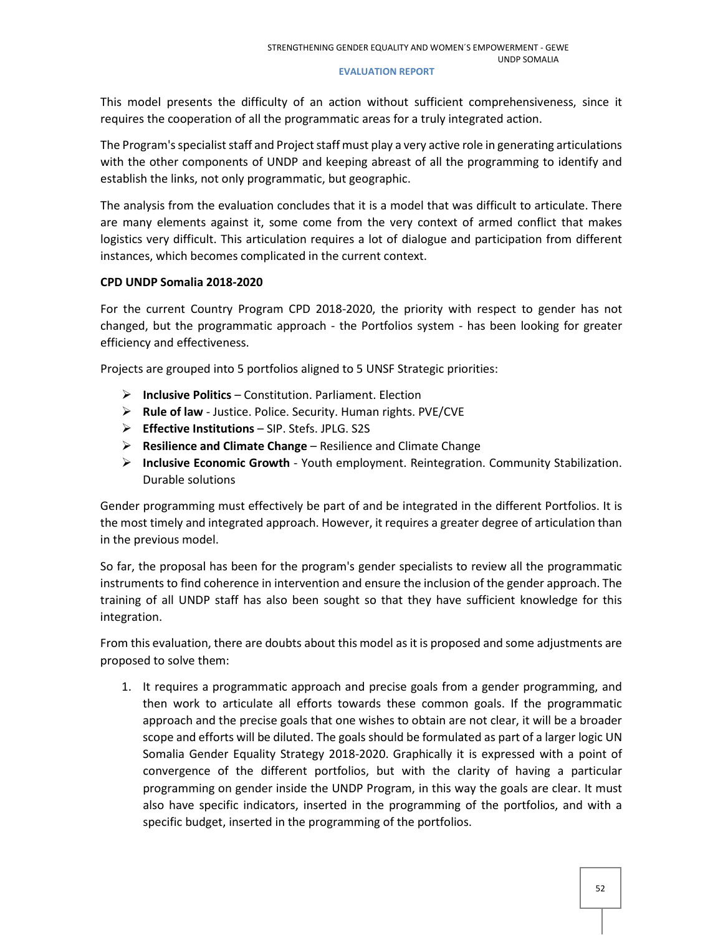This model presents the difficulty of an action without sufficient comprehensiveness, since it requires the cooperation of all the programmatic areas for a truly integrated action.

The Program's specialist staff and Project staff must play a very active role in generating articulations with the other components of UNDP and keeping abreast of all the programming to identify and establish the links, not only programmatic, but geographic.

The analysis from the evaluation concludes that it is a model that was difficult to articulate. There are many elements against it, some come from the very context of armed conflict that makes logistics very difficult. This articulation requires a lot of dialogue and participation from different instances, which becomes complicated in the current context.

## **CPD UNDP Somalia 2018-2020**

For the current Country Program CPD 2018-2020, the priority with respect to gender has not changed, but the programmatic approach - the Portfolios system - has been looking for greater efficiency and effectiveness.

Projects are grouped into 5 portfolios aligned to 5 UNSF Strategic priorities:

- **Inclusive Politics** Constitution. Parliament. Election
- **Rule of law** Justice. Police. Security. Human rights. PVE/CVE
- **Effective Institutions** SIP. Stefs. JPLG. S2S
- **Resilience and Climate Change** Resilience and Climate Change
- **Inclusive Economic Growth** Youth employment. Reintegration. Community Stabilization. Durable solutions

Gender programming must effectively be part of and be integrated in the different Portfolios. It is the most timely and integrated approach. However, it requires a greater degree of articulation than in the previous model.

So far, the proposal has been for the program's gender specialists to review all the programmatic instruments to find coherence in intervention and ensure the inclusion of the gender approach. The training of all UNDP staff has also been sought so that they have sufficient knowledge for this integration.

From this evaluation, there are doubts about this model as it is proposed and some adjustments are proposed to solve them:

1. It requires a programmatic approach and precise goals from a gender programming, and then work to articulate all efforts towards these common goals. If the programmatic approach and the precise goals that one wishes to obtain are not clear, it will be a broader scope and efforts will be diluted. The goals should be formulated as part of a larger logic UN Somalia Gender Equality Strategy 2018-2020. Graphically it is expressed with a point of convergence of the different portfolios, but with the clarity of having a particular programming on gender inside the UNDP Program, in this way the goals are clear. It must also have specific indicators, inserted in the programming of the portfolios, and with a specific budget, inserted in the programming of the portfolios.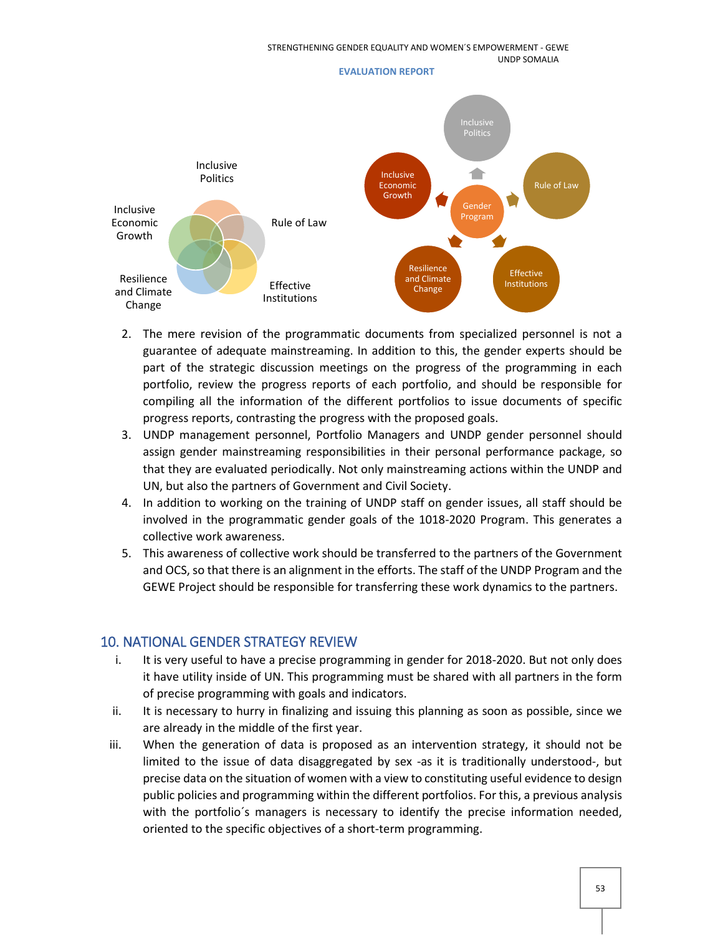

- 2. The mere revision of the programmatic documents from specialized personnel is not a guarantee of adequate mainstreaming. In addition to this, the gender experts should be part of the strategic discussion meetings on the progress of the programming in each portfolio, review the progress reports of each portfolio, and should be responsible for compiling all the information of the different portfolios to issue documents of specific progress reports, contrasting the progress with the proposed goals.
- 3. UNDP management personnel, Portfolio Managers and UNDP gender personnel should assign gender mainstreaming responsibilities in their personal performance package, so that they are evaluated periodically. Not only mainstreaming actions within the UNDP and UN, but also the partners of Government and Civil Society.
- 4. In addition to working on the training of UNDP staff on gender issues, all staff should be involved in the programmatic gender goals of the 1018-2020 Program. This generates a collective work awareness.
- 5. This awareness of collective work should be transferred to the partners of the Government and OCS, so that there is an alignment in the efforts. The staff of the UNDP Program and the GEWE Project should be responsible for transferring these work dynamics to the partners.

## <span id="page-52-0"></span>10. NATIONAL GENDER STRATEGY REVIEW

- i. It is very useful to have a precise programming in gender for 2018-2020. But not only does it have utility inside of UN. This programming must be shared with all partners in the form of precise programming with goals and indicators.
- ii. It is necessary to hurry in finalizing and issuing this planning as soon as possible, since we are already in the middle of the first year.
- iii. When the generation of data is proposed as an intervention strategy, it should not be limited to the issue of data disaggregated by sex -as it is traditionally understood-, but precise data on the situation of women with a view to constituting useful evidence to design public policies and programming within the different portfolios. For this, a previous analysis with the portfolio's managers is necessary to identify the precise information needed, oriented to the specific objectives of a short-term programming.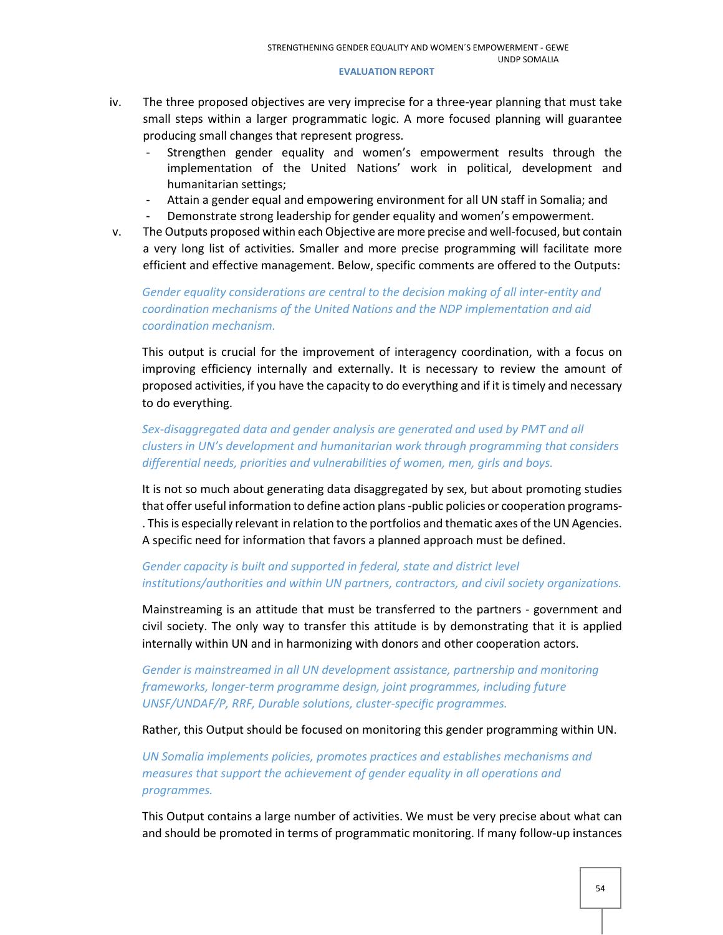- iv. The three proposed objectives are very imprecise for a three-year planning that must take small steps within a larger programmatic logic. A more focused planning will guarantee producing small changes that represent progress.
	- Strengthen gender equality and women's empowerment results through the implementation of the United Nations' work in political, development and humanitarian settings;
	- Attain a gender equal and empowering environment for all UN staff in Somalia; and
	- Demonstrate strong leadership for gender equality and women's empowerment.
- v. The Outputs proposed within each Objective are more precise and well-focused, but contain a very long list of activities. Smaller and more precise programming will facilitate more efficient and effective management. Below, specific comments are offered to the Outputs:

## *Gender equality considerations are central to the decision making of all inter-entity and coordination mechanisms of the United Nations and the NDP implementation and aid coordination mechanism.*

This output is crucial for the improvement of interagency coordination, with a focus on improving efficiency internally and externally. It is necessary to review the amount of proposed activities, if you have the capacity to do everything and if it is timely and necessary to do everything.

## *Sex-disaggregated data and gender analysis are generated and used by PMT and all clusters in UN's development and humanitarian work through programming that considers differential needs, priorities and vulnerabilities of women, men, girls and boys.*

It is not so much about generating data disaggregated by sex, but about promoting studies that offer useful information to define action plans -public policies or cooperation programs- . This is especially relevant in relation to the portfolios and thematic axes of the UN Agencies. A specific need for information that favors a planned approach must be defined.

## *Gender capacity is built and supported in federal, state and district level institutions/authorities and within UN partners, contractors, and civil society organizations.*

Mainstreaming is an attitude that must be transferred to the partners - government and civil society. The only way to transfer this attitude is by demonstrating that it is applied internally within UN and in harmonizing with donors and other cooperation actors.

*Gender is mainstreamed in all UN development assistance, partnership and monitoring frameworks, longer-term programme design, joint programmes, including future UNSF/UNDAF/P, RRF, Durable solutions, cluster-specific programmes.*

Rather, this Output should be focused on monitoring this gender programming within UN.

*UN Somalia implements policies, promotes practices and establishes mechanisms and measures that support the achievement of gender equality in all operations and programmes.*

This Output contains a large number of activities. We must be very precise about what can and should be promoted in terms of programmatic monitoring. If many follow-up instances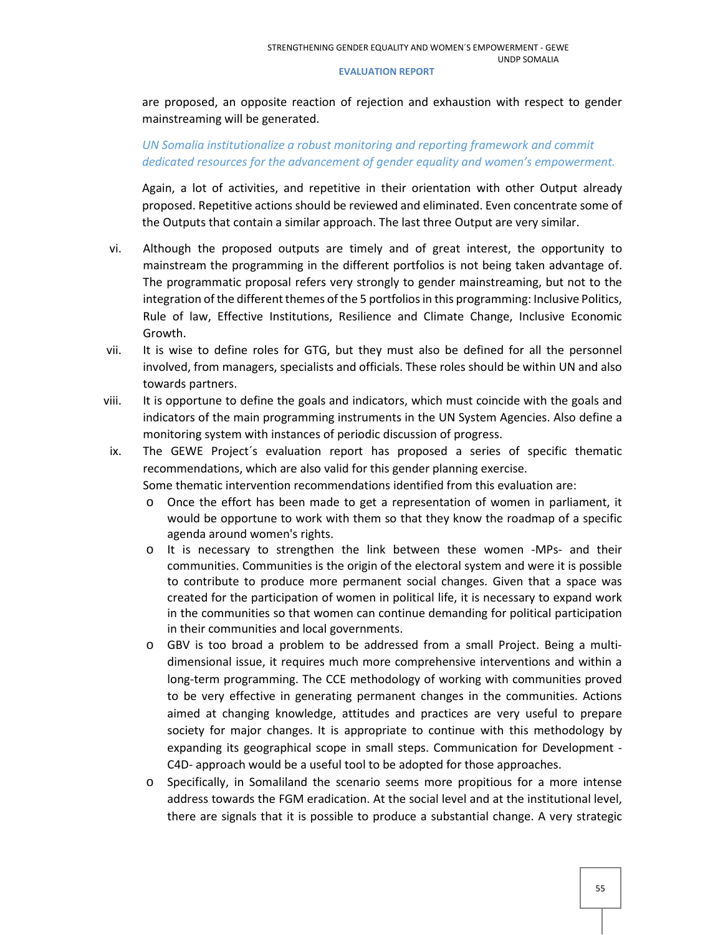are proposed, an opposite reaction of rejection and exhaustion with respect to gender mainstreaming will be generated.

## *UN Somalia institutionalize a robust monitoring and reporting framework and commit dedicated resources for the advancement of gender equality and women's empowerment.*

Again, a lot of activities, and repetitive in their orientation with other Output already proposed. Repetitive actions should be reviewed and eliminated. Even concentrate some of the Outputs that contain a similar approach. The last three Output are very similar.

- vi. Although the proposed outputs are timely and of great interest, the opportunity to mainstream the programming in the different portfolios is not being taken advantage of. The programmatic proposal refers very strongly to gender mainstreaming, but not to the integration of the different themes of the 5 portfolios in this programming: Inclusive Politics, Rule of law, Effective Institutions, Resilience and Climate Change, Inclusive Economic Growth.
- vii. It is wise to define roles for GTG, but they must also be defined for all the personnel involved, from managers, specialists and officials. These roles should be within UN and also towards partners.
- viii. It is opportune to define the goals and indicators, which must coincide with the goals and indicators of the main programming instruments in the UN System Agencies. Also define a monitoring system with instances of periodic discussion of progress.
- ix. The GEWE Project´s evaluation report has proposed a series of specific thematic recommendations, which are also valid for this gender planning exercise.

Some thematic intervention recommendations identified from this evaluation are:

- o Once the effort has been made to get a representation of women in parliament, it would be opportune to work with them so that they know the roadmap of a specific agenda around women's rights.
- o It is necessary to strengthen the link between these women -MPs- and their communities. Communities is the origin of the electoral system and were it is possible to contribute to produce more permanent social changes. Given that a space was created for the participation of women in political life, it is necessary to expand work in the communities so that women can continue demanding for political participation in their communities and local governments.
- o GBV is too broad a problem to be addressed from a small Project. Being a multidimensional issue, it requires much more comprehensive interventions and within a long-term programming. The CCE methodology of working with communities proved to be very effective in generating permanent changes in the communities. Actions aimed at changing knowledge, attitudes and practices are very useful to prepare society for major changes. It is appropriate to continue with this methodology by expanding its geographical scope in small steps. Communication for Development - C4D- approach would be a useful tool to be adopted for those approaches.
- o Specifically, in Somaliland the scenario seems more propitious for a more intense address towards the FGM eradication. At the social level and at the institutional level, there are signals that it is possible to produce a substantial change. A very strategic